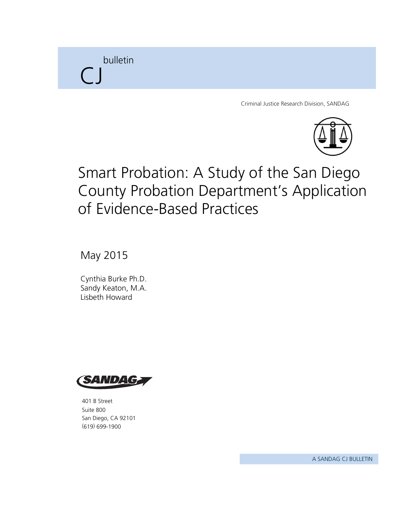bulletin  $\bigcap$ 

Criminal Justice Research Division, SANDAG



# Smart Probation: A Study of the San Diego County Probation Department's Application of Evidence-Based Practices

May 2015

Cynthia Burke Ph.D. Sandy Keaton, M.A. Lisbeth Howard



401 B Street Suite 800 San Diego, CA 92101 (619) 699-1900

A SANDAG CJ BULLETIN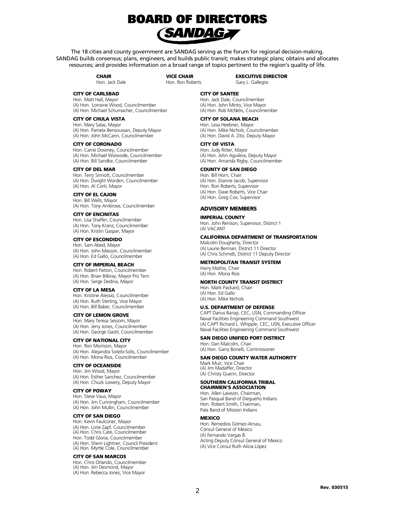

The 18 cities and county government are SANDAG serving as the forum for regional decision-making. SANDAG builds consensus; plans, engineers, and builds public transit; makes strategic plans; obtains and allocates resources; and provides information on a broad range of topics pertinent to the region's quality of life.

> **CHAIR** Hon. Jack Dale

VICE CHAIR Hon. Ron Roberts EXECUTIVE DIRECTOR Gary L. Gallegos

#### CITY OF CARLSBAD

Hon. Matt Hall, Mayor (A) Hon. Lorraine Wood, Councilmember (A) Hon. Michael Schumacher, Councilmember

#### CITY OF CHULA VISTA

Hon. Mary Salas, Mayor (A) Hon. Pamela Bensoussan, Deputy Mayor (A) Hon. John McCann, Councilmember

#### CITY OF CORONADO

Hon. Carrie Downey, Councilmember (A) Hon. Michael Woiwode, Councilmember (A) Hon. Bill Sandke, Councilmember

#### CITY OF DEL MAR

Hon. Terry Sinnott, Councilmember (A) Hon. Dwight Worden, Councilmember (A) Hon. Al Corti, Mayor

CITY OF EL CAJON Hon. Bill Wells, Mayor (A) Hon. Tony Ambrose, Councilmember

CITY OF ENCINITAS Hon. Lisa Shaffer, Councilmember (A) Hon. Tony Kranz, Councilmember (A) Hon. Kristin Gaspar, Mayor

#### CITY OF ESCONDIDO

Hon. Sam Abed, Mayor (A) Hon. John Masson, Councilmember (A) Hon. Ed Gallo, Councilmember

#### CITY OF IMPERIAL BEACH

Hon. Robert Patton, Councilmember (A) Hon. Brian Bilbray, Mayor Pro Tem (A) Hon. Serge Dedina, Mayor

#### CITY OF LA MESA

Hon. Kristine Alessio, Councilmember (A) Hon. Ruth Sterling, Vice Mayor (A) Hon. Bill Baber, Councilmember

#### CITY OF LEMON GROVE

Hon. Mary Teresa Sessom, Mayor (A) Hon. Jerry Jones, Councilmember (A) Hon. George Gastil, Councilmember

#### CITY OF NATIONAL CITY

Hon. Ron Morrison, Mayor (A) Hon. Alejandra Sotelo-Solis, Councilmember (A) Hon. Mona Rios, Councilmember

#### CITY OF OCEANSIDE

Hon. Jim Wood, Mayor (A) Hon. Esther Sanchez, Councilmember (A) Hon. Chuck Lowery, Deputy Mayor

#### CITY OF POWAY

Hon. Steve Vaus, Mayor (A) Hon. Jim Cunningham, Councilmember (A) Hon. John Mullin, Councilmember

#### CITY OF SAN DIEGO

Hon. Kevin Faulconer, Mayor (A) Hon. Lorie Zapf, Councilmember (A) Hon. Chris Cate, Councilmember Hon. Todd Gloria, Councilmember (A) Hon. Sherri Lightner, Council President (A) Hon. Myrtle Cole, Councilmember

#### CITY OF SAN MARCOS

Hon. Chris Orlando, Councilmember (A) Hon. Jim Desmond, Mayor (A) Hon. Rebecca Jones, Vice Mayor

#### CITY OF SANTEE

Hon. Jack Dale, Councilmember (A) Hon. John Minto, Vice Mayor (A) Hon. Rob McNelis, Councilmember

#### CITY OF SOLANA BEACH

Hon. Lesa Heebner, Mayor (A) Hon. Mike Nichols, Councilmember (A) Hon. David A. Zito, Deputy Mayor

#### CITY OF VISTA

Hon. Judy Ritter, Mayor (A) Hon. John Aguilera, Deputy Mayor (A) Hon. Amanda Rigby, Councilmember

#### COUNTY OF SAN DIEGO

Hon. Bill Horn, Chair (A) Hon. Dianne Jacob, Supervisor Hon. Ron Roberts, Supervisor (A) Hon. Dave Roberts, Vice Chair (A) Hon. Greg Cox, Supervisor

#### ADVISORY MEMBERS

#### IMPERIAL COUNTY

Hon. John Renison, Supervisor, District 1 (A) VACANT

#### CALIFORNIA DEPARTMENT OF TRANSPORTATION

Malcolm Dougherty, Director (A) Laurie Berman, District 11 Director (A) Chris Schmidt, District 11 Deputy Director

#### METROPOLITAN TRANSIT SYSTEM

Harry Mathis, Chair (A) Hon. Mona Rios

#### NORTH COUNTY TRANSIT DISTRICT

Hon. Mark Packard, Chair (A) Hon. Ed Gallo (A) Hon. Mike Nichols

#### U.S. DEPARTMENT OF DEFENSE

CAPT Darius Banaji, CEC, USN, Commanding Officer Naval Facilities Engineering Command Southwest (A) CAPT Richard L. Whipple, CEC, USN, Executive Officer Naval Facilities Engineering Command Southwest

#### SAN DIEGO UNIFIED PORT DISTRICT

Hon. Dan Malcolm, Chair (A) Hon. Garry Bonelli, Commissioner

#### SAN DIEGO COUNTY WATER AUTHORITY

Mark Muir, Vice Chair (A) Jim Madaffer, Director (A) Christy Guerin, Director

#### SOUTHERN CALIFORNIA TRIBAL CHAIRMEN'S ASSOCIATION

Hon. Allen Lawson, Chairman, San Pasqual Band of Diegueño Indians Hon. Robert Smith, Chairman, Pala Band of Mission Indians

#### **MEXICO**

Hon. Remedios Gómez-Arnau, Cónsul General of Mexico (A) Fernando Vargas B. Acting Deputy Cónsul General of Mexico (A) Vice Consul Ruth Alicia López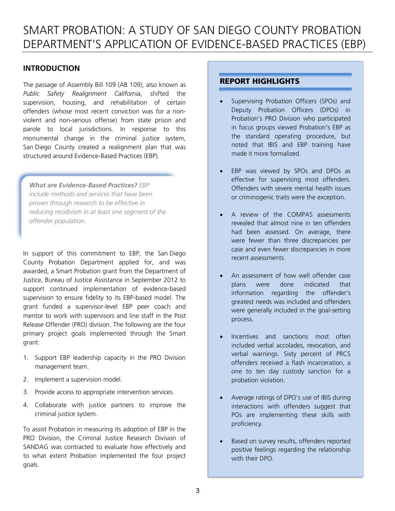# SMART PROBATION: A STUDY OF SAN DIEGO COUNTY PROBATION DEPARTMENT'S APPLICATION OF EVIDENCE-BASED PRACTICES (EBP)

# **INTRODUCTION**

The passage of Assembly Bill 109 (AB 109), also known as *Public Safety Realignment California*, shifted the supervision, housing, and rehabilitation of certain offenders (whose most recent conviction was for a nonviolent and non-serious offense) from state prison and parole to local jurisdictions. In response to this monumental change in the criminal justice system, San Diego County created a realignment plan that was structured around Evidence-Based Practices (EBP).

*What are Evidence-Based Practices? EBP include methods and services that have been proven through research to be effective in reducing recidivism in at least one segment of the offender population.* 

In support of this commitment to EBP, the San Diego County Probation Department applied for, and was awarded, a Smart Probation grant from the Department of Justice, Bureau of Justice Assistance in September 2012 to support continued implementation of evidence-based supervision to ensure fidelity to its EBP-based model. The grant funded a supervisor-level EBP peer coach and mentor to work with supervisors and line staff in the Post Release Offender (PRO) division. The following are the four primary project goals implemented through the Smart grant:

- 1. Support EBP leadership capacity in the PRO Division management team.
- 2. Implement a supervision model.
- 3. Provide access to appropriate intervention services.
- 4. Collaborate with justice partners to improve the criminal justice system.

To assist Probation in measuring its adoption of EBP in the PRO Division, the Criminal Justice Research Division of SANDAG was contracted to evaluate how effectively and to what extent Probation implemented the four project goals.

# **REPORT HIGHLIGHTS**

- Supervising Probation Officers (SPOs) and Deputy Probation Officers (DPOs) in Probation's PRO Division who participated in focus groups viewed Probation's EBP as the standard operating procedure, but noted that IBIS and EBP training have made it more formalized.
- EBP was viewed by SPOs and DPOs as effective for supervising most offenders. Offenders with severe mental health issues or criminogenic traits were the exception.
- A review of the COMPAS assessments revealed that almost nine in ten offenders had been assessed. On average, there were fewer than three discrepancies per case and even fewer discrepancies in more recent assessments.
- An assessment of how well offender case plans were done indicated that information regarding the offender's greatest needs was included and offenders were generally included in the goal-setting process.
- Incentives and sanctions most often included verbal accolades, revocation, and verbal warnings. Sixty percent of PRCS offenders received a flash incarceration, a one to ten day custody sanction for a probation violation.
- Average ratings of DPO's use of IBIS during interactions with offenders suggest that POs are implementing these skills with proficiency.
- Based on survey results, offenders reported positive feelings regarding the relationship with their DPO.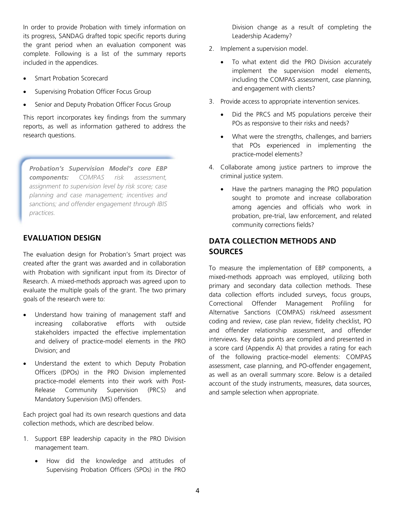In order to provide Probation with timely information on its progress, SANDAG drafted topic specific reports during the grant period when an evaluation component was complete. Following is a list of the summary reports included in the appendices.

- Smart Probation Scorecard
- Supervising Probation Officer Focus Group
- Senior and Deputy Probation Officer Focus Group

This report incorporates key findings from the summary reports, as well as information gathered to address the research questions.

*Probation's Supervision Model's core EBP components: COMPAS risk assessment, assignment to supervision level by risk score; case planning and case management; incentives and sanctions; and offender engagement through IBIS practices.* 

# **EVALUATION DESIGN**

The evaluation design for Probation's Smart project was created after the grant was awarded and in collaboration with Probation with significant input from its Director of Research. A mixed-methods approach was agreed upon to evaluate the multiple goals of the grant. The two primary goals of the research were to:

- Understand how training of management staff and increasing collaborative efforts with outside stakeholders impacted the effective implementation and delivery of practice-model elements in the PRO Division; and
- Understand the extent to which Deputy Probation Officers (DPOs) in the PRO Division implemented practice-model elements into their work with Post-Release Community Supervision (PRCS) and Mandatory Supervision (MS) offenders.

Each project goal had its own research questions and data collection methods, which are described below.

- 1. Support EBP leadership capacity in the PRO Division management team.
	- How did the knowledge and attitudes of Supervising Probation Officers (SPOs) in the PRO

Division change as a result of completing the Leadership Academy?

- 2. Implement a supervision model.
	- To what extent did the PRO Division accurately implement the supervision model elements, including the COMPAS assessment, case planning, and engagement with clients?
- 3. Provide access to appropriate intervention services.
	- Did the PRCS and MS populations perceive their POs as responsive to their risks and needs?
	- What were the strengths, challenges, and barriers that POs experienced in implementing the practice-model elements?
- 4. Collaborate among justice partners to improve the criminal justice system.
	- Have the partners managing the PRO population sought to promote and increase collaboration among agencies and officials who work in probation, pre-trial, law enforcement, and related community corrections fields?

# **DATA COLLECTION METHODS AND SOURCES**

To measure the implementation of EBP components, a mixed-methods approach was employed, utilizing both primary and secondary data collection methods. These data collection efforts included surveys, focus groups, Correctional Offender Management Profiling for Alternative Sanctions (COMPAS) risk/need assessment coding and review, case plan review, fidelity checklist, PO and offender relationship assessment, and offender interviews. Key data points are compiled and presented in a score card (Appendix A) that provides a rating for each of the following practice-model elements: COMPAS assessment, case planning, and PO-offender engagement, as well as an overall summary score. Below is a detailed account of the study instruments, measures, data sources, and sample selection when appropriate.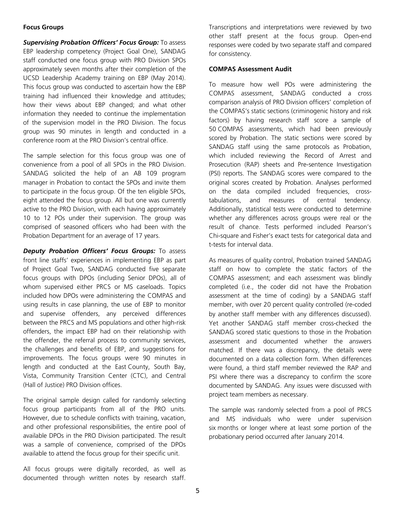#### **Focus Groups**

*Supervising Probation Officers' Focus Group:* To assess EBP leadership competency (Project Goal One), SANDAG staff conducted one focus group with PRO Division SPOs approximately seven months after their completion of the UCSD Leadership Academy training on EBP (May 2014). This focus group was conducted to ascertain how the EBP training had influenced their knowledge and attitudes; how their views about EBP changed; and what other information they needed to continue the implementation of the supervision model in the PRO Division. The focus group was 90 minutes in length and conducted in a conference room at the PRO Division's central office.

The sample selection for this focus group was one of convenience from a pool of all SPOs in the PRO Division. SANDAG solicited the help of an AB 109 program manager in Probation to contact the SPOs and invite them to participate in the focus group. Of the ten eligible SPOs, eight attended the focus group. All but one was currently active to the PRO Division, with each having approximately 10 to 12 POs under their supervision. The group was comprised of seasoned officers who had been with the Probation Department for an average of 17 years.

*Deputy Probation Officers' Focus Groups:* To assess front line staffs' experiences in implementing EBP as part of Project Goal Two, SANDAG conducted five separate focus groups with DPOs (including Senior DPOs), all of whom supervised either PRCS or MS caseloads. Topics included how DPOs were administering the COMPAS and using results in case planning, the use of EBP to monitor and supervise offenders, any perceived differences between the PRCS and MS populations and other high-risk offenders, the impact EBP had on their relationship with the offender, the referral process to community services, the challenges and benefits of EBP, and suggestions for improvements. The focus groups were 90 minutes in length and conducted at the East County, South Bay, Vista, Community Transition Center (CTC), and Central (Hall of Justice) PRO Division offices.

The original sample design called for randomly selecting focus group participants from all of the PRO units. However, due to schedule conflicts with training, vacation, and other professional responsibilities, the entire pool of available DPOs in the PRO Division participated. The result was a sample of convenience, comprised of the DPOs available to attend the focus group for their specific unit.

All focus groups were digitally recorded, as well as documented through written notes by research staff.

Transcriptions and interpretations were reviewed by two other staff present at the focus group. Open-end responses were coded by two separate staff and compared for consistency.

# **COMPAS Assessment Audit**

To measure how well POs were administering the COMPAS assessment, SANDAG conducted a cross comparison analysis of PRO Division officers' completion of the COMPAS's static sections (criminogenic history and risk factors) by having research staff score a sample of 50 COMPAS assessments, which had been previously scored by Probation. The static sections were scored by SANDAG staff using the same protocols as Probation, which included reviewing the Record of Arrest and Prosecution (RAP) sheets and Pre-sentence Investigation (PSI) reports. The SANDAG scores were compared to the original scores created by Probation. Analyses performed on the data compiled included frequencies, crosstabulations, and measures of central tendency. Additionally, statistical tests were conducted to determine whether any differences across groups were real or the result of chance. Tests performed included Pearson's Chi-square and Fisher's exact tests for categorical data and t-tests for interval data.

As measures of quality control, Probation trained SANDAG staff on how to complete the static factors of the COMPAS assessment; and each assessment was blindly completed (i.e., the coder did not have the Probation assessment at the time of coding) by a SANDAG staff member, with over 20 percent quality controlled (re-coded by another staff member with any differences discussed). Yet another SANDAG staff member cross-checked the SANDAG scored static questions to those in the Probation assessment and documented whether the answers matched. If there was a discrepancy, the details were documented on a data collection form. When differences were found, a third staff member reviewed the RAP and PSI where there was a discrepancy to confirm the score documented by SANDAG. Any issues were discussed with project team members as necessary.

The sample was randomly selected from a pool of PRCS and MS individuals who were under supervision six months or longer where at least some portion of the probationary period occurred after January 2014.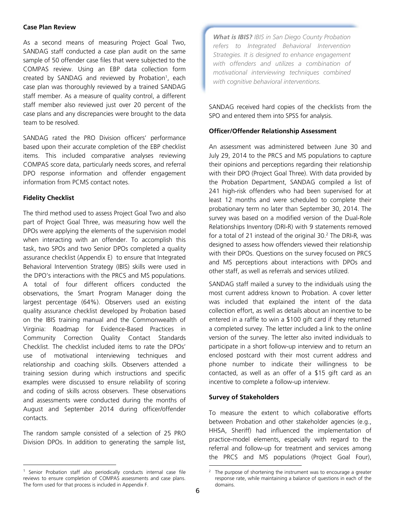#### **Case Plan Review**

As a second means of measuring Project Goal Two, SANDAG staff conducted a case plan audit on the same sample of 50 offender case files that were subjected to the COMPAS review. Using an EBP data collection form created by SANDAG and reviewed by Probation<sup>1</sup>, each case plan was thoroughly reviewed by a trained SANDAG staff member. As a measure of quality control, a different staff member also reviewed just over 20 percent of the case plans and any discrepancies were brought to the data team to be resolved.

SANDAG rated the PRO Division officers' performance based upon their accurate completion of the EBP checklist items. This included comparative analyses reviewing COMPAS score data, particularly needs scores, and referral DPO response information and offender engagement information from PCMS contact notes.

## **Fidelity Checklist**

The third method used to assess Project Goal Two and also part of Project Goal Three, was measuring how well the DPOs were applying the elements of the supervision model when interacting with an offender. To accomplish this task, two SPOs and two Senior DPOs completed a quality assurance checklist (Appendix E) to ensure that Integrated Behavioral Intervention Strategy (IBIS) skills were used in the DPO's interactions with the PRCS and MS populations. A total of four different officers conducted the observations, the Smart Program Manager doing the largest percentage (64%). Observers used an existing quality assurance checklist developed by Probation based on the IBIS training manual and the Commonwealth of Virginia: Roadmap for Evidence-Based Practices in Community Correction Quality Contact Standards Checklist. The checklist included items to rate the DPOs' use of motivational interviewing techniques and relationship and coaching skills. Observers attended a training session during which instructions and specific examples were discussed to ensure reliability of scoring and coding of skills across observers. These observations and assessments were conducted during the months of August and September 2014 during officer/offender contacts.

The random sample consisted of a selection of 25 PRO Division DPOs. In addition to generating the sample list, *What is IBIS? IBIS in San Diego County Probation refers to Integrated Behavioral Intervention Strategies. It is designed to enhance engagement with offenders and utilizes a combination of motivational interviewing techniques combined with cognitive behavioral interventions.* 

SANDAG received hard copies of the checklists from the SPO and entered them into SPSS for analysis.

### **Officer/Offender Relationship Assessment**

An assessment was administered between June 30 and July 29, 2014 to the PRCS and MS populations to capture their opinions and perceptions regarding their relationship with their DPO (Project Goal Three). With data provided by the Probation Department, SANDAG compiled a list of 241 high-risk offenders who had been supervised for at least 12 months and were scheduled to complete their probationary term no later than September 30, 2014. The survey was based on a modified version of the Dual-Role Relationships Inventory (DRI-R) with 9 statements removed for a total of 21 instead of the original 30.2 The DRI-R*,* was designed to assess how offenders viewed their relationship with their DPOs. Questions on the survey focused on PRCS and MS perceptions about interactions with DPOs and other staff, as well as referrals and services utilized.

SANDAG staff mailed a survey to the individuals using the most current address known to Probation. A cover letter was included that explained the intent of the data collection effort, as well as details about an incentive to be entered in a raffle to win a \$100 gift card if they returned a completed survey. The letter included a link to the online version of the survey. The letter also invited individuals to participate in a short follow-up interview and to return an enclosed postcard with their most current address and phone number to indicate their willingness to be contacted, as well as an offer of a \$15 gift card as an incentive to complete a follow-up interview.

#### **Survey of Stakeholders**

To measure the extent to which collaborative efforts between Probation and other stakeholder agencies (e.g., HHSA, Sheriff) had influenced the implementation of practice-model elements, especially with regard to the referral and follow-up for treatment and services among the PRCS and MS populations (Project Goal Four),

<sup>&</sup>lt;sup>1</sup> Senior Probation staff also periodically conducts internal case file reviews to ensure completion of COMPAS assessments and case plans. The form used for that process is included in Appendix F.

<sup>2</sup> The purpose of shortening the instrument was to encourage a greater response rate, while maintaining a balance of questions in each of the domains.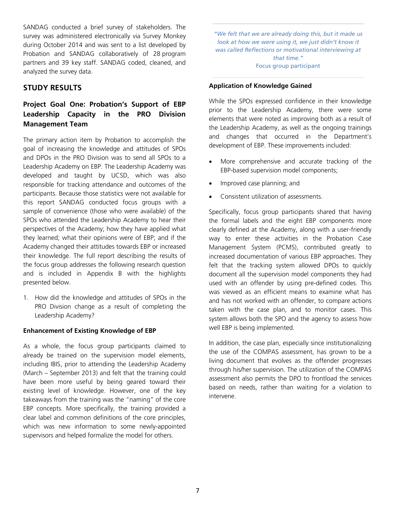SANDAG conducted a brief survey of stakeholders. The survey was administered electronically via Survey Monkey during October 2014 and was sent to a list developed by Probation and SANDAG collaboratively of 28 program partners and 39 key staff. SANDAG coded, cleaned, and analyzed the survey data.

# **STUDY RESULTS**

# **Project Goal One: Probation's Support of EBP Leadership Capacity in the PRO Division Management Team**

The primary action item by Probation to accomplish the goal of increasing the knowledge and attitudes of SPOs and DPOs in the PRO Division was to send all SPOs to a Leadership Academy on EBP. The Leadership Academy was developed and taught by UCSD, which was also responsible for tracking attendance and outcomes of the participants. Because those statistics were not available for this report SANDAG conducted focus groups with a sample of convenience (those who were available) of the SPOs who attended the Leadership Academy to hear their perspectives of the Academy; how they have applied what they learned; what their opinions were of EBP; and if the Academy changed their attitudes towards EBP or increased their knowledge. The full report describing the results of the focus group addresses the following research question and is included in Appendix B with the highlights presented below.

1. How did the knowledge and attitudes of SPOs in the PRO Division change as a result of completing the Leadership Academy?

# **Enhancement of Existing Knowledge of EBP**

As a whole, the focus group participants claimed to already be trained on the supervision model elements, including IBIS, prior to attending the Leadership Academy (March – September 2013) and felt that the training could have been more useful by being geared toward their existing level of knowledge. However, one of the key takeaways from the training was the "naming" of the core EBP concepts. More specifically, the training provided a clear label and common definitions of the core principles, which was new information to some newly-appointed supervisors and helped formalize the model for others.

*"We felt that we are already doing this, but it made us look at how we were using it, we just didn't know it was called Reflections or motivational interviewing at that time."*  Focus group participant

## **Application of Knowledge Gained**

While the SPOs expressed confidence in their knowledge prior to the Leadership Academy, there were some elements that were noted as improving both as a result of the Leadership Academy, as well as the ongoing trainings and changes that occurred in the Department's development of EBP. These improvements included:

- More comprehensive and accurate tracking of the EBP-based supervision model components;
- Improved case planning; and
- Consistent utilization of assessments.

Specifically, focus group participants shared that having the formal labels and the eight EBP components more clearly defined at the Academy, along with a user-friendly way to enter these activities in the Probation Case Management System (PCMS), contributed greatly to increased documentation of various EBP approaches. They felt that the tracking system allowed DPOs to quickly document all the supervision model components they had used with an offender by using pre-defined codes. This was viewed as an efficient means to examine what has and has not worked with an offender, to compare actions taken with the case plan, and to monitor cases. This system allows both the SPO and the agency to assess how well EBP is being implemented.

In addition, the case plan, especially since institutionalizing the use of the COMPAS assessment, has grown to be a living document that evolves as the offender progresses through his/her supervision. The utilization of the COMPAS assessment also permits the DPO to frontload the services based on needs, rather than waiting for a violation to intervene.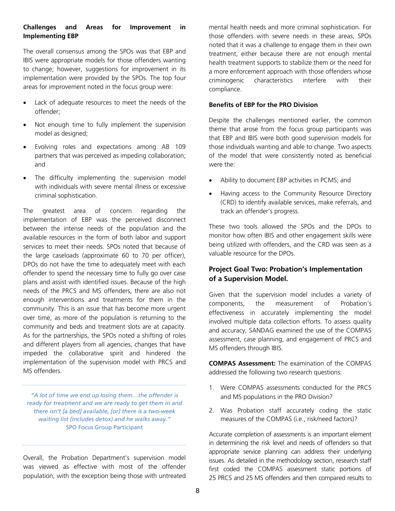# **Challenges and Areas for Improvement in Implementing EBP**

The overall consensus among the SPOs was that EBP and IBIS were appropriate models for those offenders wanting to change; however, suggestions for improvement in its implementation were provided by the SPOs. The top four areas for improvement noted in the focus group were:

- Lack of adequate resources to meet the needs of the offender;
- Not enough time to fully implement the supervision model as designed;
- Evolving roles and expectations among AB 109 partners that was perceived as impeding collaboration; and
- The difficulty implementing the supervision model with individuals with severe mental illness or excessive criminal sophistication.

The greatest area of concern regarding the implementation of EBP was the perceived disconnect between the intense needs of the population and the available resources in the form of both labor and support services to meet their needs. SPOs noted that because of the large caseloads (approximate 60 to 70 per officer), DPOs do not have the time to adequately meet with each offender to spend the necessary time to fully go over case plans and assist with identified issues. Because of the high needs of the PRCS and MS offenders, there are also not enough interventions and treatments for them in the community. This is an issue that has become more urgent over time, as more of the population is returning to the community and beds and treatment slots are at capacity. As for the partnerships, the SPOs noted a shifting of roles and different players from all agencies, changes that have impeded the collaborative spirit and hindered the implementation of the supervision model with PRCS and MS offenders.

*"A lot of time we end up losing them…the offender is ready for treatment and we are ready to get them in and there isn't [a bed] available, [or] there is a two-week waiting list (includes detox) and he walks away."*  SPO Focus Group Participant

Overall, the Probation Department's supervision model was viewed as effective with most of the offender population, with the exception being those with untreated

mental health needs and more criminal sophistication. For those offenders with severe needs in these areas, SPOs noted that it was a challenge to engage them in their own treatment, either because there are not enough mental health treatment supports to stabilize them or the need for a more enforcement approach with those offenders whose criminogenic characteristics interfere with their compliance.

# **Benefits of EBP for the PRO Division**

Despite the challenges mentioned earlier, the common theme that arose from the focus group participants was that EBP and IBIS were both good supervision models for those individuals wanting and able to change. Two aspects of the model that were consistently noted as beneficial were the:

- Ability to document EBP activities in PCMS; and
- Having access to the Community Resource Directory (CRD) to identify available services, make referrals, and track an offender's progress.

These two tools allowed the SPOs and the DPOs to monitor how often IBIS and other engagement skills were being utilized with offenders, and the CRD was seen as a valuable resource for the DPOs.

# **Project Goal Two: Probation's Implementation of a Supervision Model.**

Given that the supervision model includes a variety of components, the measurement of Probation's effectiveness in accurately implementing the model involved multiple data collection efforts. To assess quality and accuracy, SANDAG examined the use of the COMPAS assessment, case planning, and engagement of PRCS and MS offenders through IBIS.

**COMPAS Assessment:** The examination of the COMPAS addressed the following two research questions:

- 1. Were COMPAS assessments conducted for the PRCS and MS populations in the PRO Division?
- 2. Was Probation staff accurately coding the static measures of the COMPAS (i.e., risk/need factors)?

Accurate completion of assessments is an important element in determining the risk level and needs of offenders so that appropriate service planning can address their underlying issues. As detailed in the methodology section, research staff first coded the COMPAS assessment static portions of 25 PRCS and 25 MS offenders and then compared results to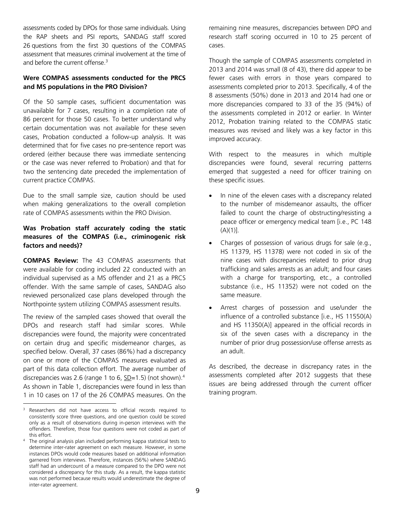assessments coded by DPOs for those same individuals. Using the RAP sheets and PSI reports, SANDAG staff scored 26 questions from the first 30 questions of the COMPAS assessment that measures criminal involvement at the time of and before the current offense.<sup>3</sup>

# **Were COMPAS assessments conducted for the PRCS and MS populations in the PRO Division?**

Of the 50 sample cases, sufficient documentation was unavailable for 7 cases, resulting in a completion rate of 86 percent for those 50 cases. To better understand why certain documentation was not available for these seven cases, Probation conducted a follow-up analysis. It was determined that for five cases no pre-sentence report was ordered (either because there was immediate sentencing or the case was never referred to Probation) and that for two the sentencing date preceded the implementation of current practice COMPAS.

Due to the small sample size, caution should be used when making generalizations to the overall completion rate of COMPAS assessments within the PRO Division.

# **Was Probation staff accurately coding the static measures of the COMPAS (i.e., criminogenic risk factors and needs)?**

**COMPAS Review:** The 43 COMPAS assessments that were available for coding included 22 conducted with an individual supervised as a MS offender and 21 as a PRCS offender. With the same sample of cases, SANDAG also reviewed personalized case plans developed through the Northpointe system utilizing COMPAS assessment results.

The review of the sampled cases showed that overall the DPOs and research staff had similar scores. While discrepancies were found, the majority were concentrated on certain drug and specific misdemeanor charges, as specified below. Overall, 37 cases (86%) had a discrepancy on one or more of the COMPAS measures evaluated as part of this data collection effort. The average number of discrepancies was 2.6 (range 1 to 6,  $\underline{SD}$ =1.5) (not shown).<sup>4</sup> As shown in Table 1, discrepancies were found in less than 1 in 10 cases on 17 of the 26 COMPAS measures. On the

remaining nine measures, discrepancies between DPO and research staff scoring occurred in 10 to 25 percent of cases.

Though the sample of COMPAS assessments completed in 2013 and 2014 was small (8 of 43), there did appear to be fewer cases with errors in those years compared to assessments completed prior to 2013. Specifically, 4 of the 8 assessments (50%) done in 2013 and 2014 had one or more discrepancies compared to 33 of the 35 (94%) of the assessments completed in 2012 or earlier. In Winter 2012, Probation training related to the COMPAS static measures was revised and likely was a key factor in this improved accuracy.

With respect to the measures in which multiple discrepancies were found, several recurring patterns emerged that suggested a need for officer training on these specific issues.

- In nine of the eleven cases with a discrepancy related to the number of misdemeanor assaults, the officer failed to count the charge of obstructing/resisting a peace officer or emergency medical team [i.e., PC 148  $(A)(1)$ ].
- Charges of possession of various drugs for sale (e.g., HS 11379, HS 11378) were not coded in six of the nine cases with discrepancies related to prior drug trafficking and sales arrests as an adult; and four cases with a charge for transporting, etc., a controlled substance (i.e., HS 11352) were not coded on the same measure.
- Arrest charges of possession and use/under the influence of a controlled substance [i.e., HS 11550(A) and HS 11350(A)] appeared in the official records in six of the seven cases with a discrepancy in the number of prior drug possession/use offense arrests as an adult.

As described, the decrease in discrepancy rates in the assessments completed after 2012 suggests that these issues are being addressed through the current officer training program.

<sup>&</sup>lt;sup>3</sup> Researchers did not have access to official records required to consistently score three questions, and one question could be scored only as a result of observations during in-person interviews with the offenders. Therefore, those four questions were not coded as part of

this effort. 4 The original analysis plan included performing kappa statistical tests to determine inter-rater agreement on each measure. However, in some instances DPOs would code measures based on additional information garnered from interviews. Therefore, instances (56%) where SANDAG staff had an undercount of a measure compared to the DPO were not considered a discrepancy for this study. As a result, the kappa statistic was not performed because results would underestimate the degree of inter-rater agreement.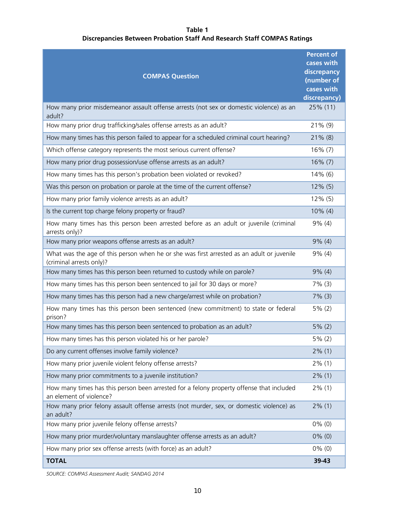# **Table 1 Discrepancies Between Probation Staff And Research Staff COMPAS Ratings**

| <b>COMPAS Question</b>                                                                                                | <b>Percent of</b><br>cases with<br>discrepancy<br>(number of |
|-----------------------------------------------------------------------------------------------------------------------|--------------------------------------------------------------|
|                                                                                                                       | cases with<br>discrepancy)                                   |
| How many prior misdemeanor assault offense arrests (not sex or domestic violence) as an<br>adult?                     | 25% (11)                                                     |
| How many prior drug trafficking/sales offense arrests as an adult?                                                    | 21% (9)                                                      |
| How many times has this person failed to appear for a scheduled criminal court hearing?                               | $21\%$ (8)                                                   |
| Which offense category represents the most serious current offense?                                                   | $16\% (7)$                                                   |
| How many prior drug possession/use offense arrests as an adult?                                                       | $16\% (7)$                                                   |
| How many times has this person's probation been violated or revoked?                                                  | $14\%$ (6)                                                   |
| Was this person on probation or parole at the time of the current offense?                                            | $12\%$ (5)                                                   |
| How many prior family violence arrests as an adult?                                                                   | $12\%$ (5)                                                   |
| Is the current top charge felony property or fraud?                                                                   | 10% (4)                                                      |
| How many times has this person been arrested before as an adult or juvenile (criminal<br>arrests only)?               | $9\%$ (4)                                                    |
| How many prior weapons offense arrests as an adult?                                                                   | $9\%$ (4)                                                    |
| What was the age of this person when he or she was first arrested as an adult or juvenile<br>(criminal arrests only)? | $9\%$ (4)                                                    |
| How many times has this person been returned to custody while on parole?                                              | $9\%$ (4)                                                    |
| How many times has this person been sentenced to jail for 30 days or more?                                            | 7% (3)                                                       |
| How many times has this person had a new charge/arrest while on probation?                                            | $7\%$ (3)                                                    |
| How many times has this person been sentenced (new commitment) to state or federal<br>prison?                         | 5% (2)                                                       |
| How many times has this person been sentenced to probation as an adult?                                               | 5% (2)                                                       |
| How many times has this person violated his or her parole?                                                            | 5% (2)                                                       |
| Do any current offenses involve family violence?                                                                      | $2\%$ (1)                                                    |
| How many prior juvenile violent felony offense arrests?                                                               | $2\%$ (1)                                                    |
| How many prior commitments to a juvenile institution?                                                                 | $2\%$ (1)                                                    |
| How many times has this person been arrested for a felony property offense that included<br>an element of violence?   | $2\%$ (1)                                                    |
| How many prior felony assault offense arrests (not murder, sex, or domestic violence) as<br>an adult?                 | $2\%$ (1)                                                    |
| How many prior juvenile felony offense arrests?                                                                       | $0\%$ (0)                                                    |
| How many prior murder/voluntary manslaughter offense arrests as an adult?                                             | $0\%$ (0)                                                    |
| How many prior sex offense arrests (with force) as an adult?                                                          | $0\%$ (0)                                                    |
| <b>TOTAL</b>                                                                                                          | 39-43                                                        |

*SOURCE: COMPAS Assessment Audit; SANDAG 2014*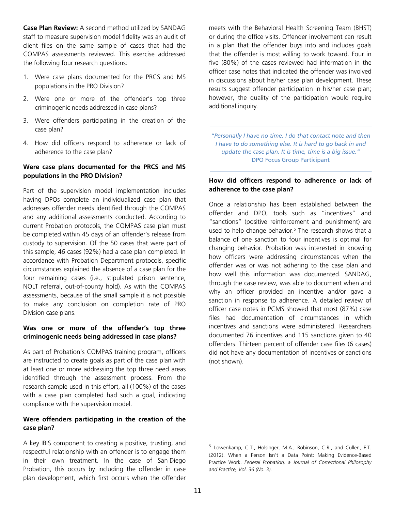**Case Plan Review:** A second method utilized by SANDAG staff to measure supervision model fidelity was an audit of client files on the same sample of cases that had the COMPAS assessments reviewed. This exercise addressed the following four research questions:

- 1. Were case plans documented for the PRCS and MS populations in the PRO Division?
- 2. Were one or more of the offender's top three criminogenic needs addressed in case plans?
- 3. Were offenders participating in the creation of the case plan?
- 4. How did officers respond to adherence or lack of adherence to the case plan?

# **Were case plans documented for the PRCS and MS populations in the PRO Division?**

Part of the supervision model implementation includes having DPOs complete an individualized case plan that addresses offender needs identified through the COMPAS and any additional assessments conducted. According to current Probation protocols, the COMPAS case plan must be completed within 45 days of an offender's release from custody to supervision. Of the 50 cases that were part of this sample, 46 cases (92%) had a case plan completed. In accordance with Probation Department protocols, specific circumstances explained the absence of a case plan for the four remaining cases (i.e., stipulated prison sentence, NOLT referral, out-of-county hold). As with the COMPAS assessments, because of the small sample it is not possible to make any conclusion on completion rate of PRO Division case plans.

# **Was one or more of the offender's top three criminogenic needs being addressed in case plans?**

As part of Probation's COMPAS training program, officers are instructed to create goals as part of the case plan with at least one or more addressing the top three need areas identified through the assessment process. From the research sample used in this effort, all (100%) of the cases with a case plan completed had such a goal, indicating compliance with the supervision model.

# **Were offenders participating in the creation of the case plan?**

A key IBIS component to creating a positive, trusting, and respectful relationship with an offender is to engage them in their own treatment. In the case of San Diego Probation, this occurs by including the offender in case plan development, which first occurs when the offender

meets with the Behavioral Health Screening Team (BHST) or during the office visits. Offender involvement can result in a plan that the offender buys into and includes goals that the offender is most willing to work toward. Four in five (80%) of the cases reviewed had information in the officer case notes that indicated the offender was involved in discussions about his/her case plan development. These results suggest offender participation in his/her case plan; however, the quality of the participation would require additional inquiry.

*"Personally I have no time. I do that contact note and then I have to do something else. It is hard to go back in and update the case plan. It is time, time is a big issue."* DPO Focus Group Participant

# **How did officers respond to adherence or lack of adherence to the case plan?**

Once a relationship has been established between the offender and DPO, tools such as "incentives" and "sanctions" (positive reinforcement and punishment) are used to help change behavior.<sup>5</sup> The research shows that a balance of one sanction to four incentives is optimal for changing behavior. Probation was interested in knowing how officers were addressing circumstances when the offender was or was not adhering to the case plan and how well this information was documented. SANDAG, through the case review, was able to document when and why an officer provided an incentive and/or gave a sanction in response to adherence. A detailed review of officer case notes in PCMS showed that most (87%) case files had documentation of circumstances in which incentives and sanctions were administered. Researchers documented 76 incentives and 115 sanctions given to 40 offenders. Thirteen percent of offender case files (6 cases) did not have any documentation of incentives or sanctions (not shown).

<sup>5</sup> Lowenkamp, C.T., Holsinger, M.A., Robinson, C.R., and Cullen, F.T. (2012). When a Person Isn't a Data Point: Making Evidence-Based Practice Work. *Federal Probation, a Journal of Correctional Philosophy and Practice, Vol. 36 (No. 3).*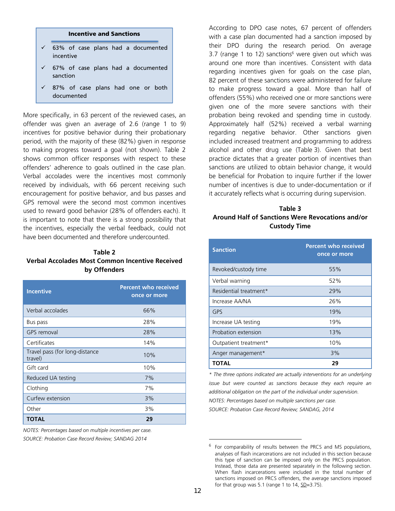#### **Incentive and Sanctions**

- $\times$  63% of case plans had a documented incentive
- $\times$  67% of case plans had a documented sanction
- 87% of case plans had one or both documented

More specifically, in 63 percent of the reviewed cases, an offender was given an average of 2.6 (range 1 to 9) incentives for positive behavior during their probationary period, with the majority of these (82%) given in response to making progress toward a goal (not shown). Table 2 shows common officer responses with respect to these offenders' adherence to goals outlined in the case plan. Verbal accolades were the incentives most commonly received by individuals, with 66 percent receiving such encouragement for positive behavior, and bus passes and GPS removal were the second most common incentives used to reward good behavior (28% of offenders each). It is important to note that there is a strong possibility that the incentives, especially the verbal feedback, could not have been documented and therefore undercounted.

# **Table 2 Verbal Accolades Most Common Incentive Received by Offenders**

| <b>Incentive</b>                          | <b>Percent who received</b><br>once or more |
|-------------------------------------------|---------------------------------------------|
| Verbal accolades                          | 66%                                         |
| Bus pass                                  | 28%                                         |
| <b>GPS</b> removal                        | 28%                                         |
| Certificates                              | 14%                                         |
| Travel pass (for long-distance<br>travel) | 10%                                         |
| Gift card                                 | 10%                                         |
| Reduced UA testing                        | 7%                                          |
| Clothing                                  | 7%                                          |
| Curfew extension                          | 3%                                          |
| Other                                     | 3%                                          |
| <b>TOTAL</b>                              | 29                                          |

*NOTES: Percentages based on multiple incentives per case. SOURCE: Probation Case Record Review; SANDAG 2014* 

According to DPO case notes, 67 percent of offenders with a case plan documented had a sanction imposed by their DPO during the research period. On average 3.7 (range 1 to 12) sanctions<sup>6</sup> were given out which was around one more than incentives. Consistent with data regarding incentives given for goals on the case plan, 82 percent of these sanctions were administered for failure to make progress toward a goal. More than half of offenders (55%) who received one or more sanctions were given one of the more severe sanctions with their probation being revoked and spending time in custody. Approximately half (52%) received a verbal warning regarding negative behavior. Other sanctions given included increased treatment and programming to address alcohol and other drug use (Table 3). Given that best practice dictates that a greater portion of incentives than sanctions are utilized to obtain behavior change, it would be beneficial for Probation to inquire further if the lower number of incentives is due to under-documentation or if it accurately reflects what is occurring during supervision.

# **Table 3 Around Half of Sanctions Were Revocations and/or Custody Time**

| <b>Sanction</b>        | <b>Percent who received</b><br>once or more |
|------------------------|---------------------------------------------|
| Revoked/custody time   | 55%                                         |
| Verbal warning         | 52%                                         |
| Residential treatment* | 29%                                         |
| Increase AA/NA         | 26%                                         |
| GPS                    | 19%                                         |
| Increase UA testing    | 19%                                         |
| Probation extension    | 13%                                         |
| Outpatient treatment*  | 10%                                         |
| Anger management*      | 3%                                          |
| ΤΟΤΑL                  | 29                                          |

*\* The three options indicated are actually interventions for an underlying issue but were counted as sanctions because they each require an additional obligation on the part of the individual under supervision. NOTES: Percentages based on multiple sanctions per case.* 

*SOURCE: Probation Case Record Review; SANDAG, 2014* 

<sup>6</sup> For comparability of results between the PRCS and MS populations, analyses of flash incarcerations are not included in this section because this type of sanction can be imposed only on the PRCS population. Instead, those data are presented separately in the following section. When flash incarcerations were included in the total number of sanctions imposed on PRCS offenders, the average sanctions imposed for that group was 5.1 (range 1 to 14,  $SD = 3.75$ ).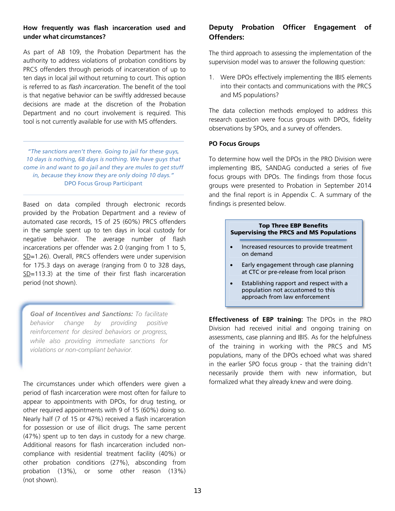# **How frequently was flash incarceration used and under what circumstances?**

As part of AB 109, the Probation Department has the authority to address violations of probation conditions by PRCS offenders through periods of incarceration of up to ten days in local jail without returning to court. This option is referred to as *flash incarceration*. The benefit of the tool is that negative behavior can be swiftly addressed because decisions are made at the discretion of the Probation Department and no court involvement is required. This tool is not currently available for use with MS offenders.

*"The sanctions aren't there. Going to jail for these guys, 10 days is nothing, 68 days is nothing. We have guys that come in and want to go jail and they are mules to get stuff in, because they know they are only doing 10 days."*  DPO Focus Group Participant

Based on data compiled through electronic records provided by the Probation Department and a review of automated case records, 15 of 25 (60%) PRCS offenders in the sample spent up to ten days in local custody for negative behavior. The average number of flash incarcerations per offender was 2.0 (ranging from 1 to 5, SD=1.26). Overall, PRCS offenders were under supervision for 175.3 days on average (ranging from 0 to 328 days,  $SD=113.3$ ) at the time of their first flash incarceration period (not shown).

*Goal of Incentives and Sanctions: To facilitate behavior change by providing positive reinforcement for desired behaviors or progress, while also providing immediate sanctions for violations or non-compliant behavior.* 

The circumstances under which offenders were given a period of flash incarceration were most often for failure to appear to appointments with DPOs, for drug testing, or other required appointments with 9 of 15 (60%) doing so. Nearly half (7 of 15 or 47%) received a flash incarceration for possession or use of illicit drugs. The same percent (47%) spent up to ten days in custody for a new charge. Additional reasons for flash incarceration included noncompliance with residential treatment facility (40%) or other probation conditions (27%), absconding from probation (13%), or some other reason (13%) (not shown).

# **Deputy Probation Officer Engagement of Offenders:**

The third approach to assessing the implementation of the supervision model was to answer the following question:

1. Were DPOs effectively implementing the IBIS elements into their contacts and communications with the PRCS and MS populations?

The data collection methods employed to address this research question were focus groups with DPOs, fidelity observations by SPOs, and a survey of offenders.

#### **PO Focus Groups**

To determine how well the DPOs in the PRO Division were implementing IBIS, SANDAG conducted a series of five focus groups with DPOs. The findings from those focus groups were presented to Probation in September 2014 and the final report is in Appendix C. A summary of the findings is presented below.

### **Top Three EBP Benefits Supervising the PRCS and MS Populations**

- Increased resources to provide treatment on demand
- Early engagement through case planning at CTC or pre-release from local prison
- Establishing rapport and respect with a population not accustomed to this approach from law enforcement

**Effectiveness of EBP training:** The DPOs in the PRO Division had received initial and ongoing training on assessments, case planning and IBIS. As for the helpfulness of the training in working with the PRCS and MS populations, many of the DPOs echoed what was shared in the earlier SPO focus group - that the training didn't necessarily provide them with new information, but formalized what they already knew and were doing.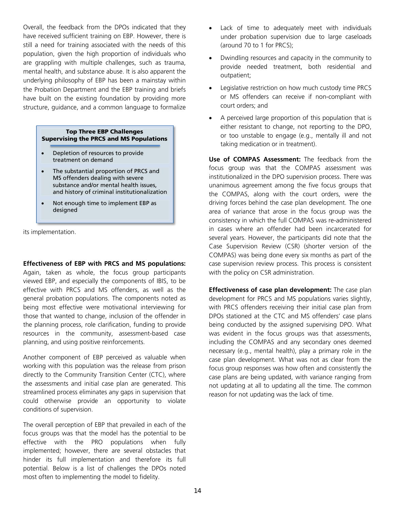Overall, the feedback from the DPOs indicated that they have received sufficient training on EBP. However, there is still a need for training associated with the needs of this population, given the high proportion of individuals who are grappling with multiple challenges, such as trauma, mental health, and substance abuse. It is also apparent the underlying philosophy of EBP has been a mainstay within the Probation Department and the EBP training and briefs have built on the existing foundation by providing more structure, guidance, and a common language to formalize

#### **Top Three EBP Challenges Supervising the PRCS and MS Populations**

- Depletion of resources to provide treatment on demand
- The substantial proportion of PRCS and MS offenders dealing with severe substance and/or mental health issues, and history of criminal institutionalization
- Not enough time to implement EBP as designed

its implementation.

#### **Effectiveness of EBP with PRCS and MS populations:**

Again, taken as whole, the focus group participants viewed EBP, and especially the components of IBIS, to be effective with PRCS and MS offenders, as well as the general probation populations. The components noted as being most effective were motivational interviewing for those that wanted to change, inclusion of the offender in the planning process, role clarification, funding to provide resources in the community, assessment-based case planning, and using positive reinforcements.

Another component of EBP perceived as valuable when working with this population was the release from prison directly to the Community Transition Center (CTC), where the assessments and initial case plan are generated. This streamlined process eliminates any gaps in supervision that could otherwise provide an opportunity to violate conditions of supervision.

The overall perception of EBP that prevailed in each of the focus groups was that the model has the potential to be effective with the PRO populations when fully implemented; however, there are several obstacles that hinder its full implementation and therefore its full potential. Below is a list of challenges the DPOs noted most often to implementing the model to fidelity.

- Lack of time to adequately meet with individuals under probation supervision due to large caseloads (around 70 to 1 for PRCS);
- Dwindling resources and capacity in the community to provide needed treatment, both residential and outpatient;
- **•** Legislative restriction on how much custody time PRCS or MS offenders can receive if non-compliant with court orders; and
- A perceived large proportion of this population that is either resistant to change, not reporting to the DPO, or too unstable to engage (e.g., mentally ill and not taking medication or in treatment).

**Use of COMPAS Assessment:** The feedback from the focus group was that the COMPAS assessment was institutionalized in the DPO supervision process. There was unanimous agreement among the five focus groups that the COMPAS, along with the court orders, were the driving forces behind the case plan development. The one area of variance that arose in the focus group was the consistency in which the full COMPAS was re-administered in cases where an offender had been incarcerated for several years. However, the participants did note that the Case Supervision Review (CSR) (shorter version of the COMPAS) was being done every six months as part of the case supervision review process. This process is consistent with the policy on CSR administration.

**Effectiveness of case plan development:** The case plan development for PRCS and MS populations varies slightly, with PRCS offenders receiving their initial case plan from DPOs stationed at the CTC and MS offenders' case plans being conducted by the assigned supervising DPO. What was evident in the focus groups was that assessments, including the COMPAS and any secondary ones deemed necessary (e.g., mental health), play a primary role in the case plan development. What was not as clear from the focus group responses was how often and consistently the case plans are being updated, with variance ranging from not updating at all to updating all the time. The common reason for not updating was the lack of time.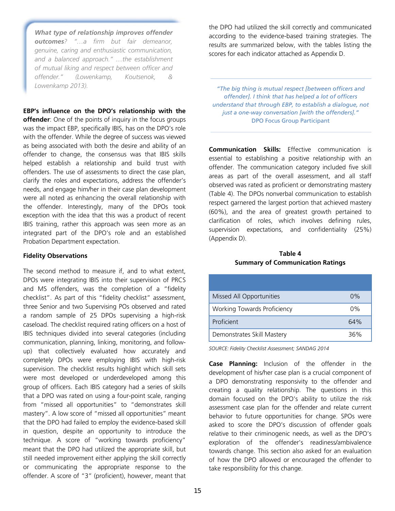*What type of relationship improves offender outcomes? "…a firm but fair demeanor, genuine, caring and enthusiastic communication, and a balanced approach." …the establishment of mutual liking and respect between officer and offender." (Lowenkamp, Koutsenok, & Lowenkamp 2013).* 

**EBP's influence on the DPO's relationship with the offender**: One of the points of inquiry in the focus groups was the impact EBP, specifically IBIS, has on the DPO's role with the offender. While the degree of success was viewed as being associated with both the desire and ability of an offender to change, the consensus was that IBIS skills helped establish a relationship and build trust with offenders. The use of assessments to direct the case plan, clarify the roles and expectations, address the offender's needs, and engage him/her in their case plan development were all noted as enhancing the overall relationship with the offender. Interestingly, many of the DPOs took exception with the idea that this was a product of recent IBIS training, rather this approach was seen more as an integrated part of the DPO's role and an established Probation Department expectation.

#### **Fidelity Observations**

The second method to measure if, and to what extent, DPOs were integrating IBIS into their supervision of PRCS and MS offenders, was the completion of a "fidelity checklist". As part of this "fidelity checklist" assessment, three Senior and two Supervising POs observed and rated a random sample of 25 DPOs supervising a high-risk caseload. The checklist required rating officers on a host of IBIS techniques divided into several categories (including communication, planning, linking, monitoring, and followup) that collectively evaluated how accurately and completely DPOs were employing IBIS with high-risk supervision. The checklist results highlight which skill sets were most developed or underdeveloped among this group of officers. Each IBIS category had a series of skills that a DPO was rated on using a four-point scale, ranging from "missed all opportunities" to "demonstrates skill mastery". A low score of "missed all opportunities" meant that the DPO had failed to employ the evidence-based skill in question, despite an opportunity to introduce the technique. A score of "working towards proficiency" meant that the DPO had utilized the appropriate skill, but still needed improvement either applying the skill correctly or communicating the appropriate response to the offender. A score of "3" (proficient), however, meant that

the DPO had utilized the skill correctly and communicated according to the evidence-based training strategies. The results are summarized below, with the tables listing the scores for each indicator attached as Appendix D.

*"The big thing is mutual respect [between officers and offender]. I think that has helped a lot of officers understand that through EBP, to establish a dialogue, not just a one-way conversation [with the offenders]."*  DPO Focus Group Participant

**Communication Skills:** Effective communication is essential to establishing a positive relationship with an offender. The communication category included five skill areas as part of the overall assessment, and all staff observed was rated as proficient or demonstrating mastery (Table 4). The DPOs nonverbal communication to establish respect garnered the largest portion that achieved mastery (60%), and the area of greatest growth pertained to clarification of roles, which involves defining rules, supervision expectations, and confidentiality (25%) (Appendix D).

**Table 4 Summary of Communication Ratings** 

| Missed All Opportunities           | $0\%$ |
|------------------------------------|-------|
| <b>Working Towards Proficiency</b> | 0%    |
| Proficient                         | 64%   |
| Demonstrates Skill Mastery         | 36%   |

*SOURCE: Fidelity Checklist Assessment; SANDAG 2014*

**Case Planning:** Inclusion of the offender in the development of his/her case plan is a crucial component of a DPO demonstrating responsivity to the offender and creating a quality relationship. The questions in this domain focused on the DPO's ability to utilize the risk assessment case plan for the offender and relate current behavior to future opportunities for change. SPOs were asked to score the DPO's discussion of offender goals relative to their criminogenic needs, as well as the DPO's exploration of the offender's readiness/ambivalence towards change. This section also asked for an evaluation of how the DPO allowed or encouraged the offender to take responsibility for this change.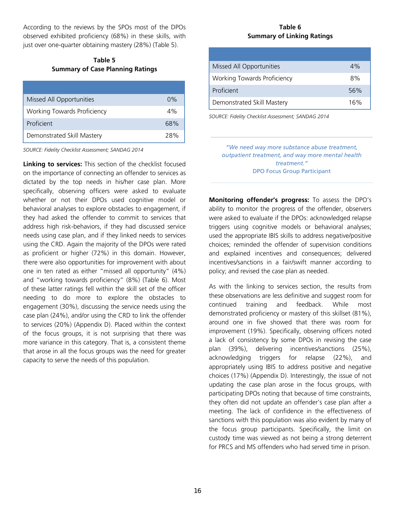According to the reviews by the SPOs most of the DPOs observed exhibited proficiency (68%) in these skills, with just over one-quarter obtaining mastery (28%) (Table 5).

# **Table 5 Summary of Case Planning Ratings**

| Missed All Opportunities           | 0%  |
|------------------------------------|-----|
| <b>Working Towards Proficiency</b> | 4%  |
| Proficient                         | 68% |
| Demonstrated Skill Mastery         | 28% |

*SOURCE: Fidelity Checklist Assessment; SANDAG 2014* 

**Linking to services:** This section of the checklist focused on the importance of connecting an offender to services as dictated by the top needs in his/her case plan. More specifically, observing officers were asked to evaluate whether or not their DPOs used cognitive model or behavioral analyses to explore obstacles to engagement, if they had asked the offender to commit to services that address high risk-behaviors, if they had discussed service needs using case plan, and if they linked needs to services using the CRD. Again the majority of the DPOs were rated as proficient or higher (72%) in this domain. However, there were also opportunities for improvement with about one in ten rated as either "missed all opportunity" (4%) and "working towards proficiency" (8%) (Table 6). Most of these latter ratings fell within the skill set of the officer needing to do more to explore the obstacles to engagement (30%), discussing the service needs using the case plan (24%), and/or using the CRD to link the offender to services (20%) (Appendix D). Placed within the context of the focus groups, it is not surprising that there was more variance in this category. That is, a consistent theme that arose in all the focus groups was the need for greater capacity to serve the needs of this population.

## **Table 6 Summary of Linking Ratings**

| Missed All Opportunities           | 4%  |
|------------------------------------|-----|
| <b>Working Towards Proficiency</b> | 8%  |
| Proficient                         | 56% |
| Demonstrated Skill Mastery         | 16% |

*SOURCE: Fidelity Checklist Assessment; SANDAG 2014* 

*"We need way more substance abuse treatment, outpatient treatment, and way more mental health treatment."*  DPO Focus Group Participant

**Monitoring offender's progress:** To assess the DPO's ability to monitor the progress of the offender, observers were asked to evaluate if the DPOs: acknowledged relapse triggers using cognitive models or behavioral analyses; used the appropriate IBIS skills to address negative/positive choices; reminded the offender of supervision conditions and explained incentives and consequences; delivered incentives/sanctions in a fair/swift manner according to policy; and revised the case plan as needed.

As with the linking to services section, the results from these observations are less definitive and suggest room for continued training and feedback. While most demonstrated proficiency or mastery of this skillset (81%), around one in five showed that there was room for improvement (19%). Specifically, observing officers noted a lack of consistency by some DPOs in revising the case plan (39%), delivering incentives/sanctions (25%), acknowledging triggers for relapse (22%), and appropriately using IBIS to address positive and negative choices (17%) (Appendix D). Interestingly, the issue of not updating the case plan arose in the focus groups, with participating DPOs noting that because of time constraints, they often did not update an offender's case plan after a meeting. The lack of confidence in the effectiveness of sanctions with this population was also evident by many of the focus group participants. Specifically, the limit on custody time was viewed as not being a strong deterrent for PRCS and MS offenders who had served time in prison.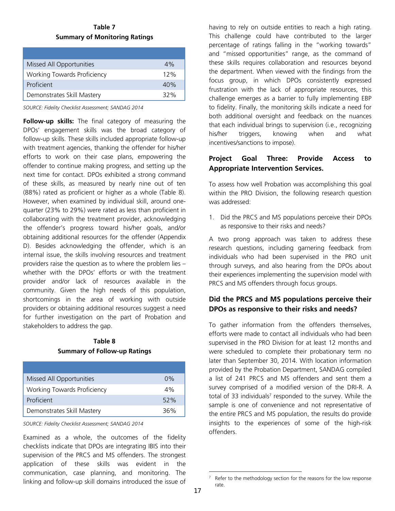**Table 7 Summary of Monitoring Ratings**

| Missed All Opportunities           | 4%  |
|------------------------------------|-----|
| <b>Working Towards Proficiency</b> | 12% |
| Proficient                         | 40% |
| Demonstrates Skill Mastery         | 32% |

*SOURCE: Fidelity Checklist Assessment; SANDAG 2014* 

**Follow-up skills:** The final category of measuring the DPOs' engagement skills was the broad category of follow-up skills. These skills included appropriate follow-up with treatment agencies, thanking the offender for his/her efforts to work on their case plans, empowering the offender to continue making progress, and setting up the next time for contact. DPOs exhibited a strong command of these skills, as measured by nearly nine out of ten (88%) rated as proficient or higher as a whole (Table 8). However, when examined by individual skill, around onequarter (23% to 29%) were rated as less than proficient in collaborating with the treatment provider, acknowledging the offender's progress toward his/her goals, and/or obtaining additional resources for the offender (Appendix D). Besides acknowledging the offender, which is an internal issue, the skills involving resources and treatment providers raise the question as to where the problem lies – whether with the DPOs' efforts or with the treatment provider and/or lack of resources available in the community. Given the high needs of this population, shortcomings in the area of working with outside providers or obtaining additional resources suggest a need for further investigation on the part of Probation and stakeholders to address the gap.

# **Table 8 Summary of Follow-up Ratings**

| Missed All Opportunities           | $0\%$ |
|------------------------------------|-------|
| <b>Working Towards Proficiency</b> | 4%    |
| Proficient                         | 52%   |
| Demonstrates Skill Mastery         | 36%   |

*SOURCE: Fidelity Checklist Assessment; SANDAG 2014* 

Examined as a whole, the outcomes of the fidelity checklists indicate that DPOs are integrating IBIS into their supervision of the PRCS and MS offenders. The strongest application of these skills was evident in the communication, case planning, and monitoring. The linking and follow-up skill domains introduced the issue of

having to rely on outside entities to reach a high rating. This challenge could have contributed to the larger percentage of ratings falling in the "working towards" and "missed opportunities" range, as the command of these skills requires collaboration and resources beyond the department. When viewed with the findings from the focus group, in which DPOs consistently expressed frustration with the lack of appropriate resources, this challenge emerges as a barrier to fully implementing EBP to fidelity. Finally, the monitoring skills indicate a need for both additional oversight and feedback on the nuances that each individual brings to supervision (i.e., recognizing his/her triggers, knowing when and what incentives/sanctions to impose).

# **Project Goal Three: Provide Access to Appropriate Intervention Services.**

To assess how well Probation was accomplishing this goal within the PRO Division, the following research question was addressed:

1. Did the PRCS and MS populations perceive their DPOs as responsive to their risks and needs?

A two prong approach was taken to address these research questions, including garnering feedback from individuals who had been supervised in the PRO unit through surveys, and also hearing from the DPOs about their experiences implementing the supervision model with PRCS and MS offenders through focus groups.

# **Did the PRCS and MS populations perceive their DPOs as responsive to their risks and needs?**

To gather information from the offenders themselves, efforts were made to contact all individuals who had been supervised in the PRO Division for at least 12 months and were scheduled to complete their probationary term no later than September 30, 2014. With location information provided by the Probation Department, SANDAG compiled a list of 241 PRCS and MS offenders and sent them a survey comprised of a modified version of the DRI-R. A total of 33 individuals<sup>7</sup> responded to the survey. While the sample is one of convenience and not representative of the entire PRCS and MS population, the results do provide insights to the experiences of some of the high-risk offenders.

<sup>7</sup> Refer to the methodology section for the reasons for the low response rate.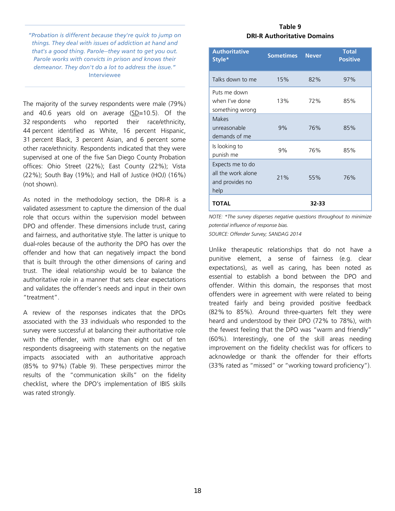*"Probation is different because they're quick to jump on things. They deal with issues of addiction at hand and that's a good thing. Parole--they want to get you out. Parole works with convicts in prison and knows their demeanor. They don't do a lot to address the issue."*  Interviewee

The majority of the survey respondents were male (79%) and 40.6 years old on average (SD=10.5). Of the 32 respondents who reported their race/ethnicity, 44 percent identified as White, 16 percent Hispanic, 31 percent Black, 3 percent Asian, and 6 percent some other race/ethnicity. Respondents indicated that they were supervised at one of the five San Diego County Probation offices: Ohio Street (22%); East County (22%); Vista (22%); South Bay (19%); and Hall of Justice (HOJ) (16%) (not shown).

As noted in the methodology section, the DRI-R is a validated assessment to capture the dimension of the dual role that occurs within the supervision model between DPO and offender. These dimensions include trust, caring and fairness, and authoritative style. The latter is unique to dual-roles because of the authority the DPO has over the offender and how that can negatively impact the bond that is built through the other dimensions of caring and trust. The ideal relationship would be to balance the authoritative role in a manner that sets clear expectations and validates the offender's needs and input in their own "treatment".

A review of the responses indicates that the DPOs associated with the 33 individuals who responded to the survey were successful at balancing their authoritative role with the offender, with more than eight out of ten respondents disagreeing with statements on the negative impacts associated with an authoritative approach (85% to 97%) (Table 9). These perspectives mirror the results of the "communication skills" on the fidelity checklist, where the DPO's implementation of IBIS skills was rated strongly.

### **Table 9 DRI-R Authoritative Domains**

| <b>Authoritative</b><br>Style*                                    | <b>Sometimes</b> | <b>Never</b> | <b>Total</b><br><b>Positive</b> |
|-------------------------------------------------------------------|------------------|--------------|---------------------------------|
| Talks down to me                                                  | 15%              | 82%          | 97%                             |
| Puts me down<br>when I've done<br>something wrong                 | 13%              | 72%          | 85%                             |
| <b>Makes</b><br>unreasonable<br>demands of me                     | 9%               | 76%          | 85%                             |
| Is looking to<br>punish me                                        | 9%               | 76%          | 85%                             |
| Expects me to do<br>all the work alone<br>and provides no<br>help | 21%              | 55%          | 76%                             |
| <b>TOTAL</b>                                                      |                  | 32-33        |                                 |

*NOTE: \*The survey disperses negative questions throughout to minimize potential influence of response bias. SOURCE: Offender Survey; SANDAG 2014* 

Unlike therapeutic relationships that do not have a punitive element, a sense of fairness (e.g. clear expectations), as well as caring, has been noted as essential to establish a bond between the DPO and offender. Within this domain, the responses that most offenders were in agreement with were related to being treated fairly and being provided positive feedback (82% to 85%). Around three-quarters felt they were heard and understood by their DPO (72% to 78%), with the fewest feeling that the DPO was "warm and friendly" (60%). Interestingly, one of the skill areas needing improvement on the fidelity checklist was for officers to acknowledge or thank the offender for their efforts (33% rated as "missed" or "working toward proficiency").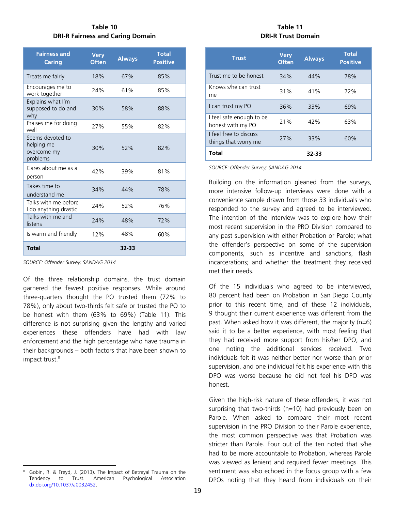# **Table 10 DRI-R Fairness and Caring Domain**

| <b>Fairness and</b><br><b>Caring</b>                      | <b>Very</b><br><b>Often</b> | <b>Always</b> | <b>Total</b><br><b>Positive</b> |
|-----------------------------------------------------------|-----------------------------|---------------|---------------------------------|
| Treats me fairly                                          | 18%                         | 67%           | 85%                             |
| Encourages me to<br>work together                         | 24%                         | 61%           | 85%                             |
| Explains what I'm<br>supposed to do and<br>why            | 30%                         | 58%           | 88%                             |
| Praises me for doing<br>well                              | 27%                         | 55%           | 82%                             |
| Seems devoted to<br>helping me<br>overcome my<br>problems | 30%                         | 52%           | 82%                             |
| Cares about me as a<br>person                             | 42%                         | 39%           | 81%                             |
| Takes time to<br>understand me                            | 34%                         | 44%           | 78%                             |
| Talks with me before<br>I do anything drastic             | 24%                         | 52%           | 76%                             |
| Talks with me and<br>listens                              | 24%                         | 48%           | 72%                             |
| Is warm and friendly                                      | 12%                         | 48%           | 60%                             |
| <b>Total</b>                                              |                             | 32-33         |                                 |

*SOURCE: Offender Survey; SANDAG 2014* 

Of the three relationship domains, the trust domain garnered the fewest positive responses. While around three-quarters thought the PO trusted them (72% to 78%), only about two-thirds felt safe or trusted the PO to be honest with them (63% to 69%) (Table 11). This difference is not surprising given the lengthy and varied experiences these offenders have had with law enforcement and the high percentage who have trauma in their backgrounds – both factors that have been shown to impact trust.<sup>8</sup>

# **Table 11 DRI-R Trust Domain**

| <b>Trust</b>                                   | <b>Very</b><br><b>Often</b> | <b>Always</b> | <b>Total</b><br><b>Positive</b> |
|------------------------------------------------|-----------------------------|---------------|---------------------------------|
| Trust me to be honest                          | 34%                         | 44%           | 78%                             |
| Knows s/he can trust<br>me                     | 31%                         | 41%           | 72%                             |
| I can trust my PO                              | 36%                         | 33%           | 69%                             |
| I feel safe enough to be<br>honest with my PO  | 21%                         | 42%           | 63%                             |
| I feel free to discuss<br>things that worry me | 27%                         | 33%           | 60%                             |
| Total                                          |                             | 32-33         |                                 |

*SOURCE: Offender Survey; SANDAG 2014* 

Building on the information gleaned from the surveys, more intensive follow-up interviews were done with a convenience sample drawn from those 33 individuals who responded to the survey and agreed to be interviewed. The intention of the interview was to explore how their most recent supervision in the PRO Division compared to any past supervision with either Probation or Parole; what the offender's perspective on some of the supervision components, such as incentive and sanctions, flash incarcerations; and whether the treatment they received met their needs.

Of the 15 individuals who agreed to be interviewed, 80 percent had been on Probation in San Diego County prior to this recent time, and of these 12 individuals, 9 thought their current experience was different from the past. When asked how it was different, the majority (n=6) said it to be a better experience, with most feeling that they had received more support from his/her DPO, and one noting the additional services received. Two individuals felt it was neither better nor worse than prior supervision, and one individual felt his experience with this DPO was worse because he did not feel his DPO was honest.

Given the high-risk nature of these offenders, it was not surprising that two-thirds (n=10) had previously been on Parole. When asked to compare their most recent supervision in the PRO Division to their Parole experience, the most common perspective was that Probation was stricter than Parole. Four out of the ten noted that s/he had to be more accountable to Probation, whereas Parole was viewed as lenient and required fewer meetings. This sentiment was also echoed in the focus group with a few DPOs noting that they heard from individuals on their

<sup>8</sup> Gobin, R. & Freyd, J. (2013). The Impact of Betrayal Trauma on the Tendency to Trust. American Psychological Association dx.doi.org/10.1037/a0032452.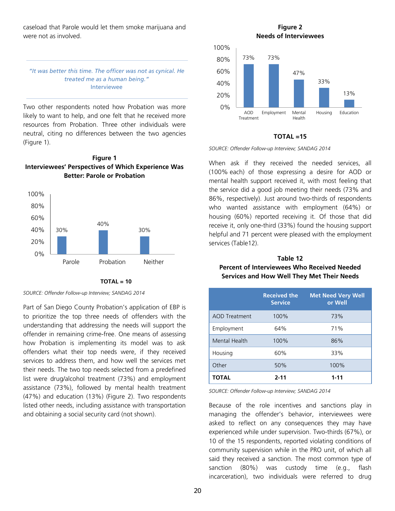caseload that Parole would let them smoke marijuana and were not as involved.

#### *"It was better this time. The officer was not as cynical. He treated me as a human being."*  Interviewee

Two other respondents noted how Probation was more likely to want to help, and one felt that he received more resources from Probation. Three other individuals were neutral, citing no differences between the two agencies (Figure 1).







*SOURCE: Offender Follow-up Interview; SANDAG 2014* 

Part of San Diego County Probation's application of EBP is to prioritize the top three needs of offenders with the understanding that addressing the needs will support the offender in remaining crime-free. One means of assessing how Probation is implementing its model was to ask offenders what their top needs were, if they received services to address them, and how well the services met their needs. The two top needs selected from a predefined list were drug/alcohol treatment (73%) and employment assistance (73%), followed by mental health treatment (47%) and education (13%) (Figure 2). Two respondents listed other needs, including assistance with transportation and obtaining a social security card (not shown).

**Figure 2 Needs of Interviewees** 



#### **TOTAL =15**

#### *SOURCE: Offender Follow-up Interview; SANDAG 2014*

When ask if they received the needed services, all (100% each) of those expressing a desire for AOD or mental health support received it, with most feeling that the service did a good job meeting their needs (73% and 86%, respectively). Just around two-thirds of respondents who wanted assistance with employment (64%) or housing (60%) reported receiving it. Of those that did receive it, only one-third (33%) found the housing support helpful and 71 percent were pleased with the employment services (Table12).

# **Table 12 Percent of Interviewees Who Received Needed Services and How Well They Met Their Needs**

|                      | <b>Received the</b><br><b>Service</b> | <b>Met Need Very Well</b><br>or Well |
|----------------------|---------------------------------------|--------------------------------------|
| <b>AOD Treatment</b> | 100%                                  | 73%                                  |
| Employment           | 64%                                   | 71%                                  |
| Mental Health        | 100%                                  | 86%                                  |
| Housing              | 60%                                   | 33%                                  |
| Other                | 50%                                   | 100%                                 |
| <b>TOTAL</b>         | $2 - 11$                              | $1 - 11$                             |

*SOURCE: Offender Follow-up Interview; SANDAG 2014* 

Because of the role incentives and sanctions play in managing the offender's behavior, interviewees were asked to reflect on any consequences they may have experienced while under supervision. Two-thirds (67%), or 10 of the 15 respondents, reported violating conditions of community supervision while in the PRO unit, of which all said they received a sanction. The most common type of sanction (80%) was custody time (e.g., flash incarceration), two individuals were referred to drug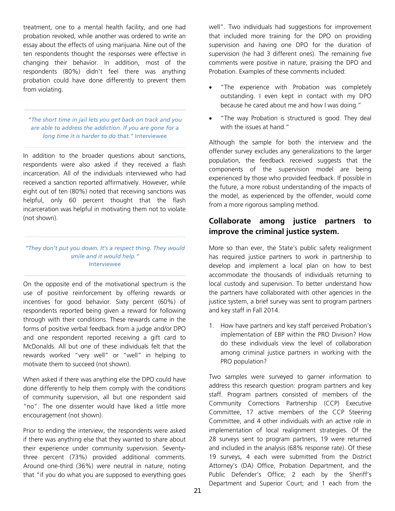treatment, one to a mental health facility, and one had probation revoked, while another was ordered to write an essay about the effects of using marijuana. Nine out of the ten respondents thought the responses were effective in changing their behavior. In addition, most of the respondents (80%) didn't feel there was anything probation could have done differently to prevent them from violating.

*"The short time in jail lets you get back on track and you are able to address the addiction. If you are gone for a long time it is harder to do that."* Interviewee

In addition to the broader questions about sanctions, respondents were also asked if they received a flash incarceration. All of the individuals interviewed who had received a sanction reported affirmatively. However, while eight out of ten (80%) noted that receiving sanctions was helpful, only 60 percent thought that the flash incarceration was helpful in motivating them not to violate (not shown).

*"They don't put you down. It's a respect thing. They would smile and it would help."*  Interviewee

On the opposite end of the motivational spectrum is the use of positive reinforcement by offering rewards or incentives for good behavior. Sixty percent (60%) of respondents reported being given a reward for following through with their conditions. These rewards came in the forms of positive verbal feedback from a judge and/or DPO and one respondent reported receiving a gift card to McDonalds. All but one of these individuals felt that the rewards worked "very well" or "well" in helping to motivate them to succeed (not shown).

When asked if there was anything else the DPO could have done differently to help them comply with the conditions of community supervision, all but one respondent said "no". The one dissenter would have liked a little more encouragement (not shown).

Prior to ending the interview, the respondents were asked if there was anything else that they wanted to share about their experience under community supervision. Seventythree percent (73%) provided additional comments. Around one-third (36%) were neutral in nature, noting that "if you do what you are supposed to everything goes

well". Two individuals had suggestions for improvement that included more training for the DPO on providing supervision and having one DPO for the duration of supervision (he had 3 different ones). The remaining five comments were positive in nature, praising the DPO and Probation. Examples of these comments included:

- "The experience with Probation was completely outstanding. I even kept in contact with my DPO because he cared about me and how I was doing."
- "The way Probation is structured is good. They deal with the issues at hand."

Although the sample for both the interview and the offender survey excludes any generalizations to the larger population, the feedback received suggests that the components of the supervision model are being experienced by those who provided feedback. If possible in the future, a more robust understanding of the impacts of the model, as experienced by the offender, would come from a more rigorous sampling method.

# **Collaborate among justice partners to improve the criminal justice system.**

More so than ever, the State's public safety realignment has required justice partners to work in partnership to develop and implement a local plan on how to best accommodate the thousands of individuals returning to local custody and supervision. To better understand how the partners have collaborated with other agencies in the justice system, a brief survey was sent to program partners and key staff in Fall 2014.

1. How have partners and key staff perceived Probation's implementation of EBP within the PRO Division? How do these individuals view the level of collaboration among criminal justice partners in working with the PRO population?

Two samples were surveyed to garner information to address this research question: program partners and key staff. Program partners consisted of members of the Community Corrections Partnership (CCP) Executive Committee, 17 active members of the CCP Steering Committee, and 4 other individuals with an active role in implementation of local realignment strategies. Of the 28 surveys sent to program partners, 19 were returned and included in the analysis (68% response rate). Of these 19 surveys, 4 each were submitted from the District Attorney's (DA) Office, Probation Department, and the Public Defender's Office; 2 each by the Sheriff's Department and Superior Court; and 1 each from the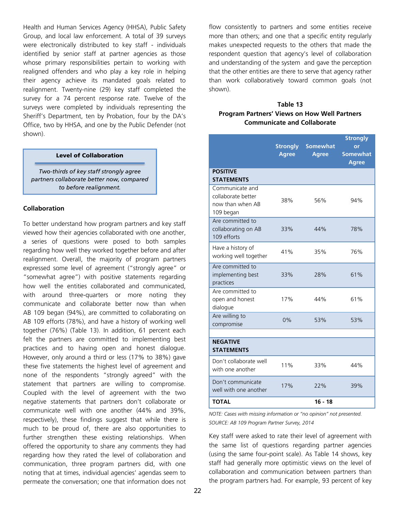Health and Human Services Agency (HHSA), Public Safety Group, and local law enforcement. A total of 39 surveys were electronically distributed to key staff - individuals identified by senior staff at partner agencies as those whose primary responsibilities pertain to working with realigned offenders and who play a key role in helping their agency achieve its mandated goals related to realignment. Twenty-nine (29) key staff completed the survey for a 74 percent response rate. Twelve of the surveys were completed by individuals representing the Sheriff's Department, ten by Probation, four by the DA's Office, two by HHSA, and one by the Public Defender (not shown).

#### **Level of Collaboration**

*Two-thirds of key staff strongly agree partners collaborate better now, compared to before realignment.* 

#### **Collaboration**

To better understand how program partners and key staff viewed how their agencies collaborated with one another, a series of questions were posed to both samples regarding how well they worked together before and after realignment. Overall, the majority of program partners expressed some level of agreement ("strongly agree" or "somewhat agree") with positive statements regarding how well the entities collaborated and communicated, with around three-quarters or more noting they communicate and collaborate better now than when AB 109 began (94%), are committed to collaborating on AB 109 efforts (78%), and have a history of working well together (76%) (Table 13). In addition, 61 percent each felt the partners are committed to implementing best practices and to having open and honest dialogue. However, only around a third or less (17% to 38%) gave these five statements the highest level of agreement and none of the respondents "strongly agreed" with the statement that partners are willing to compromise. Coupled with the level of agreement with the two negative statements that partners don't collaborate or communicate well with one another (44% and 39%, respectively), these findings suggest that while there is much to be proud of, there are also opportunities to further strengthen these existing relationships. When offered the opportunity to share any comments they had regarding how they rated the level of collaboration and communication, three program partners did, with one noting that at times, individual agencies' agendas seem to permeate the conversation; one that information does not

flow consistently to partners and some entities receive more than others; and one that a specific entity regularly makes unexpected requests to the others that made the respondent question that agency's level of collaboration and understanding of the system and gave the perception that the other entities are there to serve that agency rather than work collaboratively toward common goals (not shown).

## **Table 13 Program Partners' Views on How Well Partners Communicate and Collaborate**

|                                                                        | <b>Strongly</b><br><b>Agree</b> | <b>Somewhat</b><br><b>Agree</b> | <b>Strongly</b><br>or<br><b>Somewhat</b><br><b>Agree</b> |
|------------------------------------------------------------------------|---------------------------------|---------------------------------|----------------------------------------------------------|
| <b>POSITIVE</b><br><b>STATEMENTS</b>                                   |                                 |                                 |                                                          |
| Communicate and<br>collaborate better<br>now than when AB<br>109 began | 38%                             | 56%                             | 94%                                                      |
| Are committed to<br>collaborating on AB<br>109 efforts                 | 33%                             | 44%                             | 78%                                                      |
| Have a history of<br>working well together                             | 41%                             | 35%                             | 76%                                                      |
| Are committed to<br>implementing best<br>practices                     | 33%                             | 28%                             | 61%                                                      |
| Are committed to<br>open and honest<br>dialogue                        | 17%                             | 44%                             | 61%                                                      |
| Are willing to<br>compromise                                           | 0%                              | 53%                             | 53%                                                      |
| <b>NEGATIVE</b><br><b>STATEMENTS</b>                                   |                                 |                                 |                                                          |
| Don't collaborate well<br>with one another                             | 11%                             | 33%                             | 44%                                                      |
| Don't communicate<br>well with one another                             | 17%                             | 22%                             | 39%                                                      |
| <b>TOTAL</b>                                                           |                                 | $16 - 18$                       |                                                          |

*NOTE: Cases with missing information or "no opinion" not presented. SOURCE: AB 109 Program Partner Survey, 2014* 

Key staff were asked to rate their level of agreement with the same list of questions regarding partner agencies (using the same four-point scale). As Table 14 shows, key staff had generally more optimistic views on the level of collaboration and communication between partners than the program partners had. For example, 93 percent of key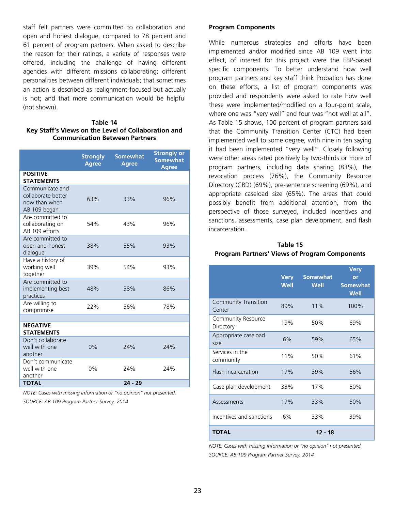staff felt partners were committed to collaboration and open and honest dialogue, compared to 78 percent and 61 percent of program partners. When asked to describe the reason for their ratings, a variety of responses were offered, including the challenge of having different agencies with different missions collaborating; different personalities between different individuals; that sometimes an action is described as realignment-focused but actually is not; and that more communication would be helpful (not shown).

#### **Table 14 Key Staff's Views on the Level of Collaboration and Communication Between Partners**

|                                                                        | <b>Strongly</b><br><b>Agree</b> | <b>Somewhat</b><br><b>Agree</b> | <b>Strongly or</b><br><b>Somewhat</b><br><b>Agree</b> |
|------------------------------------------------------------------------|---------------------------------|---------------------------------|-------------------------------------------------------|
| <b>POSITIVE</b><br><b>STATEMENTS</b>                                   |                                 |                                 |                                                       |
| Communicate and<br>collaborate better<br>now than when<br>AB 109 began | 63%                             | 33%                             | 96%                                                   |
| Are committed to<br>collaborating on<br>AB 109 efforts                 | 54%                             | 43%                             | 96%                                                   |
| Are committed to<br>open and honest<br>dialogue                        | 38%                             | 55%                             | 93%                                                   |
| Have a history of<br>working well<br>together                          | 39%                             | 54%                             | 93%                                                   |
| Are committed to<br>implementing best<br>practices                     | 48%                             | 38%                             | 86%                                                   |
| Are willing to<br>compromise                                           | 22%                             | 56%                             | 78%                                                   |
| <b>NEGATIVE</b><br><b>STATEMENTS</b>                                   |                                 |                                 |                                                       |
| Don't collaborate<br>well with one<br>another                          | 0%                              | 24%                             | 24%                                                   |
| Don't communicate<br>well with one<br>another                          | 0%                              | 24%                             | 24%                                                   |
| <b>TOTAL</b>                                                           |                                 | $24 - 29$                       |                                                       |

*NOTE: Cases with missing information or "no opinion" not presented. SOURCE: AB 109 Program Partner Survey, 2014* 

### **Program Components**

While numerous strategies and efforts have been implemented and/or modified since AB 109 went into effect, of interest for this project were the EBP-based specific components. To better understand how well program partners and key staff think Probation has done on these efforts, a list of program components was provided and respondents were asked to rate how well these were implemented/modified on a four-point scale, where one was "very well" and four was "not well at all". As Table 15 shows, 100 percent of program partners said that the Community Transition Center (CTC) had been implemented well to some degree, with nine in ten saying it had been implemented "very well". Closely following were other areas rated positively by two-thirds or more of program partners, including data sharing (83%), the revocation process (76%), the Community Resource Directory (CRD) (69%), pre-sentence screening (69%), and appropriate caseload size (65%). The areas that could possibly benefit from additional attention, from the perspective of those surveyed, included incentives and sanctions, assessments, case plan development, and flash incarceration.

| Table 15                                      |
|-----------------------------------------------|
| Program Partners' Views of Program Components |

|                                       | <b>Very</b><br><b>Well</b> | <b>Somewhat</b><br>Well | <b>Very</b><br>or<br><b>Somewhat</b><br>Well |
|---------------------------------------|----------------------------|-------------------------|----------------------------------------------|
| <b>Community Transition</b><br>Center | 89%                        | 11%                     | 100%                                         |
| Community Resource<br>Directory       | 19%                        | 50%                     | 69%                                          |
| Appropriate caseload<br>size          | 6%                         | 59%                     | 65%                                          |
| Services in the<br>community          | 11%                        | 50%                     | 61%                                          |
| Flash incarceration                   | 17%                        | 39%                     | 56%                                          |
| Case plan development                 | 33%                        | 17%                     | 50%                                          |
| Assessments                           | 17%                        | 33%                     | 50%                                          |
| Incentives and sanctions              | 6%                         | 33%                     | 39%                                          |
| <b>TOTAL</b>                          |                            | $12 - 18$               |                                              |

*NOTE: Cases with missing information or "no opinion" not presented. SOURCE: AB 109 Program Partner Survey, 2014*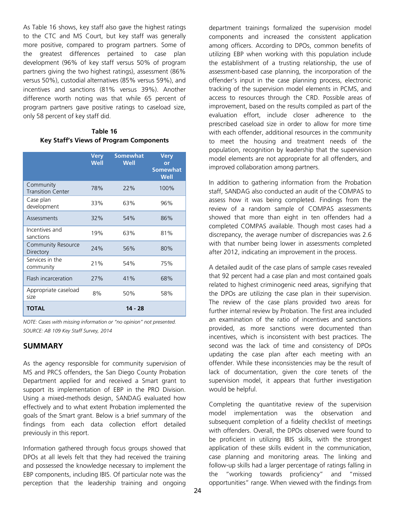As Table 16 shows, key staff also gave the highest ratings to the CTC and MS Court, but key staff was generally more positive, compared to program partners. Some of the greatest differences pertained to case plan development (96% of key staff versus 50% of program partners giving the two highest ratings), assessment (86% versus 50%), custodial alternatives (85% versus 59%), and incentives and sanctions (81% versus 39%). Another difference worth noting was that while 65 percent of program partners gave positive ratings to caseload size, only 58 percent of key staff did.

# **Table 16 Key Staff's Views of Program Components**

|                                       | <b>Very</b><br>Well | <b>Somewhat</b><br>Well | <b>Very</b><br>or<br><b>Somewhat</b><br>Well |
|---------------------------------------|---------------------|-------------------------|----------------------------------------------|
| Community<br><b>Transition Center</b> | 78%                 | 22%                     | 100%                                         |
| Case plan<br>development              | 33%                 | 63%                     | 96%                                          |
| Assessments                           | 32%                 | 54%                     | 86%                                          |
| Incentives and<br>sanctions           | 19%                 | 63%                     | 81%                                          |
| Community Resource<br>Directory       | 24%                 | 56%                     | 80%                                          |
| Services in the<br>community          | 21%                 | 54%                     | 75%                                          |
| <b>Flash incarceration</b>            | 27%                 | 41%                     | 68%                                          |
| Appropriate caseload<br>size          | 8%                  | 50%                     | 58%                                          |
| TOTAL                                 |                     | 14 - 28                 |                                              |

*NOTE: Cases with missing information or "no opinion" not presented. SOURCE: AB 109 Key Staff Survey, 2014* 

# **SUMMARY**

As the agency responsible for community supervision of MS and PRCS offenders, the San Diego County Probation Department applied for and received a Smart grant to support its implementation of EBP in the PRO Division. Using a mixed-methods design, SANDAG evaluated how effectively and to what extent Probation implemented the goals of the Smart grant. Below is a brief summary of the findings from each data collection effort detailed previously in this report.

Information gathered through focus groups showed that DPOs at all levels felt that they had received the training and possessed the knowledge necessary to implement the EBP components, including IBIS. Of particular note was the perception that the leadership training and ongoing

department trainings formalized the supervision model components and increased the consistent application among officers. According to DPOs, common benefits of utilizing EBP when working with this population include the establishment of a trusting relationship, the use of assessment-based case planning, the incorporation of the offender's input in the case planning process, electronic tracking of the supervision model elements in PCMS, and access to resources through the CRD. Possible areas of improvement, based on the results compiled as part of the evaluation effort, include closer adherence to the prescribed caseload size in order to allow for more time with each offender, additional resources in the community to meet the housing and treatment needs of the population, recognition by leadership that the supervision model elements are not appropriate for all offenders, and improved collaboration among partners.

In addition to gathering information from the Probation staff, SANDAG also conducted an audit of the COMPAS to assess how it was being completed. Findings from the review of a random sample of COMPAS assessments showed that more than eight in ten offenders had a completed COMPAS available. Though most cases had a discrepancy, the average number of discrepancies was 2.6 with that number being lower in assessments completed after 2012, indicating an improvement in the process.

A detailed audit of the case plans of sample cases revealed that 92 percent had a case plan and most contained goals related to highest criminogenic need areas, signifying that the DPOs are utilizing the case plan in their supervision. The review of the case plans provided two areas for further internal review by Probation. The first area included an examination of the ratio of incentives and sanctions provided, as more sanctions were documented than incentives, which is inconsistent with best practices. The second was the lack of time and consistency of DPOs updating the case plan after each meeting with an offender. While these inconsistencies may be the result of lack of documentation, given the core tenets of the supervision model, it appears that further investigation would be helpful.

Completing the quantitative review of the supervision model implementation was the observation and subsequent completion of a fidelity checklist of meetings with offenders. Overall, the DPOs observed were found to be proficient in utilizing IBIS skills, with the strongest application of these skills evident in the communication, case planning and monitoring areas. The linking and follow-up skills had a larger percentage of ratings falling in the "working towards proficiency" and "missed opportunities" range. When viewed with the findings from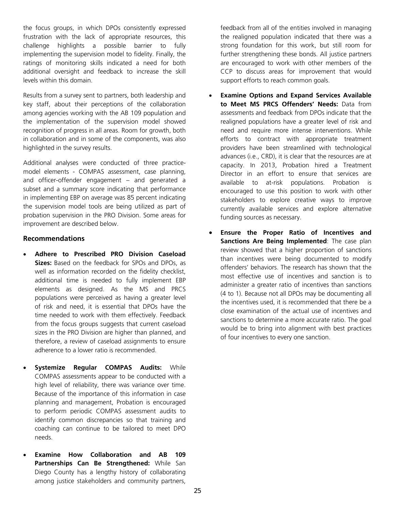the focus groups, in which DPOs consistently expressed frustration with the lack of appropriate resources, this challenge highlights a possible barrier to fully implementing the supervision model to fidelity. Finally, the ratings of monitoring skills indicated a need for both additional oversight and feedback to increase the skill levels within this domain.

Results from a survey sent to partners, both leadership and key staff, about their perceptions of the collaboration among agencies working with the AB 109 population and the implementation of the supervision model showed recognition of progress in all areas. Room for growth, both in collaboration and in some of the components, was also highlighted in the survey results.

Additional analyses were conducted of three practicemodel elements - COMPAS assessment, case planning, and officer-offender engagement – and generated a subset and a summary score indicating that performance in implementing EBP on average was 85 percent indicating the supervision model tools are being utilized as part of probation supervision in the PRO Division. Some areas for improvement are described below.

#### **Recommendations**

- **Adhere to Prescribed PRO Division Caseload Sizes:** Based on the feedback for SPOs and DPOs, as well as information recorded on the fidelity checklist, additional time is needed to fully implement EBP elements as designed. As the MS and PRCS populations were perceived as having a greater level of risk and need, it is essential that DPOs have the time needed to work with them effectively. Feedback from the focus groups suggests that current caseload sizes in the PRO Division are higher than planned, and therefore, a review of caseload assignments to ensure adherence to a lower ratio is recommended.
- **Systemize Regular COMPAS Audits:** While COMPAS assessments appear to be conducted with a high level of reliability, there was variance over time. Because of the importance of this information in case planning and management, Probation is encouraged to perform periodic COMPAS assessment audits to identify common discrepancies so that training and coaching can continue to be tailored to meet DPO needs.
- **Examine How Collaboration and AB 109 Partnerships Can Be Strengthened:** While San Diego County has a lengthy history of collaborating among justice stakeholders and community partners,

feedback from all of the entities involved in managing the realigned population indicated that there was a strong foundation for this work, but still room for further strengthening these bonds. All justice partners are encouraged to work with other members of the CCP to discuss areas for improvement that would support efforts to reach common goals.

- **Examine Options and Expand Services Available to Meet MS PRCS Offenders' Needs:** Data from assessments and feedback from DPOs indicate that the realigned populations have a greater level of risk and need and require more intense interventions. While efforts to contract with appropriate treatment providers have been streamlined with technological advances (i.e., CRD), it is clear that the resources are at capacity. In 2013, Probation hired a Treatment Director in an effort to ensure that services are available to at-risk populations. Probation is encouraged to use this position to work with other stakeholders to explore creative ways to improve currently available services and explore alternative funding sources as necessary.
- **Ensure the Proper Ratio of Incentives and Sanctions Are Being Implemented**: The case plan review showed that a higher proportion of sanctions than incentives were being documented to modify offenders' behaviors. The research has shown that the most effective use of incentives and sanction is to administer a greater ratio of incentives than sanctions (4 to 1). Because not all DPOs may be documenting all the incentives used, it is recommended that there be a close examination of the actual use of incentives and sanctions to determine a more accurate ratio. The goal would be to bring into alignment with best practices of four incentives to every one sanction.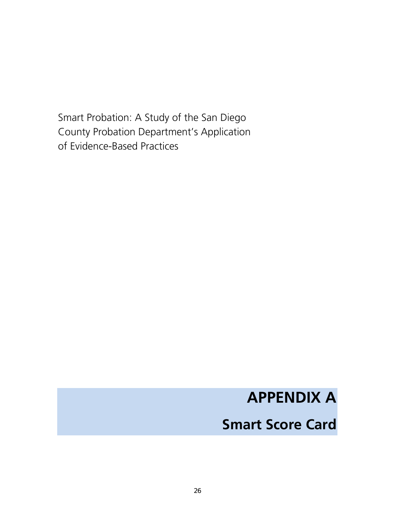Smart Probation: A Study of the San Diego County Probation Department's Application of Evidence-Based Practices

# **APPENDIX A**

# **Smart Score Card**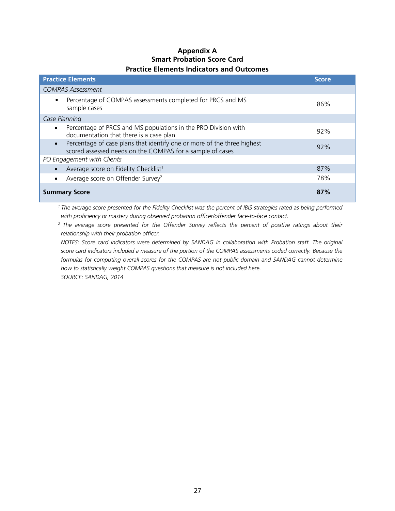# **Appendix A Smart Probation Score Card Practice Elements Indicators and Outcomes**

| <b>Practice Elements</b>                                                                                                                          | <b>Score</b> |
|---------------------------------------------------------------------------------------------------------------------------------------------------|--------------|
| <b>COMPAS Assessment</b>                                                                                                                          |              |
| Percentage of COMPAS assessments completed for PRCS and MS<br>$\bullet$<br>sample cases                                                           | 86%          |
| Case Planning                                                                                                                                     |              |
| Percentage of PRCS and MS populations in the PRO Division with<br>$\bullet$<br>documentation that there is a case plan                            | 92%          |
| Percentage of case plans that identify one or more of the three highest<br>$\bullet$<br>scored assessed needs on the COMPAS for a sample of cases | 92%          |
| PO Engagement with Clients                                                                                                                        |              |
| Average score on Fidelity Checklist <sup>1</sup>                                                                                                  | 87%          |
| Average score on Offender Survey <sup>2</sup>                                                                                                     | 78%          |
| <b>Summary Score</b>                                                                                                                              | 87%          |

*1 The average score presented for the Fidelity Checklist was the percent of IBIS strategies rated as being performed with proficiency or mastery during observed probation officer/offender face-to-face contact.* 

*2 The average score presented for the Offender Survey reflects the percent of positive ratings about their relationship with their probation officer.* 

*NOTES: Score card indicators were determined by SANDAG in collaboration with Probation staff. The original score card indicators included a measure of the portion of the COMPAS assessments coded correctly. Because the*  formulas for computing overall scores for the COMPAS are not public domain and SANDAG cannot determine *how to statistically weight COMPAS questions that measure is not included here. SOURCE: SANDAG, 2014*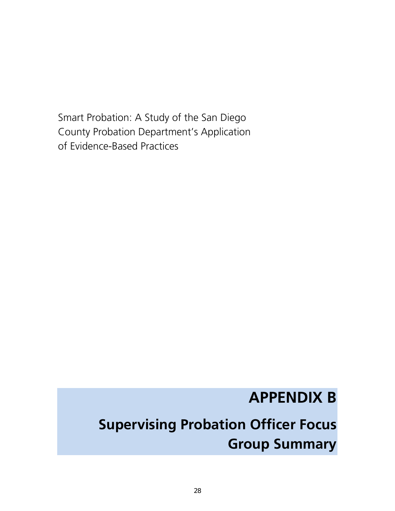Smart Probation: A Study of the San Diego County Probation Department's Application of Evidence-Based Practices

# **APPENDIX B**

# **Supervising Probation Officer Focus Group Summary**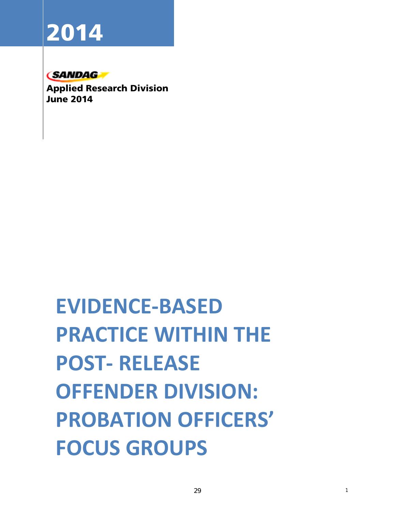# **2014**

# **CSANDAG**

**Applied Research Division June 2014** 

# **EVIDENCE-BASED PRACTICE WITHIN THE POST- RELEASE OFFENDER DIVISION: PROBATION OFFICERS' FOCUS GROUPS**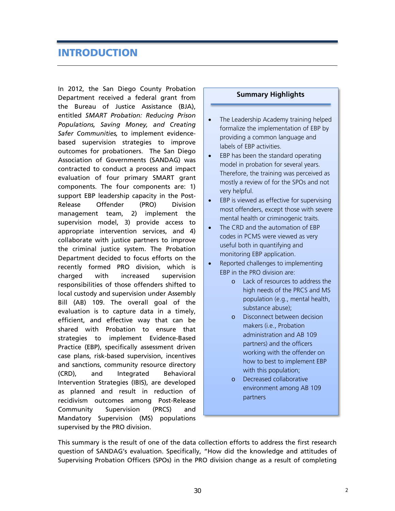# **INTRODUCTION**

In 2012, the San Diego County Probation Department received a federal grant from the Bureau of Justice Assistance (BJA), entitled *SMART Probation: Reducing Prison Populations, Saving Money, and Creating Safer Communities,* to implement evidencebased supervision strategies to improve outcomes for probationers. The San Diego Association of Governments (SANDAG) was contracted to conduct a process and impact evaluation of four primary SMART grant components. The four components are: 1) support EBP leadership capacity in the Post-Release Offender (PRO) Division management team, 2) implement the supervision model, 3) provide access to appropriate intervention services, and 4) collaborate with justice partners to improve the criminal justice system. The Probation Department decided to focus efforts on the recently formed PRO division, which is charged with increased supervision responsibilities of those offenders shifted to local custody and supervision under Assembly Bill (AB) 109. The overall goal of the evaluation is to capture data in a timely, efficient, and effective way that can be shared with Probation to ensure that strategies to implement Evidence-Based Practice (EBP), specifically assessment driven case plans, risk-based supervision, incentives and sanctions, community resource directory (CRD), and Integrated Behavioral Intervention Strategies (IBIS), are developed as planned and result in reduction of recidivism outcomes among Post-Release Community Supervision (PRCS) and Mandatory Supervision (MS) populations supervised by the PRO division.

## **Summary Highlights**

- The Leadership Academy training helped formalize the implementation of EBP by providing a common language and labels of EBP activities.
- EBP has been the standard operating model in probation for several years. Therefore, the training was perceived as mostly a review of for the SPOs and not very helpful.
- **EBP** is viewed as effective for supervising most offenders, except those with severe mental health or criminogenic traits.
- The CRD and the automation of EBP codes in PCMS were viewed as very useful both in quantifying and monitoring EBP application.
- Reported challenges to implementing EBP in the PRO division are:
	- o Lack of resources to address the high needs of the PRCS and MS population (e.g., mental health, substance abuse);
	- o Disconnect between decision makers (i.e., Probation administration and AB 109 partners) and the officers working with the offender on how to best to implement EBP with this population;
	- o Decreased collaborative environment among AB 109 partners

This summary is the result of one of the data collection efforts to address the first research question of SANDAG's evaluation. Specifically, "How did the knowledge and attitudes of Supervising Probation Officers (SPOs) in the PRO division change as a result of completing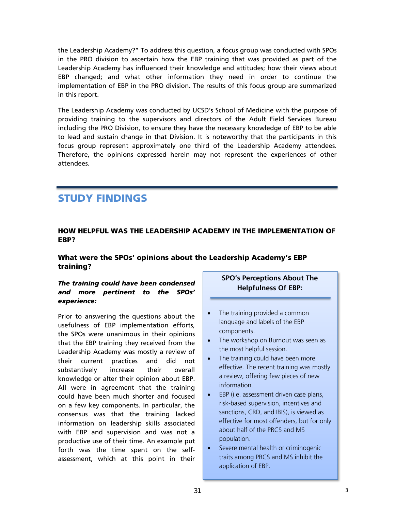the Leadership Academy?" To address this question, a focus group was conducted with SPOs in the PRO division to ascertain how the EBP training that was provided as part of the Leadership Academy has influenced their knowledge and attitudes; how their views about EBP changed; and what other information they need in order to continue the implementation of EBP in the PRO division. The results of this focus group are summarized in this report.

The Leadership Academy was conducted by UCSD's School of Medicine with the purpose of providing training to the supervisors and directors of the Adult Field Services Bureau including the PRO Division, to ensure they have the necessary knowledge of EBP to be able to lead and sustain change in that Division. It is noteworthy that the participants in this focus group represent approximately one third of the Leadership Academy attendees. Therefore, the opinions expressed herein may not represent the experiences of other attendees.

# **STUDY FINDINGS**

# **HOW HELPFUL WAS THE LEADERSHIP ACADEMY IN THE IMPLEMENTATION OF EBP?**

# **What were the SPOs' opinions about the Leadership Academy's EBP training?**

# *The training could have been condensed and more pertinent to the SPOs' experience:*

Prior to answering the questions about the usefulness of EBP implementation efforts, the SPOs were unanimous in their opinions that the EBP training they received from the Leadership Academy was mostly a review of their current practices and did not substantively increase their overall knowledge or alter their opinion about EBP. All were in agreement that the training could have been much shorter and focused on a few key components. In particular, the consensus was that the training lacked information on leadership skills associated with EBP and supervision and was not a productive use of their time. An example put forth was the time spent on the selfassessment, which at this point in their

# **SPO's Perceptions About The Helpfulness Of EBP:**

- The training provided a common language and labels of the EBP components.
- The workshop on Burnout was seen as the most helpful session.
- The training could have been more effective. The recent training was mostly a review, offering few pieces of new information.
- EBP (i.e. assessment driven case plans, risk-based supervision, incentives and sanctions, CRD, and IBIS), is viewed as effective for most offenders, but for only about half of the PRCS and MS population.
- Severe mental health or criminogenic traits among PRCS and MS inhibit the application of EBP.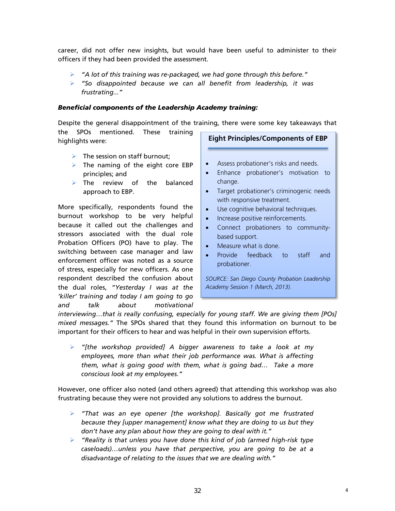career, did not offer new insights, but would have been useful to administer to their officers if they had been provided the assessment*.* 

- *"A lot of this training was re-packaged, we had gone through this before."*
- *"So disappointed because we can all benefit from leadership, it was frustrating..."*

# *Beneficial components of the Leadership Academy training:*

Despite the general disappointment of the training, there were some key takeaways that the SPOs mentioned. These training highlights were: **Eight Principles/Components of EBP** 

- $\triangleright$  The session on staff burnout;
- $\triangleright$  The naming of the eight core EBP principles; and
- $\triangleright$  The review of the balanced approach to EBP.

More specifically, respondents found the burnout workshop to be very helpful because it called out the challenges and stressors associated with the dual role Probation Officers (PO) have to play. The switching between case manager and law enforcement officer was noted as a source of stress, especially for new officers. As one respondent described the confusion about the dual roles, *"Yesterday I was at the 'killer' training and today I am going to go and talk about motivational* 

- Assess probationer's risks and needs.
- Enhance probationer's motivation to change.
- Target probationer's criminogenic needs with responsive treatment.
- Use cognitive behavioral techniques.
- Increase positive reinforcements.
- Connect probationers to communitybased support.
- Measure what is done.
- Provide feedback to staff and probationer.

*SOURCE: San Diego County Probation Leadership Academy Session 1 (March, 2013).* 

*interviewing…that is really confusing, especially for young staff. We are giving them [POs] mixed messages."* The SPOs shared that they found this information on burnout to be important for their officers to hear and was helpful in their own supervision efforts.

 *"[the workshop provided] A bigger awareness to take a look at my employees, more than what their job performance was. What is affecting them, what is going good with them, what is going bad… Take a more conscious look at my employees."*

However, one officer also noted (and others agreed) that attending this workshop was also frustrating because they were not provided any solutions to address the burnout.

- *"That was an eye opener [the workshop]. Basically got me frustrated because they [upper management] know what they are doing to us but they don't have any plan about how they are going to deal with it."*
- *"Reality is that unless you have done this kind of job (armed high-risk type caseloads)…unless you have that perspective, you are going to be at a disadvantage of relating to the issues that we are dealing with."*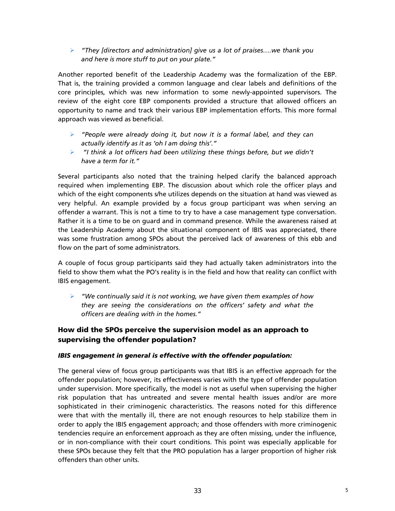*"They [directors and administration] give us a lot of praises….we thank you and here is more stuff to put on your plate."*

Another reported benefit of the Leadership Academy was the formalization of the EBP. That is, the training provided a common language and clear labels and definitions of the core principles, which was new information to some newly-appointed supervisors. The review of the eight core EBP components provided a structure that allowed officers an opportunity to name and track their various EBP implementation efforts. This more formal approach was viewed as beneficial.

- *"People were already doing it, but now it is a formal label, and they can actually identify as it as 'oh I am doing this'."*
- *"I think a lot officers had been utilizing these things before, but we didn't have a term for it."*

Several participants also noted that the training helped clarify the balanced approach required when implementing EBP. The discussion about which role the officer plays and which of the eight components s/he utilizes depends on the situation at hand was viewed as very helpful. An example provided by a focus group participant was when serving an offender a warrant. This is not a time to try to have a case management type conversation. Rather it is a time to be on guard and in command presence. While the awareness raised at the Leadership Academy about the situational component of IBIS was appreciated, there was some frustration among SPOs about the perceived lack of awareness of this ebb and flow on the part of some administrators.

A couple of focus group participants said they had actually taken administrators into the field to show them what the PO's reality is in the field and how that reality can conflict with IBIS engagement.

 *"We continually said it is not working, we have given them examples of how they are seeing the considerations on the officers' safety and what the officers are dealing with in the homes."*

# **How did the SPOs perceive the supervision model as an approach to supervising the offender population?**

# *IBIS engagement in general is effective with the offender population:*

The general view of focus group participants was that IBIS is an effective approach for the offender population; however, its effectiveness varies with the type of offender population under supervision. More specifically, the model is not as useful when supervising the higher risk population that has untreated and severe mental health issues and/or are more sophisticated in their criminogenic characteristics. The reasons noted for this difference were that with the mentally ill, there are not enough resources to help stabilize them in order to apply the IBIS engagement approach; and those offenders with more criminogenic tendencies require an enforcement approach as they are often missing, under the influence, or in non-compliance with their court conditions. This point was especially applicable for these SPOs because they felt that the PRO population has a larger proportion of higher risk offenders than other units.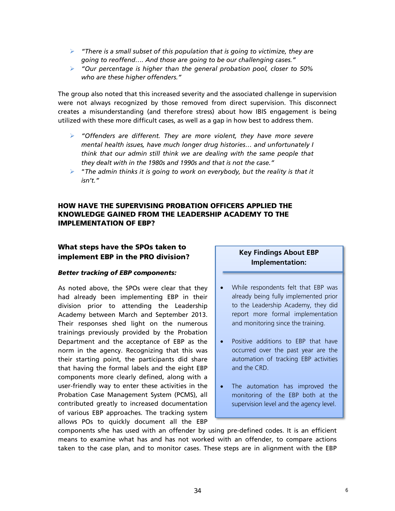- *"There is a small subset of this population that is going to victimize, they are going to reoffend…. And those are going to be our challenging cases."*
- *"Our percentage is higher than the general probation pool, closer to 50% who are these higher offenders."*

The group also noted that this increased severity and the associated challenge in supervision were not always recognized by those removed from direct supervision. This disconnect creates a misunderstanding (and therefore stress) about how IBIS engagement is being utilized with these more difficult cases, as well as a gap in how best to address them.

- *"Offenders are different. They are more violent, they have more severe mental health issues, have much longer drug histories… and unfortunately I think that our admin still think we are dealing with the same people that they dealt with in the 1980s and 1990s and that is not the case."*
- "*The admin thinks it is going to work on everybody, but the reality is that it isn't."*

# **HOW HAVE THE SUPERVISING PROBATION OFFICERS APPLIED THE KNOWLEDGE GAINED FROM THE LEADERSHIP ACADEMY TO THE IMPLEMENTATION OF EBP?**

# **What steps have the SPOs taken to implement EBP in the PRO division?**

#### *Better tracking of EBP components:*

As noted above, the SPOs were clear that they had already been implementing EBP in their division prior to attending the Leadership Academy between March and September 2013. Their responses shed light on the numerous trainings previously provided by the Probation Department and the acceptance of EBP as the norm in the agency. Recognizing that this was their starting point, the participants did share that having the formal labels and the eight EBP components more clearly defined, along with a user-friendly way to enter these activities in the Probation Case Management System (PCMS), all contributed greatly to increased documentation of various EBP approaches. The tracking system allows POs to quickly document all the EBP

# **Key Findings About EBP Implementation:**

- While respondents felt that EBP was already being fully implemented prior to the Leadership Academy, they did report more formal implementation and monitoring since the training.
- Positive additions to EBP that have occurred over the past year are the automation of tracking EBP activities and the CRD.
- The automation has improved the monitoring of the EBP both at the supervision level and the agency level.

components s/he has used with an offender by using pre-defined codes. It is an efficient means to examine what has and has not worked with an offender, to compare actions taken to the case plan, and to monitor cases. These steps are in alignment with the EBP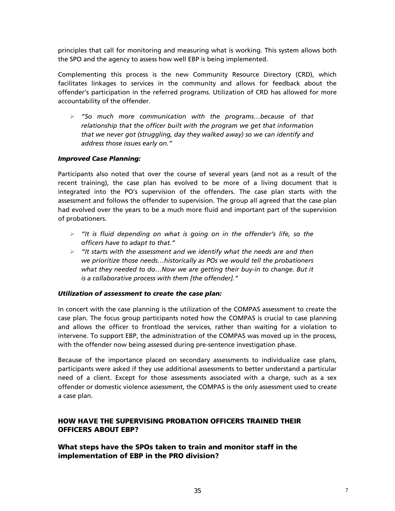principles that call for monitoring and measuring what is working. This system allows both the SPO and the agency to assess how well EBP is being implemented.

Complementing this process is the new Community Resource Directory (CRD), which facilitates linkages to services in the community and allows for feedback about the offender's participation in the referred programs. Utilization of CRD has allowed for more accountability of the offender.

 *"So much more communication with the programs…because of that relationship that the officer built with the program we get that information that we never got (struggling, day they walked away) so we can identify and address those issues early on."*

# *Improved Case Planning:*

Participants also noted that over the course of several years (and not as a result of the recent training), the case plan has evolved to be more of a living document that is integrated into the PO's supervision of the offenders. The case plan starts with the assessment and follows the offender to supervision. The group all agreed that the case plan had evolved over the years to be a much more fluid and important part of the supervision of probationers.

- *"It is fluid depending on what is going on in the offender's life, so the officers have to adapt to that."*
- *"It starts with the assessment and we identify what the needs are and then we prioritize those needs…historically as POs we would tell the probationers what they needed to do…Now we are getting their buy-in to change. But it is a collaborative process with them [the offender]."*

## *Utilization of assessment to create the case plan:*

In concert with the case planning is the utilization of the COMPAS assessment to create the case plan. The focus group participants noted how the COMPAS is crucial to case planning and allows the officer to frontload the services, rather than waiting for a violation to intervene. To support EBP, the administration of the COMPAS was moved up in the process, with the offender now being assessed during pre-sentence investigation phase.

Because of the importance placed on secondary assessments to individualize case plans, participants were asked if they use additional assessments to better understand a particular need of a client. Except for those assessments associated with a charge, such as a sex offender or domestic violence assessment, the COMPAS is the only assessment used to create a case plan.

# **HOW HAVE THE SUPERVISING PROBATION OFFICERS TRAINED THEIR OFFICERS ABOUT EBP?**

# **What steps have the SPOs taken to train and monitor staff in the implementation of EBP in the PRO division?**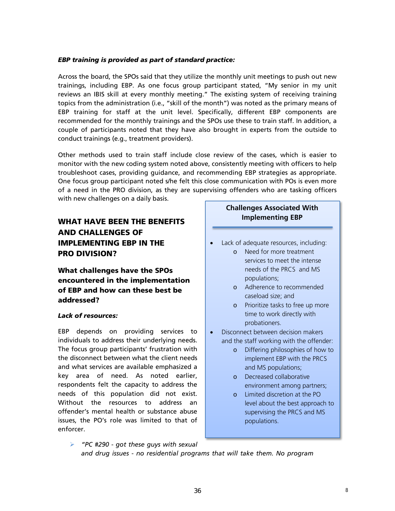# *EBP training is provided as part of standard practice:*

Across the board, the SPOs said that they utilize the monthly unit meetings to push out new trainings, including EBP. As one focus group participant stated, "My senior in my unit reviews an IBIS skill at every monthly meeting." The existing system of receiving training topics from the administration (i.e., "skill of the month") was noted as the primary means of EBP training for staff at the unit level. Specifically, different EBP components are recommended for the monthly trainings and the SPOs use these to train staff. In addition, a couple of participants noted that they have also brought in experts from the outside to conduct trainings (e.g., treatment providers).

Other methods used to train staff include close review of the cases, which is easier to monitor with the new coding system noted above, consistently meeting with officers to help troubleshoot cases, providing guidance, and recommending EBP strategies as appropriate. One focus group participant noted s/he felt this close communication with POs is even more of a need in the PRO division, as they are supervising offenders who are tasking officers with new challenges on a daily basis.

# **WHAT HAVE BEEN THE BENEFITS AND CHALLENGES OF IMPLEMENTING EBP IN THE PRO DIVISION?**

**What challenges have the SPOs encountered in the implementation of EBP and how can these best be addressed?**

# *Lack of resources:*

EBP depends on providing services to individuals to address their underlying needs. The focus group participants' frustration with the disconnect between what the client needs and what services are available emphasized a key area of need. As noted earlier, respondents felt the capacity to address the needs of this population did not exist. Without the resources to address an offender's mental health or substance abuse issues, the PO's role was limited to that of enforcer.

# **Challenges Associated With Implementing EBP**

- Lack of adequate resources, including:
	- o Need for more treatment services to meet the intense needs of the PRCS and MS populations;
	- o Adherence to recommended caseload size; and
	- o Prioritize tasks to free up more time to work directly with probationers.
- Disconnect between decision makers and the staff working with the offender:
	- o Differing philosophies of how to implement EBP with the PRCS and MS populations;
	- o Decreased collaborative environment among partners;
	- o Limited discretion at the PO level about the best approach to supervising the PRCS and MS populations.
- *"PC #290 got these guys with sexual and drug issues - no residential programs that will take them. No program*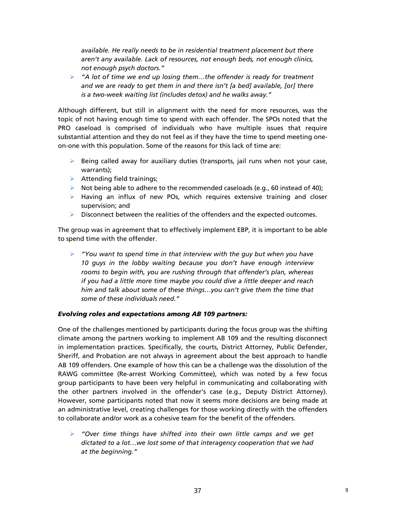*available. He really needs to be in residential treatment placement but there aren't any available. Lack of resources, not enough beds, not enough clinics, not enough psych doctors."* 

 *"A lot of time we end up losing them…the offender is ready for treatment and we are ready to get them in and there isn't [a bed] available, [or] there is a two-week waiting list (includes detox) and he walks away."*

Although different, but still in alignment with the need for more resources, was the topic of not having enough time to spend with each offender. The SPOs noted that the PRO caseload is comprised of individuals who have multiple issues that require substantial attention and they do not feel as if they have the time to spend meeting oneon-one with this population. Some of the reasons for this lack of time are:

- $\triangleright$  Being called away for auxiliary duties (transports, jail runs when not your case, warrants);
- $\triangleright$  Attending field trainings;
- $\triangleright$  Not being able to adhere to the recommended caseloads (e.g., 60 instead of 40);
- $\triangleright$  Having an influx of new POs, which requires extensive training and closer supervision; and
- $\triangleright$  Disconnect between the realities of the offenders and the expected outcomes.

The group was in agreement that to effectively implement EBP, it is important to be able to spend time with the offender.

 *"You want to spend time in that interview with the guy but when you have 10 guys in the lobby waiting because you don't have enough interview rooms to begin with, you are rushing through that offender's plan, whereas if you had a little more time maybe you could dive a little deeper and reach him and talk about some of these things…you can't give them the time that some of these individuals need."*

## *Evolving roles and expectations among AB 109 partners:*

One of the challenges mentioned by participants during the focus group was the shifting climate among the partners working to implement AB 109 and the resulting disconnect in implementation practices. Specifically, the courts, District Attorney, Public Defender, Sheriff, and Probation are not always in agreement about the best approach to handle AB 109 offenders. One example of how this can be a challenge was the dissolution of the RAWG committee (Re-arrest Working Committee), which was noted by a few focus group participants to have been very helpful in communicating and collaborating with the other partners involved in the offender's case (e.g., Deputy District Attorney). However, some participants noted that now it seems more decisions are being made at an administrative level, creating challenges for those working directly with the offenders to collaborate and/or work as a cohesive team for the benefit of the offenders.

 *"Over time things have shifted into their own little camps and we get dictated to a lot…we lost some of that interagency cooperation that we had at the beginning."*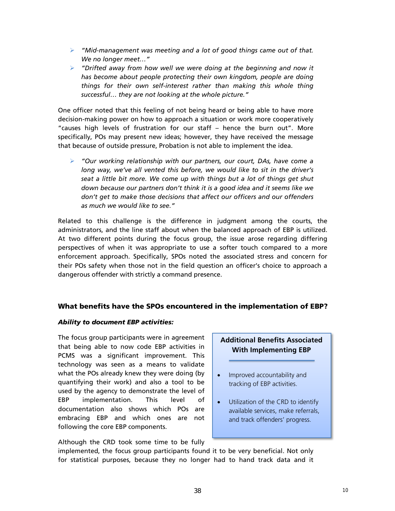- *"Mid-management was meeting and a lot of good things came out of that. We no longer meet…"*
- *"Drifted away from how well we were doing at the beginning and now it has become about people protecting their own kingdom, people are doing things for their own self-interest rather than making this whole thing successful… they are not looking at the whole picture."*

One officer noted that this feeling of not being heard or being able to have more decision-making power on how to approach a situation or work more cooperatively "causes high levels of frustration for our staff – hence the burn out". More specifically, POs may present new ideas; however, they have received the message that because of outside pressure, Probation is not able to implement the idea.

 *"Our working relationship with our partners, our court, DAs, have come a long way, we've all vented this before, we would like to sit in the driver's seat a little bit more. We come up with things but a lot of things get shut down because our partners don't think it is a good idea and it seems like we don't get to make those decisions that affect our officers and our offenders as much we would like to see."*

Related to this challenge is the difference in judgment among the courts, the administrators, and the line staff about when the balanced approach of EBP is utilized. At two different points during the focus group, the issue arose regarding differing perspectives of when it was appropriate to use a softer touch compared to a more enforcement approach. Specifically, SPOs noted the associated stress and concern for their POs safety when those not in the field question an officer's choice to approach a dangerous offender with strictly a command presence.

# **What benefits have the SPOs encountered in the implementation of EBP?**

## *Ability to document EBP activities:*

The focus group participants were in agreement that being able to now code EBP activities in PCMS was a significant improvement. This technology was seen as a means to validate what the POs already knew they were doing (by quantifying their work) and also a tool to be used by the agency to demonstrate the level of EBP implementation. This level of documentation also shows which POs are embracing EBP and which ones are not following the core EBP components.

# Although the CRD took some time to be fully

# **Additional Benefits Associated With Implementing EBP**

- Improved accountability and tracking of EBP activities.
- Utilization of the CRD to identify available services, make referrals, and track offenders' progress.

implemented, the focus group participants found it to be very beneficial. Not only for statistical purposes, because they no longer had to hand track data and it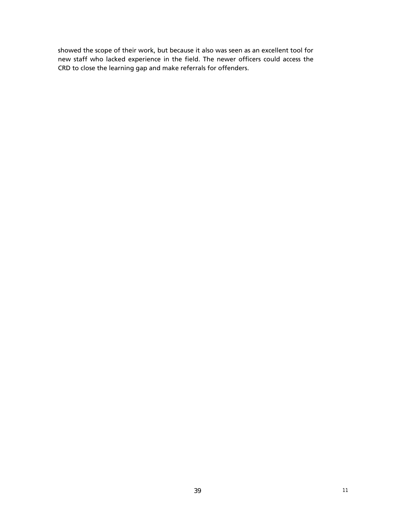showed the scope of their work, but because it also was seen as an excellent tool for new staff who lacked experience in the field. The newer officers could access the CRD to close the learning gap and make referrals for offenders.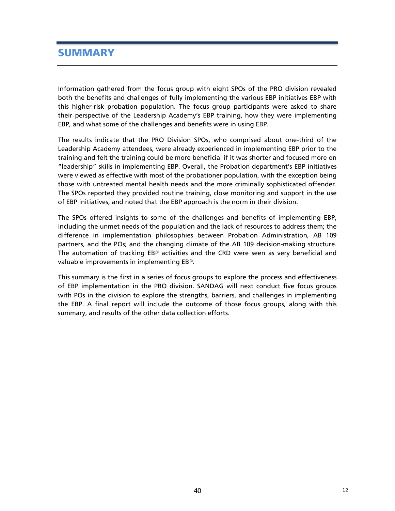# **SUMMARY**

Information gathered from the focus group with eight SPOs of the PRO division revealed both the benefits and challenges of fully implementing the various EBP initiatives EBP with this higher-risk probation population. The focus group participants were asked to share their perspective of the Leadership Academy's EBP training, how they were implementing EBP, and what some of the challenges and benefits were in using EBP.

The results indicate that the PRO Division SPOs, who comprised about one-third of the Leadership Academy attendees, were already experienced in implementing EBP prior to the training and felt the training could be more beneficial if it was shorter and focused more on "leadership" skills in implementing EBP. Overall, the Probation department's EBP initiatives were viewed as effective with most of the probationer population, with the exception being those with untreated mental health needs and the more criminally sophisticated offender. The SPOs reported they provided routine training, close monitoring and support in the use of EBP initiatives, and noted that the EBP approach is the norm in their division.

The SPOs offered insights to some of the challenges and benefits of implementing EBP, including the unmet needs of the population and the lack of resources to address them; the difference in implementation philosophies between Probation Administration, AB 109 partners, and the POs; and the changing climate of the AB 109 decision-making structure. The automation of tracking EBP activities and the CRD were seen as very beneficial and valuable improvements in implementing EBP.

This summary is the first in a series of focus groups to explore the process and effectiveness of EBP implementation in the PRO division. SANDAG will next conduct five focus groups with POs in the division to explore the strengths, barriers, and challenges in implementing the EBP. A final report will include the outcome of those focus groups, along with this summary, and results of the other data collection efforts.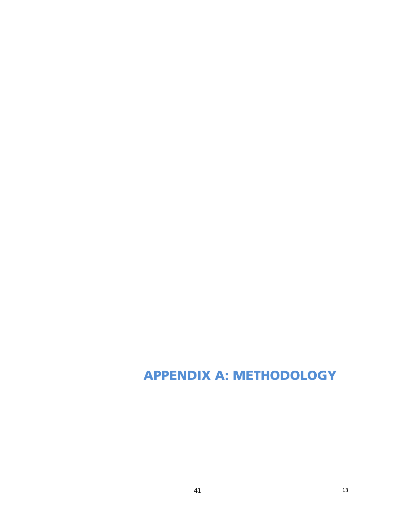# **APPENDIX A: METHODOLOGY**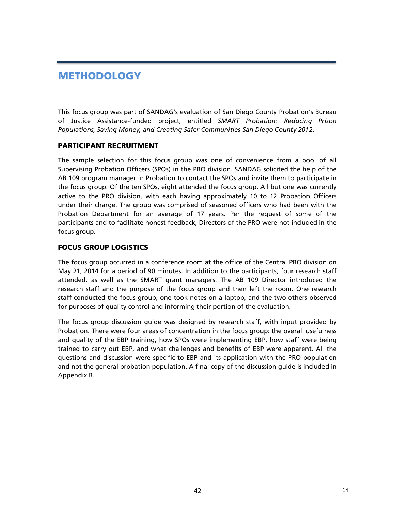# **METHODOLOGY**

This focus group was part of SANDAG's evaluation of San Diego County Probation's Bureau of Justice Assistance-funded project, entitled *SMART Probation: Reducing Prison Populations, Saving Money, and Creating Safer Communities-San Diego County 2012*.

# **PARTICIPANT RECRUITMENT**

The sample selection for this focus group was one of convenience from a pool of all Supervising Probation Officers (SPOs) in the PRO division. SANDAG solicited the help of the AB 109 program manager in Probation to contact the SPOs and invite them to participate in the focus group. Of the ten SPOs, eight attended the focus group. All but one was currently active to the PRO division, with each having approximately 10 to 12 Probation Officers under their charge. The group was comprised of seasoned officers who had been with the Probation Department for an average of 17 years. Per the request of some of the participants and to facilitate honest feedback, Directors of the PRO were not included in the focus group.

# **FOCUS GROUP LOGISTICS**

The focus group occurred in a conference room at the office of the Central PRO division on May 21, 2014 for a period of 90 minutes. In addition to the participants, four research staff attended, as well as the SMART grant managers. The AB 109 Director introduced the research staff and the purpose of the focus group and then left the room. One research staff conducted the focus group, one took notes on a laptop, and the two others observed for purposes of quality control and informing their portion of the evaluation.

The focus group discussion guide was designed by research staff, with input provided by Probation. There were four areas of concentration in the focus group: the overall usefulness and quality of the EBP training, how SPOs were implementing EBP, how staff were being trained to carry out EBP, and what challenges and benefits of EBP were apparent. All the questions and discussion were specific to EBP and its application with the PRO population and not the general probation population. A final copy of the discussion guide is included in Appendix B.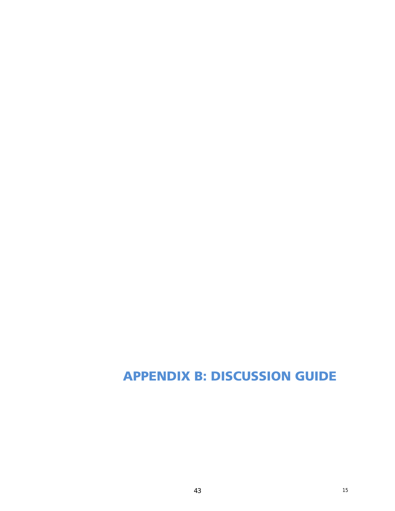# **APPENDIX B: DISCUSSION GUIDE**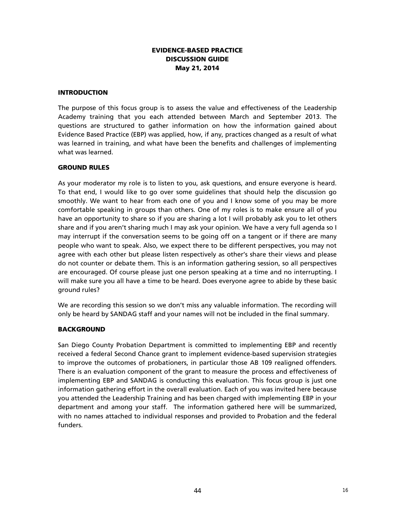# **EVIDENCE-BASED PRACTICE DISCUSSION GUIDE May 21, 2014**

## **INTRODUCTION**

The purpose of this focus group is to assess the value and effectiveness of the Leadership Academy training that you each attended between March and September 2013. The questions are structured to gather information on how the information gained about Evidence Based Practice (EBP) was applied, how, if any, practices changed as a result of what was learned in training, and what have been the benefits and challenges of implementing what was learned.

#### **GROUND RULES**

As your moderator my role is to listen to you, ask questions, and ensure everyone is heard. To that end, I would like to go over some guidelines that should help the discussion go smoothly. We want to hear from each one of you and I know some of you may be more comfortable speaking in groups than others. One of my roles is to make ensure all of you have an opportunity to share so if you are sharing a lot I will probably ask you to let others share and if you aren't sharing much I may ask your opinion. We have a very full agenda so I may interrupt if the conversation seems to be going off on a tangent or if there are many people who want to speak. Also, we expect there to be different perspectives, you may not agree with each other but please listen respectively as other's share their views and please do not counter or debate them. This is an information gathering session, so all perspectives are encouraged. Of course please just one person speaking at a time and no interrupting. I will make sure you all have a time to be heard. Does everyone agree to abide by these basic ground rules?

We are recording this session so we don't miss any valuable information. The recording will only be heard by SANDAG staff and your names will not be included in the final summary.

## **BACKGROUND**

San Diego County Probation Department is committed to implementing EBP and recently received a federal Second Chance grant to implement evidence-based supervision strategies to improve the outcomes of probationers, in particular those AB 109 realigned offenders. There is an evaluation component of the grant to measure the process and effectiveness of implementing EBP and SANDAG is conducting this evaluation. This focus group is just one information gathering effort in the overall evaluation. Each of you was invited here because you attended the Leadership Training and has been charged with implementing EBP in your department and among your staff. The information gathered here will be summarized, with no names attached to individual responses and provided to Probation and the federal funders.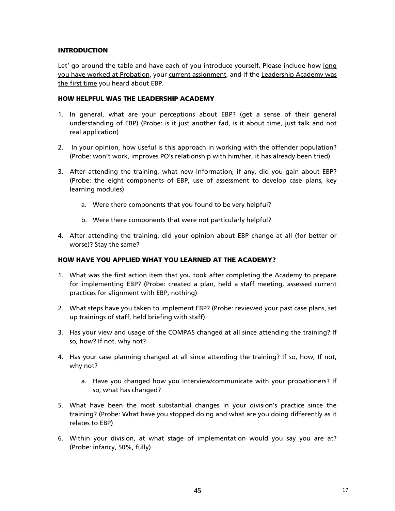# **INTRODUCTION**

Let' go around the table and have each of you introduce yourself. Please include how long you have worked at Probation, your current assignment, and if the Leadership Academy was the first time you heard about EBP.

# **HOW HELPFUL WAS THE LEADERSHIP ACADEMY**

- 1. In general, what are your perceptions about EBP? (get a sense of their general understanding of EBP) (Probe: is it just another fad, is it about time, just talk and not real application)
- 2. In your opinion, how useful is this approach in working with the offender population? (Probe: won't work, improves PO's relationship with him/her, it has already been tried)
- 3. After attending the training, what new information, if any, did you gain about EBP? (Probe: the eight components of EBP, use of assessment to develop case plans, key learning modules)
	- a. Were there components that you found to be very helpful?
	- b. Were there components that were not particularly helpful?
- 4. After attending the training, did your opinion about EBP change at all (for better or worse)? Stay the same?

# **HOW HAVE YOU APPLIED WHAT YOU LEARNED AT THE ACADEMY?**

- 1. What was the first action item that you took after completing the Academy to prepare for implementing EBP? (Probe: created a plan, held a staff meeting, assessed current practices for alignment with EBP, nothing)
- 2. What steps have you taken to implement EBP? (Probe: reviewed your past case plans, set up trainings of staff, held briefing with staff)
- 3. Has your view and usage of the COMPAS changed at all since attending the training? If so, how? If not, why not?
- 4. Has your case planning changed at all since attending the training? If so, how, If not, why not?
	- a. Have you changed how you interview/communicate with your probationers? If so, what has changed?
- 5. What have been the most substantial changes in your division's practice since the training? (Probe: What have you stopped doing and what are you doing differently as it relates to EBP)
- 6. Within your division, at what stage of implementation would you say you are at? (Probe: infancy, 50%, fully)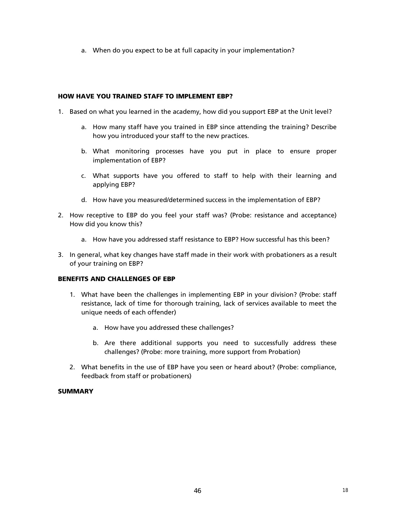a. When do you expect to be at full capacity in your implementation?

# **HOW HAVE YOU TRAINED STAFF TO IMPLEMENT EBP?**

- 1. Based on what you learned in the academy, how did you support EBP at the Unit level?
	- a. How many staff have you trained in EBP since attending the training? Describe how you introduced your staff to the new practices.
	- b. What monitoring processes have you put in place to ensure proper implementation of EBP?
	- c. What supports have you offered to staff to help with their learning and applying EBP?
	- d. How have you measured/determined success in the implementation of EBP?
- 2. How receptive to EBP do you feel your staff was? (Probe: resistance and acceptance) How did you know this?
	- a. How have you addressed staff resistance to EBP? How successful has this been?
- 3. In general, what key changes have staff made in their work with probationers as a result of your training on EBP?

## **BENEFITS AND CHALLENGES OF EBP**

- 1. What have been the challenges in implementing EBP in your division? (Probe: staff resistance, lack of time for thorough training, lack of services available to meet the unique needs of each offender)
	- a. How have you addressed these challenges?
	- b. Are there additional supports you need to successfully address these challenges? (Probe: more training, more support from Probation)
- 2. What benefits in the use of EBP have you seen or heard about? (Probe: compliance, feedback from staff or probationers)

## **SUMMARY**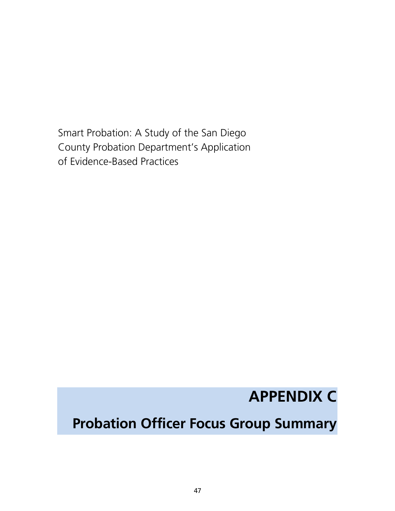Smart Probation: A Study of the San Diego County Probation Department's Application of Evidence-Based Practices

# **APPENDIX C**

# **Probation Officer Focus Group Summary**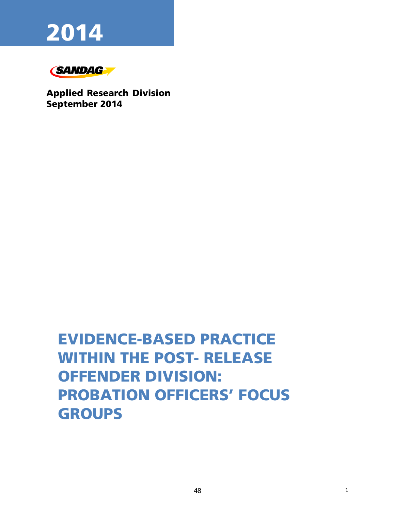# **2014**



**Applied Research Division September 2014** 

# EVIDENCE-BASED PRACTICE WITHIN THE POST- RELEASE OFFENDER DIVISION: PROBATION OFFICERS' FOCUS GROUPS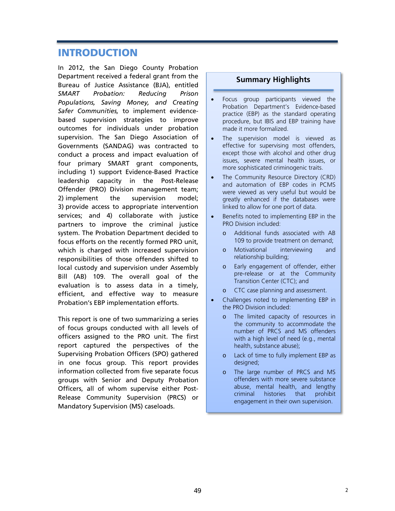# **INTRODUCTION**

In 2012, the San Diego County Probation Department received a federal grant from the Bureau of Justice Assistance (BJA), entitled *SMART Probation: Reducing Prison Populations, Saving Money, and Creating Safer Communities,* to implement evidencebased supervision strategies to improve outcomes for individuals under probation supervision. The San Diego Association of Governments (SANDAG) was contracted to conduct a process and impact evaluation of four primary SMART grant components, including 1) support Evidence-Based Practice leadership capacity in the Post-Release Offender (PRO) Division management team; 2) implement the supervision model; 3) provide access to appropriate intervention services; and 4) collaborate with justice partners to improve the criminal justice system. The Probation Department decided to focus efforts on the recently formed PRO unit, which is charged with increased supervision responsibilities of those offenders shifted to local custody and supervision under Assembly Bill (AB) 109. The overall goal of the evaluation is to assess data in a timely, efficient, and effective way to measure Probation's EBP implementation efforts.

This report is one of two summarizing a series of focus groups conducted with all levels of officers assigned to the PRO unit. The first report captured the perspectives of the Supervising Probation Officers (SPO) gathered in one focus group. This report provides information collected from five separate focus groups with Senior and Deputy Probation Officers, all of whom supervise either Post-Release Community Supervision (PRCS) or Mandatory Supervision (MS) caseloads.

# **Summary Highlights**

- Focus group participants viewed the Probation Department's Evidence-based practice (EBP) as the standard operating procedure, but IBIS and EBP training have made it more formalized.
- The supervision model is viewed as effective for supervising most offenders, except those with alcohol and other drug issues, severe mental health issues, or more sophisticated criminogenic traits.
- The Community Resource Directory (CRD) and automation of EBP codes in PCMS were viewed as very useful but would be greatly enhanced if the databases were linked to allow for one port of data.
- Benefits noted to implementing EBP in the PRO Division included:
	- o Additional funds associated with AB 109 to provide treatment on demand;
	- o Motivational interviewing and relationship building;
	- o Early engagement of offender, either pre-release or at the Community Transition Center (CTC); and
	- o CTC case planning and assessment.
- Challenges noted to implementing EBP in the PRO Division included:
	- o The limited capacity of resources in the community to accommodate the number of PRCS and MS offenders with a high level of need (e.g., mental health, substance abuse);
	- o Lack of time to fully implement EBP as designed;
	- o The large number of PRCS and MS offenders with more severe substance abuse, mental health, and lengthy criminal histories that prohibit engagement in their own supervision.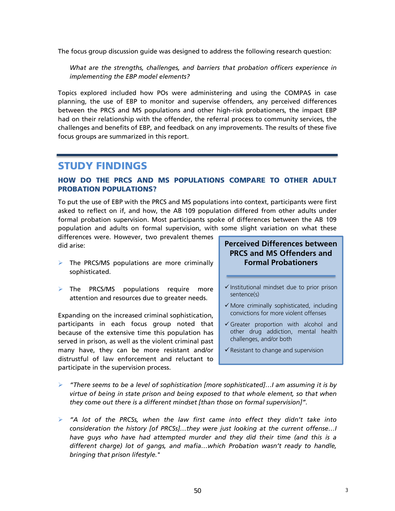The focus group discussion guide was designed to address the following research question:

*What are the strengths, challenges, and barriers that probation officers experience in implementing the EBP model elements?* 

Topics explored included how POs were administering and using the COMPAS in case planning, the use of EBP to monitor and supervise offenders, any perceived differences between the PRCS and MS populations and other high-risk probationers, the impact EBP had on their relationship with the offender, the referral process to community services, the challenges and benefits of EBP, and feedback on any improvements. The results of these five focus groups are summarized in this report.

# **STUDY FINDINGS**

# **HOW DO THE PRCS AND MS POPULATIONS COMPARE TO OTHER ADULT PROBATION POPULATIONS?**

To put the use of EBP with the PRCS and MS populations into context, participants were first asked to reflect on if, and how, the AB 109 population differed from other adults under formal probation supervision. Most participants spoke of differences between the AB 109 population and adults on formal supervision, with some slight variation on what these

differences were. However, two prevalent themes did arise:

- $\triangleright$  The PRCS/MS populations are more criminally sophisticated.
- $\triangleright$  The PRCS/MS populations require more attention and resources due to greater needs.

Expanding on the increased criminal sophistication, participants in each focus group noted that because of the extensive time this population has served in prison, as well as the violent criminal past many have, they can be more resistant and/or distrustful of law enforcement and reluctant to participate in the supervision process.

# **Perceived Differences between PRCS and MS Offenders and Formal Probationers**

- $\checkmark$  Institutional mindset due to prior prison sentence(s)
- $\checkmark$  More criminally sophisticated, including convictions for more violent offenses
- $\checkmark$  Greater proportion with alcohol and other drug addiction, mental health challenges, and/or both
- $\checkmark$  Resistant to change and supervision
- *"There seems to be a level of sophistication [more sophisticated]…I am assuming it is by virtue of being in state prison and being exposed to that whole element, so that when they come out there is a different mindset [than those on formal supervision]".*
- *"A lot of the PRCSs, when the law first came into effect they didn't take into consideration the history [of PRCSs]…they were just looking at the current offense…I have guys who have had attempted murder and they did their time (and this is a different charge) lot of gangs, and mafia…which Probation wasn't ready to handle, bringing that prison lifestyle."*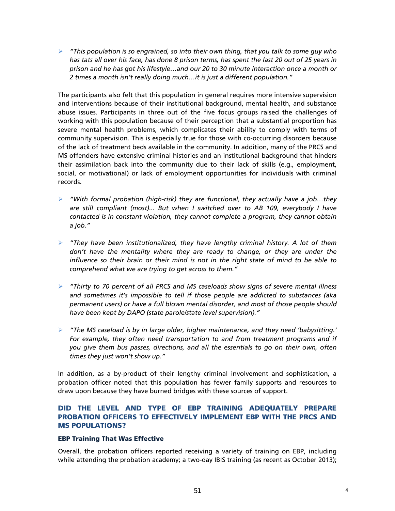*"This population is so engrained, so into their own thing, that you talk to some guy who has tats all over his face, has done 8 prison terms, has spent the last 20 out of 25 years in prison and he has got his lifestyle…and our 20 to 30 minute interaction once a month or 2 times a month isn't really doing much…it is just a different population."*

The participants also felt that this population in general requires more intensive supervision and interventions because of their institutional background, mental health, and substance abuse issues. Participants in three out of the five focus groups raised the challenges of working with this population because of their perception that a substantial proportion has severe mental health problems, which complicates their ability to comply with terms of community supervision. This is especially true for those with co-occurring disorders because of the lack of treatment beds available in the community. In addition, many of the PRCS and MS offenders have extensive criminal histories and an institutional background that hinders their assimilation back into the community due to their lack of skills (e.g., employment, social, or motivational) or lack of employment opportunities for individuals with criminal records.

- *"With formal probation (high-risk) they are functional, they actually have a job…they are still compliant (most)... But when I switched over to AB 109, everybody I have contacted is in constant violation, they cannot complete a program, they cannot obtain a job."*
- *"They have been institutionalized, they have lengthy criminal history. A lot of them don't have the mentality where they are ready to change, or they are under the influence so their brain or their mind is not in the right state of mind to be able to comprehend what we are trying to get across to them."*
- *"Thirty to 70 percent of all PRCS and MS caseloads show signs of severe mental illness and sometimes it's impossible to tell if those people are addicted to substances (aka permanent users) or have a full blown mental disorder, and most of those people should have been kept by DAPO (state parole/state level supervision)."*
- *"The MS caseload is by in large older, higher maintenance, and they need 'babysitting.' For example, they often need transportation to and from treatment programs and if you give them bus passes, directions, and all the essentials to go on their own, often times they just won't show up."*

In addition, as a by-product of their lengthy criminal involvement and sophistication, a probation officer noted that this population has fewer family supports and resources to draw upon because they have burned bridges with these sources of support.

# **DID THE LEVEL AND TYPE OF EBP TRAINING ADEQUATELY PREPARE PROBATION OFFICERS TO EFFECTIVELY IMPLEMENT EBP WITH THE PRCS AND MS POPULATIONS?**

## **EBP Training That Was Effective**

Overall, the probation officers reported receiving a variety of training on EBP, including while attending the probation academy; a two-day IBIS training (as recent as October 2013);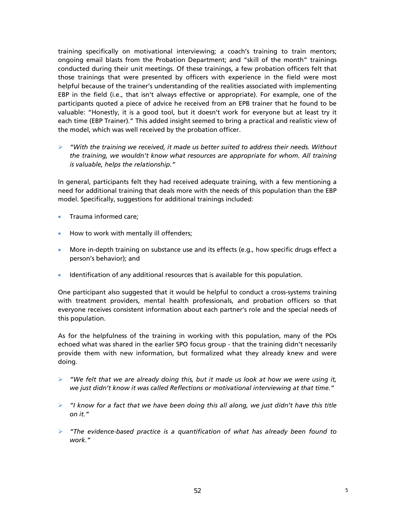training specifically on motivational interviewing; a coach's training to train mentors; ongoing email blasts from the Probation Department; and "skill of the month" trainings conducted during their unit meetings. Of these trainings, a few probation officers felt that those trainings that were presented by officers with experience in the field were most helpful because of the trainer's understanding of the realities associated with implementing EBP in the field (i.e., that isn't always effective or appropriate). For example, one of the participants quoted a piece of advice he received from an EPB trainer that he found to be valuable: "Honestly, it is a good tool, but it doesn't work for everyone but at least try it each time (EBP Trainer)." This added insight seemed to bring a practical and realistic view of the model, which was well received by the probation officer.

 *"With the training we received, it made us better suited to address their needs. Without the training, we wouldn't know what resources are appropriate for whom. All training is valuable, helps the relationship."* 

In general, participants felt they had received adequate training, with a few mentioning a need for additional training that deals more with the needs of this population than the EBP model. Specifically, suggestions for additional trainings included:

- Trauma informed care;
- How to work with mentally ill offenders;
- More in-depth training on substance use and its effects (e.g., how specific drugs effect a person's behavior); and
- **I** Identification of any additional resources that is available for this population.

One participant also suggested that it would be helpful to conduct a cross-systems training with treatment providers, mental health professionals, and probation officers so that everyone receives consistent information about each partner's role and the special needs of this population.

As for the helpfulness of the training in working with this population, many of the POs echoed what was shared in the earlier SPO focus group - that the training didn't necessarily provide them with new information, but formalized what they already knew and were doing.

- *"We felt that we are already doing this, but it made us look at how we were using it, we just didn't know it was called Reflections or motivational interviewing at that time."*
- *"I know for a fact that we have been doing this all along, we just didn't have this title on it."*
- *"The evidence-based practice is a quantification of what has already been found to work."*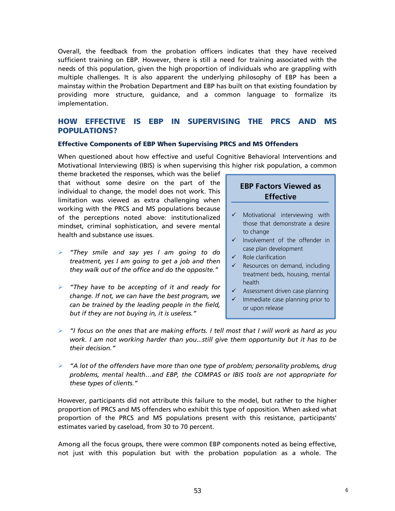Overall, the feedback from the probation officers indicates that they have received sufficient training on EBP. However, there is still a need for training associated with the needs of this population, given the high proportion of individuals who are grappling with multiple challenges. It is also apparent the underlying philosophy of EBP has been a mainstay within the Probation Department and EBP has built on that existing foundation by providing more structure, guidance, and a common language to formalize its implementation.

# **HOW EFFECTIVE IS EBP IN SUPERVISING THE PRCS AND MS POPULATIONS?**

#### **Effective Components of EBP When Supervising PRCS and MS Offenders**

When questioned about how effective and useful Cognitive Behavioral Interventions and Motivational Interviewing (IBIS) is when supervising this higher risk population, a common

theme bracketed the responses, which was the belief that without some desire on the part of the individual to change, the model does not work. This limitation was viewed as extra challenging when working with the PRCS and MS populations because of the perceptions noted above: institutionalized mindset, criminal sophistication, and severe mental health and substance use issues.

- *"They smile and say yes I am going to do treatment, yes I am going to get a job and then they walk out of the office and do the opposite."*
- *"They have to be accepting of it and ready for change. If not, we can have the best program, we can be trained by the leading people in the field, but if they are not buying in, it is useless."*

# **EBP Factors Viewed as Effective**

- $\checkmark$  Motivational interviewing with those that demonstrate a desire to change
- $\checkmark$  Involvement of the offender in case plan development
- $\checkmark$  Role clarification
- $\checkmark$  Resources on demand, including treatment beds, housing, mental health
- $\checkmark$  Assessment driven case planning
- Immediate case planning prior to or upon release
- *"I focus on the ones that are making efforts. I tell most that I will work as hard as you work. I am not working harder than you...still give them opportunity but it has to be their decision."*
- *"A lot of the offenders have more than one type of problem; personality problems, drug problems, mental health…and EBP, the COMPAS or IBIS tools are not appropriate for these types of clients."*

However, participants did not attribute this failure to the model, but rather to the higher proportion of PRCS and MS offenders who exhibit this type of opposition. When asked what proportion of the PRCS and MS populations present with this resistance, participants' estimates varied by caseload, from 30 to 70 percent.

Among all the focus groups, there were common EBP components noted as being effective, not just with this population but with the probation population as a whole. The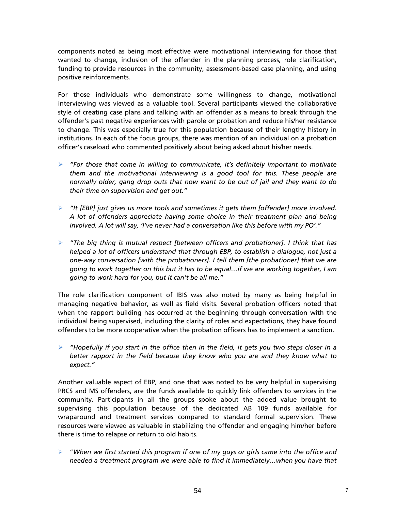components noted as being most effective were motivational interviewing for those that wanted to change, inclusion of the offender in the planning process, role clarification, funding to provide resources in the community, assessment-based case planning, and using positive reinforcements.

For those individuals who demonstrate some willingness to change, motivational interviewing was viewed as a valuable tool. Several participants viewed the collaborative style of creating case plans and talking with an offender as a means to break through the offender's past negative experiences with parole or probation and reduce his/her resistance to change. This was especially true for this population because of their lengthy history in institutions. In each of the focus groups, there was mention of an individual on a probation officer's caseload who commented positively about being asked about his/her needs.

- *"For those that come in willing to communicate, it's definitely important to motivate them and the motivational interviewing is a good tool for this. These people are normally older, gang drop outs that now want to be out of jail and they want to do their time on supervision and get out."*
- *"It [EBP] just gives us more tools and sometimes it gets them [offender] more involved. A lot of offenders appreciate having some choice in their treatment plan and being involved. A lot will say, 'I've never had a conversation like this before with my PO'."*
- *"The big thing is mutual respect [between officers and probationer]. I think that has helped a lot of officers understand that through EBP, to establish a dialogue, not just a one-way conversation [with the probationers]. I tell them [the probationer] that we are going to work together on this but it has to be equal…if we are working together, I am going to work hard for you, but it can't be all me."*

The role clarification component of IBIS was also noted by many as being helpful in managing negative behavior, as well as field visits. Several probation officers noted that when the rapport building has occurred at the beginning through conversation with the individual being supervised, including the clarity of roles and expectations, they have found offenders to be more cooperative when the probation officers has to implement a sanction.

 *"Hopefully if you start in the office then in the field, it gets you two steps closer in a better rapport in the field because they know who you are and they know what to expect."*

Another valuable aspect of EBP, and one that was noted to be very helpful in supervising PRCS and MS offenders, are the funds available to quickly link offenders to services in the community. Participants in all the groups spoke about the added value brought to supervising this population because of the dedicated AB 109 funds available for wraparound and treatment services compared to standard formal supervision. These resources were viewed as valuable in stabilizing the offender and engaging him/her before there is time to relapse or return to old habits.

 "*When we first started this program if one of my guys or girls came into the office and needed a treatment program we were able to find it immediately…when you have that*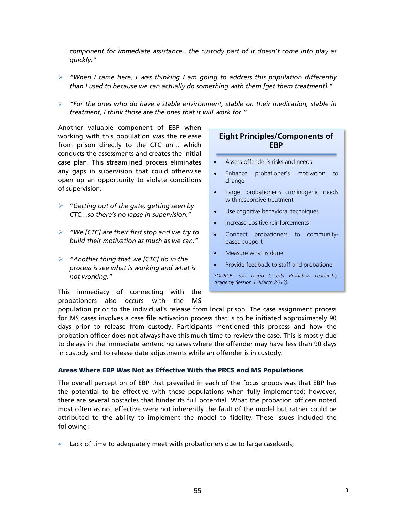*component for immediate assistance…the custody part of it doesn't come into play as quickly."* 

- *"When I came here, I was thinking I am going to address this population differently than I used to because we can actually do something with them [get them treatment]."*
- *"For the ones who do have a stable environment, stable on their medication, stable in treatment, I think those are the ones that it will work for."*

Another valuable component of EBP when working with this population was the release from prison directly to the CTC unit, which conducts the assessments and creates the initial case plan. This streamlined process eliminates any gaps in supervision that could otherwise open up an opportunity to violate conditions of supervision.

- "*Getting out of the gate, getting seen by CTC…so there's no lapse in supervision.*"
- *"We [CTC] are their first stop and we try to build their motivation as much as we can."*
- *"Another thing that we [CTC] do in the process is see what is working and what is not working."*

This immediacy of connecting with the probationers also occurs with the MS

# **Eight Principles/Components of EBP**

- Assess offender's risks and needs
- Enhance probationer's motivation to change
- Target probationer's criminogenic needs with responsive treatment
- Use cognitive behavioral techniques
- Increase positive reinforcements
- Connect probationers to communitybased support
- Measure what is done
- Provide feedback to staff and probationer

*SOURCE: San Diego County Probation Leadership Academy Session 1 (March 2013).* 

population prior to the individual's release from local prison. The case assignment process for MS cases involves a case file activation process that is to be initiated approximately 90 days prior to release from custody. Participants mentioned this process and how the probation officer does not always have this much time to review the case. This is mostly due to delays in the immediate sentencing cases where the offender may have less than 90 days in custody and to release date adjustments while an offender is in custody.

#### **Areas Where EBP Was Not as Effective With the PRCS and MS Populations**

The overall perception of EBP that prevailed in each of the focus groups was that EBP has the potential to be effective with these populations when fully implemented; however, there are several obstacles that hinder its full potential. What the probation officers noted most often as not effective were not inherently the fault of the model but rather could be attributed to the ability to implement the model to fidelity. These issues included the following:

Lack of time to adequately meet with probationers due to large caseloads;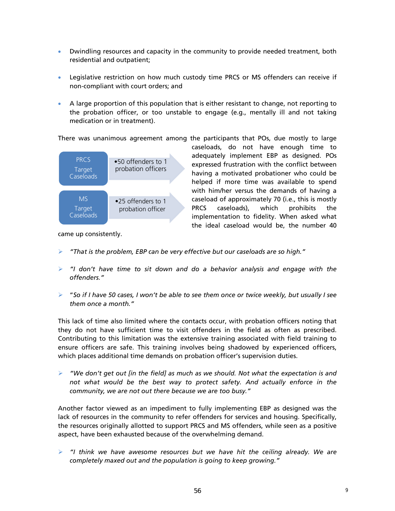- Dwindling resources and capacity in the community to provide needed treatment, both residential and outpatient;
- Legislative restriction on how much custody time PRCS or MS offenders can receive if non-compliant with court orders; and
- A large proportion of this population that is either resistant to change, not reporting to the probation officer, or too unstable to engage (e.g., mentally ill and not taking medication or in treatment).

There was unanimous agreement among the participants that POs, due mostly to large



caseloads, do not have enough time to adequately implement EBP as designed. POs expressed frustration with the conflict between having a motivated probationer who could be helped if more time was available to spend with him/her versus the demands of having a caseload of approximately 70 (i.e., this is mostly PRCS caseloads), which prohibits the implementation to fidelity. When asked what the ideal caseload would be, the number 40

came up consistently.

- *"That is the problem, EBP can be very effective but our caseloads are so high."*
- *"I don't have time to sit down and do a behavior analysis and engage with the offenders."*
- "*So if I have 50 cases, I won't be able to see them once or twice weekly, but usually I see them once a month."*

This lack of time also limited where the contacts occur, with probation officers noting that they do not have sufficient time to visit offenders in the field as often as prescribed. Contributing to this limitation was the extensive training associated with field training to ensure officers are safe. This training involves being shadowed by experienced officers, which places additional time demands on probation officer's supervision duties.

 *"We don't get out [in the field] as much as we should. Not what the expectation is and not what would be the best way to protect safety. And actually enforce in the community, we are not out there because we are too busy."*

Another factor viewed as an impediment to fully implementing EBP as designed was the lack of resources in the community to refer offenders for services and housing. Specifically, the resources originally allotted to support PRCS and MS offenders, while seen as a positive aspect, have been exhausted because of the overwhelming demand.

 *"I think we have awesome resources but we have hit the ceiling already. We are completely maxed out and the population is going to keep growing."*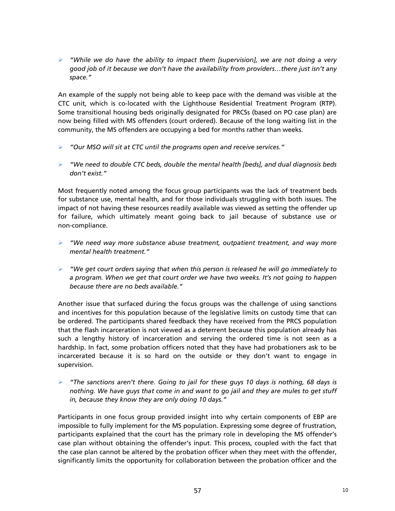*"While we do have the ability to impact them [supervision], we are not doing a very good job of it because we don't have the availability from providers…there just isn't any space."*

An example of the supply not being able to keep pace with the demand was visible at the CTC unit, which is co-located with the Lighthouse Residential Treatment Program (RTP). Some transitional housing beds originally designated for PRCSs (based on PO case plan) are now being filled with MS offenders (court ordered). Because of the long waiting list in the community, the MS offenders are occupying a bed for months rather than weeks.

- *"Our MSO will sit at CTC until the programs open and receive services."*
- *"We need to double CTC beds, double the mental health [beds], and dual diagnosis beds don't exist."*

Most frequently noted among the focus group participants was the lack of treatment beds for substance use, mental health, and for those individuals struggling with both issues. The impact of not having these resources readily available was viewed as setting the offender up for failure, which ultimately meant going back to jail because of substance use or non-compliance.

- *"We need way more substance abuse treatment, outpatient treatment, and way more mental health treatment."*
- *"We get court orders saying that when this person is released he will go immediately to a program. When we get that court order we have two weeks. It's not going to happen because there are no beds available."*

Another issue that surfaced during the focus groups was the challenge of using sanctions and incentives for this population because of the legislative limits on custody time that can be ordered. The participants shared feedback they have received from the PRCS population that the flash incarceration is not viewed as a deterrent because this population already has such a lengthy history of incarceration and serving the ordered time is not seen as a hardship. In fact, some probation officers noted that they have had probationers ask to be incarcerated because it is so hard on the outside or they don't want to engage in supervision.

 *"The sanctions aren't there. Going to jail for these guys 10 days is nothing, 68 days is nothing. We have guys that come in and want to go jail and they are mules to get stuff in, because they know they are only doing 10 days."*

Participants in one focus group provided insight into why certain components of EBP are impossible to fully implement for the MS population. Expressing some degree of frustration, participants explained that the court has the primary role in developing the MS offender's case plan without obtaining the offender's input. This process, coupled with the fact that the case plan cannot be altered by the probation officer when they meet with the offender, significantly limits the opportunity for collaboration between the probation officer and the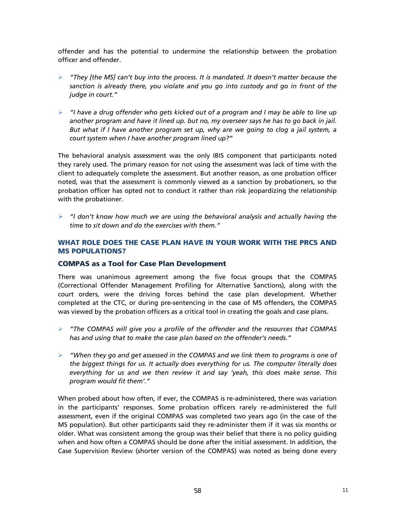offender and has the potential to undermine the relationship between the probation officer and offender.

- *"They [the MS] can't buy into the process. It is mandated. It doesn't matter because the sanction is already there, you violate and you go into custody and go in front of the judge in court."*
- *"I have a drug offender who gets kicked out of a program and I may be able to line up another program and have it lined up. but no, my overseer says he has to go back in jail. But what if I have another program set up, why are we going to clog a jail system, a court system when I have another program lined up?"*

The behavioral analysis assessment was the only IBIS component that participants noted they rarely used. The primary reason for not using the assessment was lack of time with the client to adequately complete the assessment. But another reason, as one probation officer noted, was that the assessment is commonly viewed as a sanction by probationers, so the probation officer has opted not to conduct it rather than risk jeopardizing the relationship with the probationer.

 *"I don't know how much we are using the behavioral analysis and actually having the time to sit down and do the exercises with them."*

# **WHAT ROLE DOES THE CASE PLAN HAVE IN YOUR WORK WITH THE PRCS AND MS POPULATIONS?**

## **COMPAS as a Tool for Case Plan Development**

There was unanimous agreement among the five focus groups that the COMPAS (Correctional Offender Management Profiling for Alternative Sanctions), along with the court orders, were the driving forces behind the case plan development. Whether completed at the CTC, or during pre-sentencing in the case of MS offenders, the COMPAS was viewed by the probation officers as a critical tool in creating the goals and case plans.

- *"The COMPAS will give you a profile of the offender and the resources that COMPAS has and using that to make the case plan based on the offender's needs."*
- *"When they go and get assessed in the COMPAS and we link them to programs is one of the biggest things for us. It actually does everything for us. The computer literally does everything for us and we then review it and say 'yeah, this does make sense. This program would fit them'."*

When probed about how often, if ever, the COMPAS is re-administered, there was variation in the participants' responses. Some probation officers rarely re-administered the full assessment, even if the original COMPAS was completed two years ago (in the case of the MS population). But other participants said they re-administer them if it was six months or older. What was consistent among the group was their belief that there is no policy guiding when and how often a COMPAS should be done after the initial assessment. In addition, the Case Supervision Review (shorter version of the COMPAS) was noted as being done every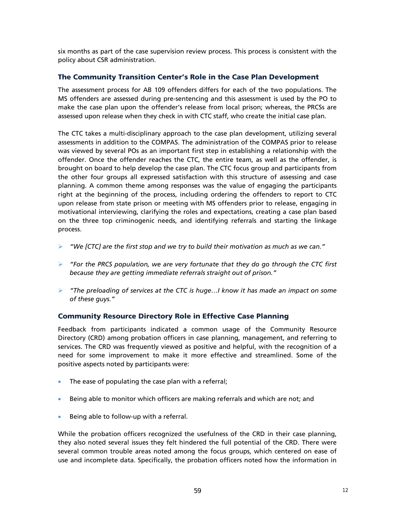six months as part of the case supervision review process. This process is consistent with the policy about CSR administration.

# **The Community Transition Center's Role in the Case Plan Development**

The assessment process for AB 109 offenders differs for each of the two populations. The MS offenders are assessed during pre-sentencing and this assessment is used by the PO to make the case plan upon the offender's release from local prison; whereas, the PRCSs are assessed upon release when they check in with CTC staff, who create the initial case plan.

The CTC takes a multi-disciplinary approach to the case plan development, utilizing several assessments in addition to the COMPAS. The administration of the COMPAS prior to release was viewed by several POs as an important first step in establishing a relationship with the offender. Once the offender reaches the CTC, the entire team, as well as the offender, is brought on board to help develop the case plan. The CTC focus group and participants from the other four groups all expressed satisfaction with this structure of assessing and case planning. A common theme among responses was the value of engaging the participants right at the beginning of the process, including ordering the offenders to report to CTC upon release from state prison or meeting with MS offenders prior to release, engaging in motivational interviewing, clarifying the roles and expectations, creating a case plan based on the three top criminogenic needs, and identifying referrals and starting the linkage process.

- *"We [CTC] are the first stop and we try to build their motivation as much as we can."*
- *"For the PRCS population, we are very fortunate that they do go through the CTC first because they are getting immediate referrals straight out of prison."*
- *"The preloading of services at the CTC is huge…I know it has made an impact on some of these guys."*

# **Community Resource Directory Role in Effective Case Planning**

Feedback from participants indicated a common usage of the Community Resource Directory (CRD) among probation officers in case planning, management, and referring to services. The CRD was frequently viewed as positive and helpful, with the recognition of a need for some improvement to make it more effective and streamlined. Some of the positive aspects noted by participants were:

- The ease of populating the case plan with a referral;
- Being able to monitor which officers are making referrals and which are not; and
- Being able to follow-up with a referral.

While the probation officers recognized the usefulness of the CRD in their case planning, they also noted several issues they felt hindered the full potential of the CRD. There were several common trouble areas noted among the focus groups, which centered on ease of use and incomplete data. Specifically, the probation officers noted how the information in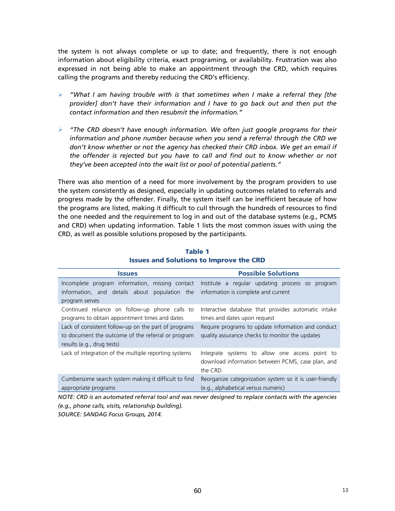the system is not always complete or up to date; and frequently, there is not enough information about eligibility criteria, exact programing, or availability. Frustration was also expressed in not being able to make an appointment through the CRD, which requires calling the programs and thereby reducing the CRD's efficiency.

- *"What I am having trouble with is that sometimes when I make a referral they [the provider] don't have their information and I have to go back out and then put the contact information and then resubmit the information."*
- *"The CRD doesn't have enough information. We often just google programs for their information and phone number because when you send a referral through the CRD we don't know whether or not the agency has checked their CRD inbox. We get an email if the offender is rejected but you have to call and find out to know whether or not they've been accepted into the wait list or pool of potential patients."*

There was also mention of a need for more involvement by the program providers to use the system consistently as designed, especially in updating outcomes related to referrals and progress made by the offender. Finally, the system itself can be inefficient because of how the programs are listed, making it difficult to cull through the hundreds of resources to find the one needed and the requirement to log in and out of the database systems (e.g., PCMS and CRD) when updating information. Table 1 lists the most common issues with using the CRD, as well as possible solutions proposed by the participants.

| <b>Issues</b>                                         | <b>Possible Solutions</b>                                                                                       |  |  |  |  |
|-------------------------------------------------------|-----------------------------------------------------------------------------------------------------------------|--|--|--|--|
| Incomplete program information, missing contact       | Institute a regular updating process so<br>program                                                              |  |  |  |  |
| information, and details about population the         | information is complete and current                                                                             |  |  |  |  |
| program serves                                        |                                                                                                                 |  |  |  |  |
| Continued reliance on follow-up phone calls to        | Interactive database that provides automatic intake                                                             |  |  |  |  |
| programs to obtain appointment times and dates        | times and dates upon request                                                                                    |  |  |  |  |
| Lack of consistent follow-up on the part of programs  | Require programs to update information and conduct                                                              |  |  |  |  |
| to document the outcome of the referral or program    | quality assurance checks to monitor the updates                                                                 |  |  |  |  |
| results (e.g., drug tests)                            |                                                                                                                 |  |  |  |  |
| Lack of integration of the multiple reporting systems | Integrate systems to allow one access point to<br>download information between PCMS, case plan, and<br>the CRD. |  |  |  |  |
| Cumbersome search system making it difficult to find  | Reorganize categorization system so it is user-friendly                                                         |  |  |  |  |
| appropriate programs                                  | (e.g., alphabetical versus numeric)                                                                             |  |  |  |  |

# **Table 1 Issues and Solutions to Improve the CRD**

*NOTE: CRD is an automated referral tool and was never designed to replace contacts with the agencies (e.g., phone calls, visits, relationship building). SOURCE: SANDAG Focus Groups, 2014.*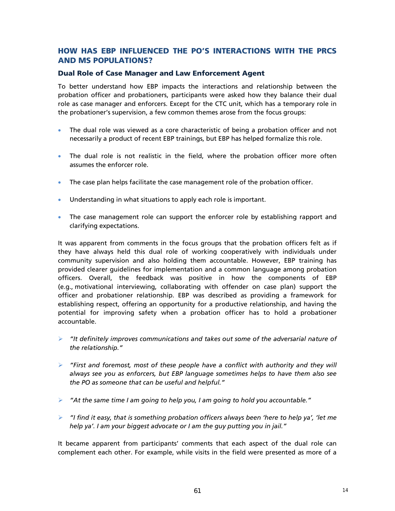# **HOW HAS EBP INFLUENCED THE PO'S INTERACTIONS WITH THE PRCS AND MS POPULATIONS?**

# **Dual Role of Case Manager and Law Enforcement Agent**

To better understand how EBP impacts the interactions and relationship between the probation officer and probationers, participants were asked how they balance their dual role as case manager and enforcers. Except for the CTC unit, which has a temporary role in the probationer's supervision, a few common themes arose from the focus groups:

- The dual role was viewed as a core characteristic of being a probation officer and not necessarily a product of recent EBP trainings, but EBP has helped formalize this role.
- The dual role is not realistic in the field, where the probation officer more often assumes the enforcer role.
- The case plan helps facilitate the case management role of the probation officer.
- Understanding in what situations to apply each role is important.
- The case management role can support the enforcer role by establishing rapport and clarifying expectations.

It was apparent from comments in the focus groups that the probation officers felt as if they have always held this dual role of working cooperatively with individuals under community supervision and also holding them accountable. However, EBP training has provided clearer guidelines for implementation and a common language among probation officers. Overall, the feedback was positive in how the components of EBP (e.g., motivational interviewing, collaborating with offender on case plan) support the officer and probationer relationship. EBP was described as providing a framework for establishing respect, offering an opportunity for a productive relationship, and having the potential for improving safety when a probation officer has to hold a probationer accountable.

- *"It definitely improves communications and takes out some of the adversarial nature of the relationship."*
- *"First and foremost, most of these people have a conflict with authority and they will always see you as enforcers, but EBP language sometimes helps to have them also see the PO as someone that can be useful and helpful."*
- *"At the same time I am going to help you, I am going to hold you accountable."*
- *"I find it easy, that is something probation officers always been 'here to help ya', 'let me help ya'. I am your biggest advocate or I am the guy putting you in jail."*

It became apparent from participants' comments that each aspect of the dual role can complement each other. For example, while visits in the field were presented as more of a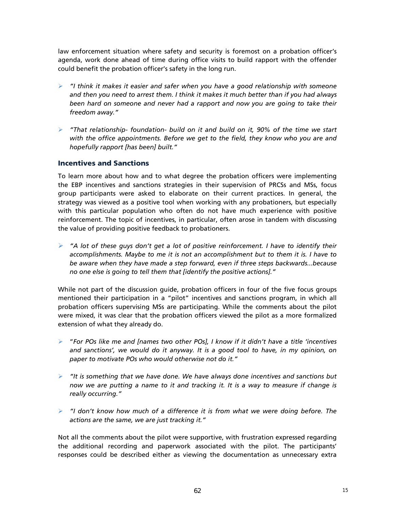law enforcement situation where safety and security is foremost on a probation officer's agenda, work done ahead of time during office visits to build rapport with the offender could benefit the probation officer's safety in the long run.

- *"I think it makes it easier and safer when you have a good relationship with someone and then you need to arrest them. I think it makes it much better than if you had always been hard on someone and never had a rapport and now you are going to take their freedom away."*
- *"That relationship- foundation- build on it and build on it, 90% of the time we start with the office appointments. Before we get to the field, they know who you are and hopefully rapport [has been] built."*

# **Incentives and Sanctions**

To learn more about how and to what degree the probation officers were implementing the EBP incentives and sanctions strategies in their supervision of PRCSs and MSs, focus group participants were asked to elaborate on their current practices. In general, the strategy was viewed as a positive tool when working with any probationers, but especially with this particular population who often do not have much experience with positive reinforcement. The topic of incentives, in particular, often arose in tandem with discussing the value of providing positive feedback to probationers.

 *"A lot of these guys don't get a lot of positive reinforcement. I have to identify their accomplishments. Maybe to me it is not an accomplishment but to them it is. I have to be aware when they have made a step forward, even if three steps backwards...because no one else is going to tell them that [identify the positive actions]."*

While not part of the discussion guide, probation officers in four of the five focus groups mentioned their participation in a "pilot" incentives and sanctions program, in which all probation officers supervising MSs are participating. While the comments about the pilot were mixed, it was clear that the probation officers viewed the pilot as a more formalized extension of what they already do.

- "*For POs like me and [names two other POs], I know if it didn't have a title 'incentives and sanctions', we would do it anyway. It is a good tool to have, in my opinion, on paper to motivate POs who would otherwise not do it."*
- *"It is something that we have done. We have always done incentives and sanctions but now we are putting a name to it and tracking it. It is a way to measure if change is really occurring."*
- *"I don't know how much of a difference it is from what we were doing before. The actions are the same, we are just tracking it."*

Not all the comments about the pilot were supportive, with frustration expressed regarding the additional recording and paperwork associated with the pilot. The participants' responses could be described either as viewing the documentation as unnecessary extra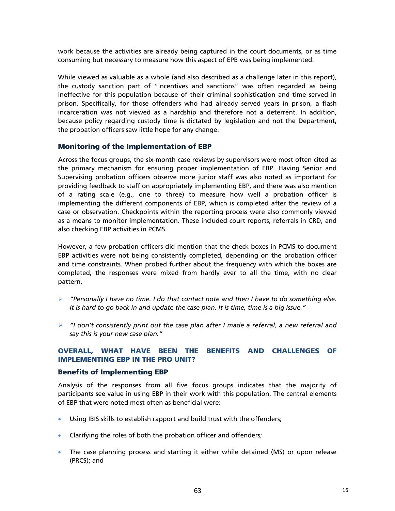work because the activities are already being captured in the court documents, or as time consuming but necessary to measure how this aspect of EPB was being implemented.

While viewed as valuable as a whole (and also described as a challenge later in this report), the custody sanction part of "incentives and sanctions" was often regarded as being ineffective for this population because of their criminal sophistication and time served in prison. Specifically, for those offenders who had already served years in prison, a flash incarceration was not viewed as a hardship and therefore not a deterrent. In addition, because policy regarding custody time is dictated by legislation and not the Department, the probation officers saw little hope for any change.

# **Monitoring of the Implementation of EBP**

Across the focus groups, the six-month case reviews by supervisors were most often cited as the primary mechanism for ensuring proper implementation of EBP. Having Senior and Supervising probation officers observe more junior staff was also noted as important for providing feedback to staff on appropriately implementing EBP, and there was also mention of a rating scale (e.g., one to three) to measure how well a probation officer is implementing the different components of EBP, which is completed after the review of a case or observation. Checkpoints within the reporting process were also commonly viewed as a means to monitor implementation. These included court reports, referrals in CRD, and also checking EBP activities in PCMS.

However, a few probation officers did mention that the check boxes in PCMS to document EBP activities were not being consistently completed, depending on the probation officer and time constraints. When probed further about the frequency with which the boxes are completed, the responses were mixed from hardly ever to all the time, with no clear pattern.

- *"Personally I have no time. I do that contact note and then I have to do something else. It is hard to go back in and update the case plan. It is time, time is a big issue."*
- *"I don't consistently print out the case plan after I made a referral, a new referral and say this is your new case plan."*

# **OVERALL, WHAT HAVE BEEN THE BENEFITS AND CHALLENGES OF IMPLEMENTING EBP IN THE PRO UNIT?**

## **Benefits of Implementing EBP**

Analysis of the responses from all five focus groups indicates that the majority of participants see value in using EBP in their work with this population. The central elements of EBP that were noted most often as beneficial were:

- Using IBIS skills to establish rapport and build trust with the offenders;
- Clarifying the roles of both the probation officer and offenders;
- The case planning process and starting it either while detained (MS) or upon release (PRCS); and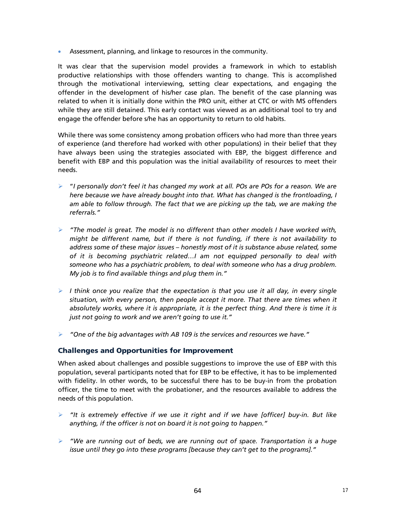Assessment, planning, and linkage to resources in the community.

It was clear that the supervision model provides a framework in which to establish productive relationships with those offenders wanting to change. This is accomplished through the motivational interviewing, setting clear expectations, and engaging the offender in the development of his/her case plan. The benefit of the case planning was related to when it is initially done within the PRO unit, either at CTC or with MS offenders while they are still detained. This early contact was viewed as an additional tool to try and engage the offender before s/he has an opportunity to return to old habits.

While there was some consistency among probation officers who had more than three years of experience (and therefore had worked with other populations) in their belief that they have always been using the strategies associated with EBP, the biggest difference and benefit with EBP and this population was the initial availability of resources to meet their needs.

- "*I personally don't feel it has changed my work at all. POs are POs for a reason. We are here because we have already bought into that. What has changed is the frontloading, I am able to follow through. The fact that we are picking up the tab, we are making the referrals."*
- *"The model is great. The model is no different than other models I have worked with, might be different name, but if there is not funding, if there is not availability to address some of these major issues – honestly most of it is substance abuse related, some of it is becoming psychiatric related…I am not equipped personally to deal with someone who has a psychiatric problem, to deal with someone who has a drug problem. My job is to find available things and plug them in."*
- $\triangleright$  *I think once you realize that the expectation is that you use it all day, in every single situation, with every person, then people accept it more. That there are times when it absolutely works, where it is appropriate, it is the perfect thing. And there is time it is just not going to work and we aren't going to use it."*
- *"One of the big advantages with AB 109 is the services and resources we have."*

# **Challenges and Opportunities for Improvement**

When asked about challenges and possible suggestions to improve the use of EBP with this population, several participants noted that for EBP to be effective, it has to be implemented with fidelity. In other words, to be successful there has to be buy-in from the probation officer, the time to meet with the probationer, and the resources available to address the needs of this population.

- *"It is extremely effective if we use it right and if we have [officer] buy-in. But like anything, if the officer is not on board it is not going to happen."*
- *"We are running out of beds, we are running out of space. Transportation is a huge issue until they go into these programs [because they can't get to the programs]."*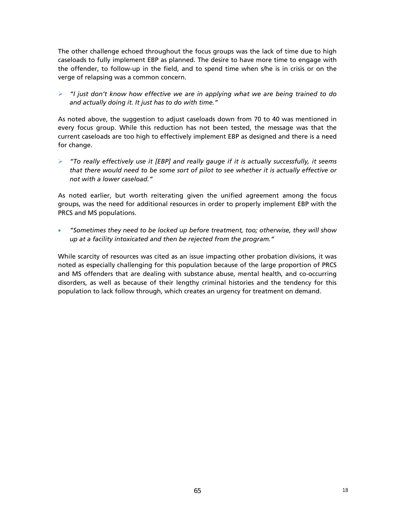The other challenge echoed throughout the focus groups was the lack of time due to high caseloads to fully implement EBP as planned. The desire to have more time to engage with the offender, to follow-up in the field, and to spend time when s/he is in crisis or on the verge of relapsing was a common concern.

 *"I just don't know how effective we are in applying what we are being trained to do and actually doing it. It just has to do with time."*

As noted above, the suggestion to adjust caseloads down from 70 to 40 was mentioned in every focus group. While this reduction has not been tested, the message was that the current caseloads are too high to effectively implement EBP as designed and there is a need for change.

 *"To really effectively use it [EBP] and really gauge if it is actually successfully, it seems that there would need to be some sort of pilot to see whether it is actually effective or not with a lower caseload."*

As noted earlier, but worth reiterating given the unified agreement among the focus groups, was the need for additional resources in order to properly implement EBP with the PRCS and MS populations.

 *"Sometimes they need to be locked up before treatment, too; otherwise, they will show up at a facility intoxicated and then be rejected from the program."*

While scarcity of resources was cited as an issue impacting other probation divisions, it was noted as especially challenging for this population because of the large proportion of PRCS and MS offenders that are dealing with substance abuse, mental health, and co-occurring disorders, as well as because of their lengthy criminal histories and the tendency for this population to lack follow through, which creates an urgency for treatment on demand.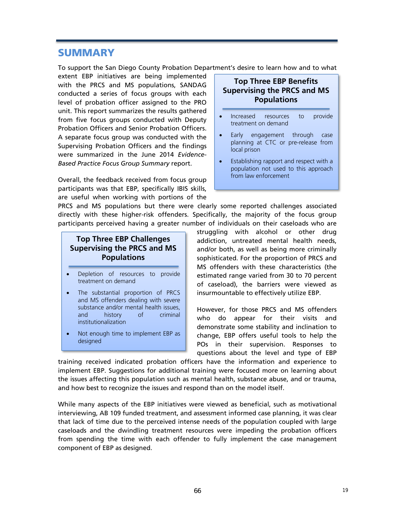# **SUMMARY**

To support the San Diego County Probation Department's desire to learn how and to what

extent EBP initiatives are being implemented with the PRCS and MS populations, SANDAG conducted a series of focus groups with each level of probation officer assigned to the PRO unit. This report summarizes the results gathered from five focus groups conducted with Deputy Probation Officers and Senior Probation Officers. A separate focus group was conducted with the Supervising Probation Officers and the findings were summarized in the June 2014 *Evidence-Based Practice Focus Group Summary* report.

Overall, the feedback received from focus group participants was that EBP, specifically IBIS skills, are useful when working with portions of the

PRCS and MS populations but there were clearly some reported challenges associated directly with these higher-risk offenders. Specifically, the majority of the focus group participants perceived having a greater number of individuals on their caseloads who are

# **Top Three EBP Challenges Supervising the PRCS and MS Populations**

- Depletion of resources to provide treatment on demand
- The substantial proportion of PRCS and MS offenders dealing with severe substance and/or mental health issues, and history of criminal institutionalization
- Not enough time to implement EBP as designed

# **Top Three EBP Benefits Supervising the PRCS and MS Populations**

- Increased resources to provide treatment on demand
- Early engagement through case planning at CTC or pre-release from local prison
- Establishing rapport and respect with a population not used to this approach from law enforcement

struggling with alcohol or other drug addiction, untreated mental health needs, and/or both, as well as being more criminally sophisticated. For the proportion of PRCS and MS offenders with these characteristics (the estimated range varied from 30 to 70 percent of caseload), the barriers were viewed as insurmountable to effectively utilize EBP.

However, for those PRCS and MS offenders who do appear for their visits and demonstrate some stability and inclination to change, EBP offers useful tools to help the POs in their supervision. Responses to questions about the level and type of EBP

training received indicated probation officers have the information and experience to implement EBP. Suggestions for additional training were focused more on learning about the issues affecting this population such as mental health, substance abuse, and or trauma, and how best to recognize the issues and respond than on the model itself.

While many aspects of the EBP initiatives were viewed as beneficial, such as motivational interviewing, AB 109 funded treatment, and assessment informed case planning, it was clear that lack of time due to the perceived intense needs of the population coupled with large caseloads and the dwindling treatment resources were impeding the probation officers from spending the time with each offender to fully implement the case management component of EBP as designed.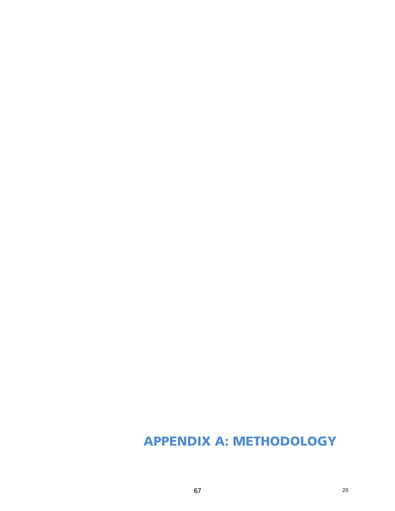# **APPENDIX A: METHODOLOGY**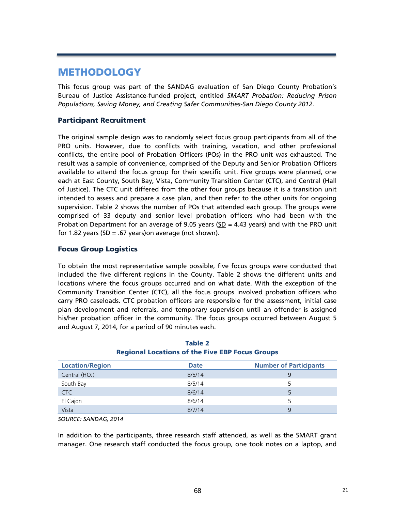# **METHODOLOGY**

This focus group was part of the SANDAG evaluation of San Diego County Probation's Bureau of Justice Assistance-funded project, entitled *SMART Probation: Reducing Prison Populations, Saving Money, and Creating Safer Communities-San Diego County 2012*.

# **Participant Recruitment**

The original sample design was to randomly select focus group participants from all of the PRO units. However, due to conflicts with training, vacation, and other professional conflicts, the entire pool of Probation Officers (POs) in the PRO unit was exhausted. The result was a sample of convenience, comprised of the Deputy and Senior Probation Officers available to attend the focus group for their specific unit. Five groups were planned, one each at East County, South Bay, Vista, Community Transition Center (CTC), and Central (Hall of Justice). The CTC unit differed from the other four groups because it is a transition unit intended to assess and prepare a case plan, and then refer to the other units for ongoing supervision. Table 2 shows the number of POs that attended each group. The groups were comprised of 33 deputy and senior level probation officers who had been with the Probation Department for an average of 9.05 years (SD  $=$  4.43 years) and with the PRO unit for 1.82 years ( $SD = .67$  years) on average (not shown).

# **Focus Group Logistics**

To obtain the most representative sample possible, five focus groups were conducted that included the five different regions in the County. Table 2 shows the different units and locations where the focus groups occurred and on what date. With the exception of the Community Transition Center (CTC), all the focus groups involved probation officers who carry PRO caseloads. CTC probation officers are responsible for the assessment, initial case plan development and referrals, and temporary supervision until an offender is assigned his/her probation officer in the community. The focus groups occurred between August 5 and August 7, 2014, for a period of 90 minutes each.

| <b>Location/Region</b> | <b>Date</b> | <b>Number of Participants</b> |  |
|------------------------|-------------|-------------------------------|--|
| Central (HOJ)          | 8/5/14      | 9                             |  |
| South Bay              | 8/5/14      |                               |  |
| C <sub>TC</sub>        | 8/6/14      |                               |  |
| El Cajon               | 8/6/14      | 5                             |  |
| Vista                  | 8/7/14      | 9                             |  |

| Table 2 |                                                        |  |  |  |  |  |  |  |
|---------|--------------------------------------------------------|--|--|--|--|--|--|--|
|         | <b>Regional Locations of the Five EBP Focus Groups</b> |  |  |  |  |  |  |  |

*SOURCE: SANDAG, 2014* 

In addition to the participants, three research staff attended, as well as the SMART grant manager. One research staff conducted the focus group, one took notes on a laptop, and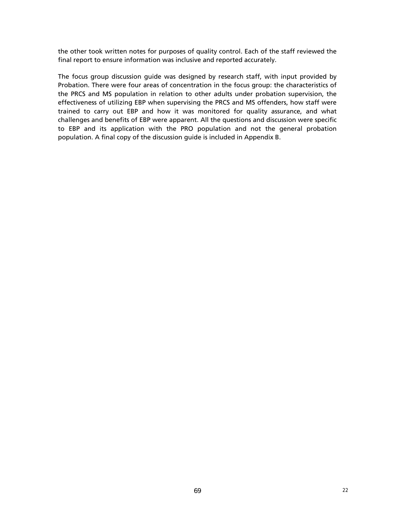the other took written notes for purposes of quality control. Each of the staff reviewed the final report to ensure information was inclusive and reported accurately.

The focus group discussion guide was designed by research staff, with input provided by Probation. There were four areas of concentration in the focus group: the characteristics of the PRCS and MS population in relation to other adults under probation supervision, the effectiveness of utilizing EBP when supervising the PRCS and MS offenders, how staff were trained to carry out EBP and how it was monitored for quality assurance, and what challenges and benefits of EBP were apparent. All the questions and discussion were specific to EBP and its application with the PRO population and not the general probation population. A final copy of the discussion guide is included in Appendix B.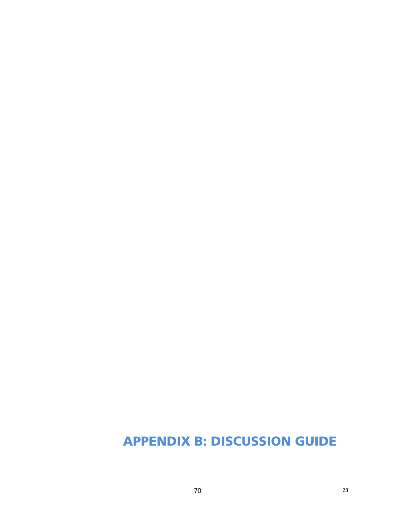# **APPENDIX B: DISCUSSION GUIDE**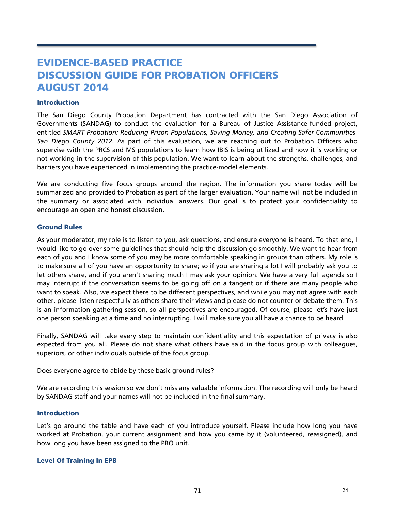# **EVIDENCE-BASED PRACTICE DISCUSSION GUIDE FOR PROBATION OFFICERS AUGUST 2014**

## **Introduction**

The San Diego County Probation Department has contracted with the San Diego Association of Governments (SANDAG) to conduct the evaluation for a Bureau of Justice Assistance-funded project, entitled *SMART Probation: Reducing Prison Populations, Saving Money, and Creating Safer Communities-San Diego County 2012*. As part of this evaluation, we are reaching out to Probation Officers who supervise with the PRCS and MS populations to learn how IBIS is being utilized and how it is working or not working in the supervision of this population. We want to learn about the strengths, challenges, and barriers you have experienced in implementing the practice-model elements.

We are conducting five focus groups around the region. The information you share today will be summarized and provided to Probation as part of the larger evaluation. Your name will not be included in the summary or associated with individual answers. Our goal is to protect your confidentiality to encourage an open and honest discussion.

## **Ground Rules**

As your moderator, my role is to listen to you, ask questions, and ensure everyone is heard. To that end, I would like to go over some guidelines that should help the discussion go smoothly. We want to hear from each of you and I know some of you may be more comfortable speaking in groups than others. My role is to make sure all of you have an opportunity to share; so if you are sharing a lot I will probably ask you to let others share, and if you aren't sharing much I may ask your opinion. We have a very full agenda so I may interrupt if the conversation seems to be going off on a tangent or if there are many people who want to speak. Also, we expect there to be different perspectives, and while you may not agree with each other, please listen respectfully as others share their views and please do not counter or debate them. This is an information gathering session, so all perspectives are encouraged. Of course, please let's have just one person speaking at a time and no interrupting. I will make sure you all have a chance to be heard

Finally, SANDAG will take every step to maintain confidentiality and this expectation of privacy is also expected from you all. Please do not share what others have said in the focus group with colleagues, superiors, or other individuals outside of the focus group.

Does everyone agree to abide by these basic ground rules?

We are recording this session so we don't miss any valuable information. The recording will only be heard by SANDAG staff and your names will not be included in the final summary.

# **Introduction**

Let's go around the table and have each of you introduce yourself. Please include how long you have worked at Probation, your current assignment and how you came by it (volunteered, reassigned), and how long you have been assigned to the PRO unit.

## **Level Of Training In EPB**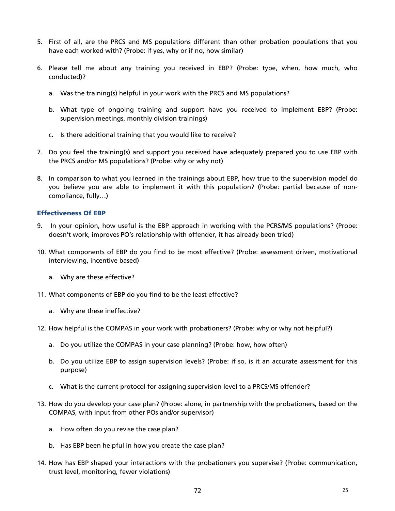- 5. First of all, are the PRCS and MS populations different than other probation populations that you have each worked with? (Probe: if yes, why or if no, how similar)
- 6. Please tell me about any training you received in EBP? (Probe: type, when, how much, who conducted)?
	- a. Was the training(s) helpful in your work with the PRCS and MS populations?
	- b. What type of ongoing training and support have you received to implement EBP? (Probe: supervision meetings, monthly division trainings)
	- c. Is there additional training that you would like to receive?
- 7. Do you feel the training(s) and support you received have adequately prepared you to use EBP with the PRCS and/or MS populations? (Probe: why or why not)
- 8. In comparison to what you learned in the trainings about EBP, how true to the supervision model do you believe you are able to implement it with this population? (Probe: partial because of noncompliance, fully…)

# **Effectiveness Of EBP**

- 9. In your opinion, how useful is the EBP approach in working with the PCRS/MS populations? (Probe: doesn't work, improves PO's relationship with offender, it has already been tried)
- 10. What components of EBP do you find to be most effective? (Probe: assessment driven, motivational interviewing, incentive based)
	- a. Why are these effective?
- 11. What components of EBP do you find to be the least effective?
	- a. Why are these ineffective?
- 12. How helpful is the COMPAS in your work with probationers? (Probe: why or why not helpful?)
	- a. Do you utilize the COMPAS in your case planning? (Probe: how, how often)
	- b. Do you utilize EBP to assign supervision levels? (Probe: if so, is it an accurate assessment for this purpose)
	- c. What is the current protocol for assigning supervision level to a PRCS/MS offender?
- 13. How do you develop your case plan? (Probe: alone, in partnership with the probationers, based on the COMPAS, with input from other POs and/or supervisor)
	- a. How often do you revise the case plan?
	- b. Has EBP been helpful in how you create the case plan?
- 14. How has EBP shaped your interactions with the probationers you supervise? (Probe: communication, trust level, monitoring, fewer violations)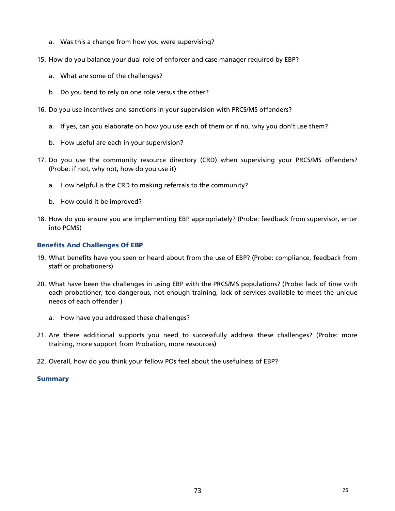- a. Was this a change from how you were supervising?
- 15. How do you balance your dual role of enforcer and case manager required by EBP?
	- a. What are some of the challenges?
	- b. Do you tend to rely on one role versus the other?
- 16. Do you use incentives and sanctions in your supervision with PRCS/MS offenders?
	- a. If yes, can you elaborate on how you use each of them or if no, why you don't use them?
	- b. How useful are each in your supervision?
- 17. Do you use the community resource directory (CRD) when supervising your PRCS/MS offenders? (Probe: if not, why not, how do you use it)
	- a. How helpful is the CRD to making referrals to the community?
	- b. How could it be improved?
- 18. How do you ensure you are implementing EBP appropriately? (Probe: feedback from supervisor, enter into PCMS)

## **Benefits And Challenges Of EBP**

- 19. What benefits have you seen or heard about from the use of EBP? (Probe: compliance, feedback from staff or probationers)
- 20. What have been the challenges in using EBP with the PRCS/MS populations? (Probe: lack of time with each probationer, too dangerous, not enough training, lack of services available to meet the unique needs of each offender )
	- a. How have you addressed these challenges?
- 21. Are there additional supports you need to successfully address these challenges? (Probe: more training, more support from Probation, more resources)
- 22. Overall, how do you think your fellow POs feel about the usefulness of EBP?

### **Summary**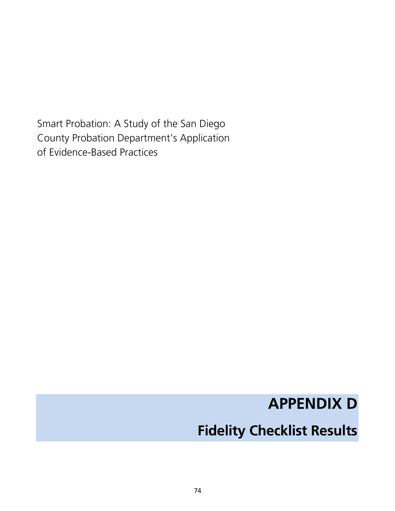Smart Probation: A Study of the San Diego County Probation Department's Application of Evidence-Based Practices

# **APPENDIX D**

# **Fidelity Checklist Results**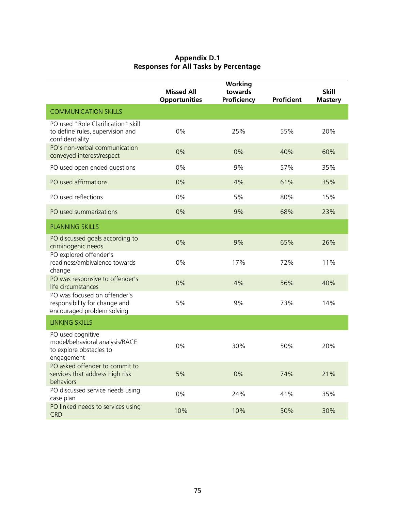| <b>Appendix D.1</b>                          |
|----------------------------------------------|
| <b>Responses for All Tasks by Percentage</b> |

|                                                                                              | <b>Missed All</b><br><b>Opportunities</b> | Working<br>towards<br>Proficiency | <b>Proficient</b> | <b>Skill</b><br><b>Mastery</b> |
|----------------------------------------------------------------------------------------------|-------------------------------------------|-----------------------------------|-------------------|--------------------------------|
| <b>COMMUNICATION SKILLS</b>                                                                  |                                           |                                   |                   |                                |
| PO used "Role Clarification" skill<br>to define rules, supervision and<br>confidentiality    | $0\%$                                     | 25%                               | 55%               | 20%                            |
| PO's non-verbal communication<br>conveyed interest/respect                                   | 0%                                        | 0%                                | 40%               | 60%                            |
| PO used open ended questions                                                                 | 0%                                        | 9%                                | 57%               | 35%                            |
| PO used affirmations                                                                         | 0%                                        | 4%                                | 61%               | 35%                            |
| PO used reflections                                                                          | 0%                                        | 5%                                | 80%               | 15%                            |
| PO used summarizations                                                                       | 0%                                        | 9%                                | 68%               | 23%                            |
| <b>PLANNING SKILLS</b>                                                                       |                                           |                                   |                   |                                |
| PO discussed goals according to<br>criminogenic needs                                        | 0%                                        | 9%                                | 65%               | 26%                            |
| PO explored offender's<br>readiness/ambivalence towards<br>change                            | 0%                                        | 17%                               | 72%               | 11%                            |
| PO was responsive to offender's<br>life circumstances                                        | 0%                                        | 4%                                | 56%               | 40%                            |
| PO was focused on offender's<br>responsibility for change and<br>encouraged problem solving  | 5%                                        | 9%                                | 73%               | 14%                            |
| <b>LINKING SKILLS</b>                                                                        |                                           |                                   |                   |                                |
| PO used cognitive<br>model/behavioral analysis/RACE<br>to explore obstacles to<br>engagement | 0%                                        | 30%                               | 50%               | 20%                            |
| PO asked offender to commit to<br>services that address high risk<br>behaviors               | 5%                                        | 0%                                | 74%               | 21%                            |
| PO discussed service needs using<br>case plan                                                | 0%                                        | 24%                               | 41%               | 35%                            |
| PO linked needs to services using<br><b>CRD</b>                                              | 10%                                       | 10%                               | 50%               | 30%                            |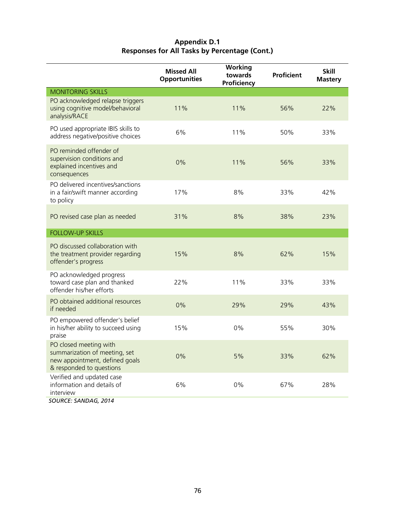| Appendix D.1                                         |
|------------------------------------------------------|
| <b>Responses for All Tasks by Percentage (Cont.)</b> |

|                                                                                                                       | <b>Missed All</b><br><b>Opportunities</b> | <b>Working</b><br>towards<br>Proficiency | <b>Proficient</b> | <b>Skill</b><br><b>Mastery</b> |
|-----------------------------------------------------------------------------------------------------------------------|-------------------------------------------|------------------------------------------|-------------------|--------------------------------|
| <b>MONITORING SKILLS</b>                                                                                              |                                           |                                          |                   |                                |
| PO acknowledged relapse triggers<br>using cognitive model/behavioral<br>analysis/RACE                                 | 11%                                       | 11%                                      | 56%               | 22%                            |
| PO used appropriate IBIS skills to<br>address negative/positive choices                                               | 6%                                        | 11%                                      | 50%               | 33%                            |
| PO reminded offender of<br>supervision conditions and<br>explained incentives and<br>consequences                     | 0%                                        | 11%                                      | 56%               | 33%                            |
| PO delivered incentives/sanctions<br>in a fair/swift manner according<br>to policy                                    | 17%                                       | 8%                                       | 33%               | 42%                            |
| PO revised case plan as needed                                                                                        | 31%                                       | 8%                                       | 38%               | 23%                            |
| <b>FOLLOW-UP SKILLS</b>                                                                                               |                                           |                                          |                   |                                |
| PO discussed collaboration with<br>the treatment provider regarding<br>offender's progress                            | 15%                                       | 8%                                       | 62%               | 15%                            |
| PO acknowledged progress<br>toward case plan and thanked<br>offender his/her efforts                                  | 22%                                       | 11%                                      | 33%               | 33%                            |
| PO obtained additional resources<br>if needed                                                                         | 0%                                        | 29%                                      | 29%               | 43%                            |
| PO empowered offender's belief<br>in his/her ability to succeed using<br>praise                                       | 15%                                       | 0%                                       | 55%               | 30%                            |
| PO closed meeting with<br>summarization of meeting, set<br>new appointment, defined goals<br>& responded to questions | 0%                                        | 5%                                       | 33%               | 62%                            |
| Verified and updated case<br>information and details of<br>interview<br>SOURCE: SANDAG, 2014                          | 6%                                        | 0%                                       | 67%               | 28%                            |
|                                                                                                                       |                                           |                                          |                   |                                |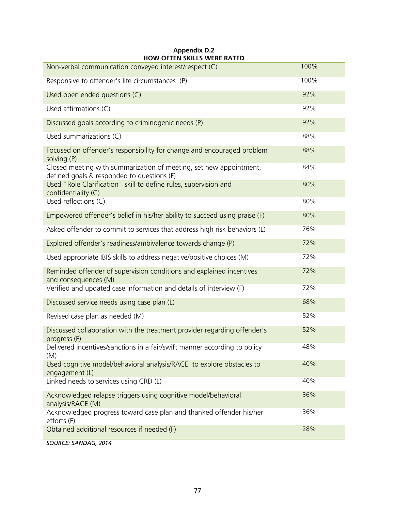| <b>HOW OFTEN SKILLS WERE RATED</b><br>Non-verbal communication conveyed interest/respect (C)                     | 100% |
|------------------------------------------------------------------------------------------------------------------|------|
| Responsive to offender's life circumstances (P)                                                                  | 100% |
| Used open ended questions (C)                                                                                    | 92%  |
| Used affirmations (C)                                                                                            | 92%  |
| Discussed goals according to criminogenic needs (P)                                                              | 92%  |
| Used summarizations (C)                                                                                          | 88%  |
| Focused on offender's responsibility for change and encouraged problem<br>solving (P)                            | 88%  |
| Closed meeting with summarization of meeting, set new appointment,<br>defined goals & responded to questions (F) | 84%  |
| Used "Role Clarification" skill to define rules, supervision and<br>confidentiality (C)                          | 80%  |
| Used reflections (C)                                                                                             | 80%  |
| Empowered offender's belief in his/her ability to succeed using praise (F)                                       | 80%  |
| Asked offender to commit to services that address high risk behaviors (L)                                        | 76%  |
| Explored offender's readiness/ambivalence towards change (P)                                                     | 72%  |
| Used appropriate IBIS skills to address negative/positive choices (M)                                            | 72%  |
| Reminded offender of supervision conditions and explained incentives<br>and consequences (M)                     | 72%  |
| Verified and updated case information and details of interview (F)                                               | 72%  |
| Discussed service needs using case plan (L)                                                                      | 68%  |
| Revised case plan as needed (M)                                                                                  | 52%  |
| Discussed collaboration with the treatment provider regarding offender's<br>progress (F)                         | 52%  |
| Delivered incentives/sanctions in a fair/swift manner according to policy<br>(M)                                 | 48%  |
| Used cognitive model/behavioral analysis/RACE to explore obstacles to<br>engagement (L)                          | 40%  |
| Linked needs to services using CRD (L)                                                                           | 40%  |
| Acknowledged relapse triggers using cognitive model/behavioral<br>analysis/RACE (M)                              | 36%  |
| Acknowledged progress toward case plan and thanked offender his/her<br>efforts (F)                               | 36%  |
| Obtained additional resources if needed (F)                                                                      | 28%  |
|                                                                                                                  |      |

**Appendix D.2** 

*SOURCE: SANDAG, 2014*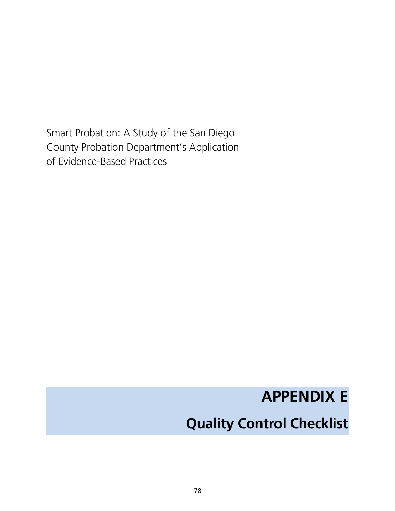Smart Probation: A Study of the San Diego County Probation Department's Application of Evidence-Based Practices

# **APPENDIX E**

# **Quality Control Checklist**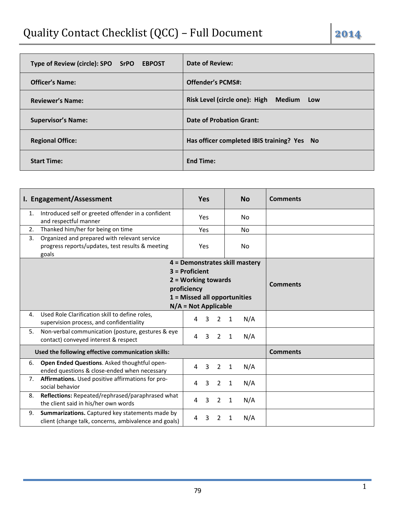| Type of Review (circle): SPO SrPO EBPOST | <b>Date of Review:</b>                      |
|------------------------------------------|---------------------------------------------|
| <b>Officer's Name:</b>                   | <b>Offender's PCMS#:</b>                    |
| <b>Reviewer's Name:</b>                  | Risk Level (circle one): High<br>Medium Low |
| <b>Supervisor's Name:</b>                | <b>Date of Probation Grant:</b>             |
| <b>Regional Office:</b>                  | Has officer completed IBIS training? Yes No |
| <b>Start Time:</b>                       | <b>End Time:</b>                            |

|    | I. Engagement/Assessment                                                                                  |                     | <b>Yes</b> |                |              | <b>No</b>                      | <b>Comments</b> |
|----|-----------------------------------------------------------------------------------------------------------|---------------------|------------|----------------|--------------|--------------------------------|-----------------|
| 1. | Introduced self or greeted offender in a confident<br>and respectful manner                               |                     | Yes        |                |              | No.                            |                 |
| 2. | Thanked him/her for being on time                                                                         |                     | Yes        |                |              | <b>No</b>                      |                 |
| 3. | Organized and prepared with relevant service<br>progress reports/updates, test results & meeting<br>goals |                     | Yes        |                |              | No.                            |                 |
|    |                                                                                                           |                     |            |                |              | 4 = Demonstrates skill mastery |                 |
|    |                                                                                                           | $3$ = Proficient    |            |                |              |                                |                 |
|    |                                                                                                           | 2 = Working towards |            |                |              |                                | <b>Comments</b> |
|    |                                                                                                           | proficiency         |            |                |              |                                |                 |
|    | 1 = Missed all opportunities<br>$N/A = Not Applicable$                                                    |                     |            |                |              |                                |                 |
| 4. | Used Role Clarification skill to define roles,                                                            |                     |            |                |              |                                |                 |
|    | supervision process, and confidentiality                                                                  | 4                   | 3          | $\overline{2}$ | $\mathbf{1}$ | N/A                            |                 |
| 5. | Non-verbal communication (posture, gestures & eye<br>contact) conveyed interest & respect                 | 4                   | 3          | $\overline{2}$ | 1            | N/A                            |                 |
|    | Used the following effective communication skills:                                                        |                     |            |                |              |                                | <b>Comments</b> |
| 6. | Open Ended Questions. Asked thoughtful open-<br>ended questions & close-ended when necessary              | 4                   | 3          | $2^{\circ}$    | $\mathbf{1}$ | N/A                            |                 |
| 7. | Affirmations. Used positive affirmations for pro-<br>social behavior                                      | 4                   | 3          | $\overline{2}$ | 1            | N/A                            |                 |
| 8. | Reflections: Repeated/rephrased/paraphrased what<br>the client said in his/her own words                  | 4                   | 3          | $\overline{2}$ | 1            | N/A                            |                 |
| 9. | Summarizations. Captured key statements made by<br>client (change talk, concerns, ambivalence and goals)  | 4                   | 3          | 2              | 1            | N/A                            |                 |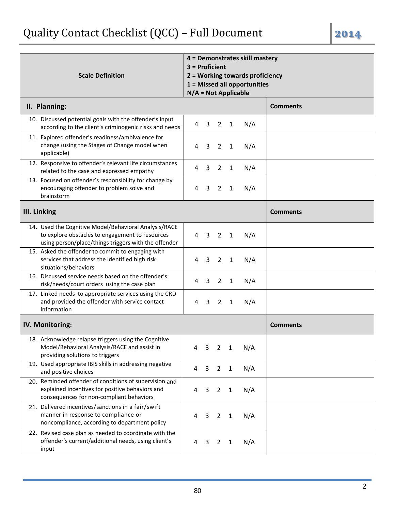| г<br>u |
|--------|
|        |
|        |

| <b>Scale Definition</b>                                                                                                                                          | 4 = Demonstrates skill mastery<br>$3$ = Proficient<br>2 = Working towards proficiency<br>1 = Missed all opportunities<br>$N/A = Not Applicable$ |                |                |              |     |                 |
|------------------------------------------------------------------------------------------------------------------------------------------------------------------|-------------------------------------------------------------------------------------------------------------------------------------------------|----------------|----------------|--------------|-----|-----------------|
| II. Planning:                                                                                                                                                    |                                                                                                                                                 |                |                |              |     | <b>Comments</b> |
| 10. Discussed potential goals with the offender's input<br>according to the client's criminogenic risks and needs                                                | 4                                                                                                                                               | 3              | $\overline{2}$ | $\mathbf{1}$ | N/A |                 |
| 11. Explored offender's readiness/ambivalence for<br>change (using the Stages of Change model when<br>applicable)                                                | 4                                                                                                                                               | 3              | $\overline{2}$ | $\mathbf{1}$ | N/A |                 |
| 12. Responsive to offender's relevant life circumstances<br>related to the case and expressed empathy                                                            | 4                                                                                                                                               | 3              | $\overline{2}$ | 1            | N/A |                 |
| 13. Focused on offender's responsibility for change by<br>encouraging offender to problem solve and<br>brainstorm                                                | 4                                                                                                                                               | 3              | $\overline{2}$ | $\mathbf{1}$ | N/A |                 |
| <b>III. Linking</b>                                                                                                                                              |                                                                                                                                                 |                |                |              |     | <b>Comments</b> |
| 14. Used the Cognitive Model/Behavioral Analysis/RACE<br>to explore obstacles to engagement to resources<br>using person/place/things triggers with the offender | 4                                                                                                                                               | $\overline{3}$ | $\overline{2}$ | $\mathbf{1}$ | N/A |                 |
| 15. Asked the offender to commit to engaging with<br>services that address the identified high risk<br>situations/behaviors                                      | 4                                                                                                                                               | 3              | 2              | $\mathbf{1}$ | N/A |                 |
| 16. Discussed service needs based on the offender's<br>risk/needs/court orders using the case plan                                                               | 4                                                                                                                                               | 3              | $\overline{2}$ | $\mathbf{1}$ | N/A |                 |
| 17. Linked needs to appropriate services using the CRD<br>and provided the offender with service contact<br>information                                          | 4                                                                                                                                               | 3              | 2              | $\mathbf{1}$ | N/A |                 |
| IV. Monitoring:                                                                                                                                                  |                                                                                                                                                 |                |                |              |     | <b>Comments</b> |
| 18. Acknowledge relapse triggers using the Cognitive<br>Model/Behavioral Analysis/RACE and assist in<br>providing solutions to triggers                          | 4                                                                                                                                               | 3              | $\overline{2}$ | $\mathbf{1}$ | N/A |                 |
| 19. Used appropriate IBIS skills in addressing negative<br>and positive choices                                                                                  | 4                                                                                                                                               | 3              | $\overline{2}$ | $\mathbf{1}$ | N/A |                 |
| 20. Reminded offender of conditions of supervision and<br>explained incentives for positive behaviors and<br>consequences for non-compliant behaviors            | 4                                                                                                                                               | 3              | $\overline{2}$ | $\mathbf{1}$ | N/A |                 |
| 21. Delivered incentives/sanctions in a fair/swift<br>manner in response to compliance or<br>noncompliance, according to department policy                       | 4                                                                                                                                               | 3              | 2              | $\mathbf{1}$ | N/A |                 |
| 22. Revised case plan as needed to coordinate with the<br>offender's current/additional needs, using client's<br>input                                           | 4                                                                                                                                               | 3              | 2              | 1            | N/A |                 |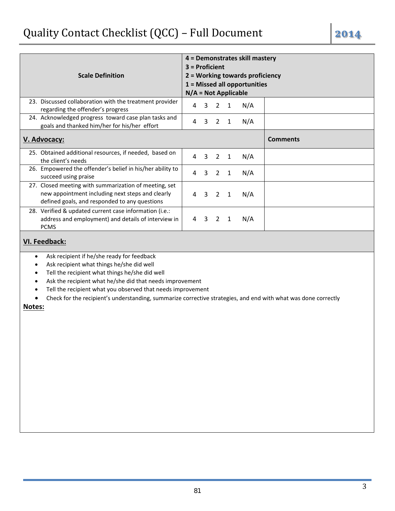|                                                                                                                                                            |                        |              |                |              | 4 = Demonstrates skill mastery  |                 |
|------------------------------------------------------------------------------------------------------------------------------------------------------------|------------------------|--------------|----------------|--------------|---------------------------------|-----------------|
|                                                                                                                                                            | $3$ = Proficient       |              |                |              |                                 |                 |
| <b>Scale Definition</b>                                                                                                                                    |                        |              |                |              | 2 = Working towards proficiency |                 |
|                                                                                                                                                            |                        |              |                |              | $1 =$ Missed all opportunities  |                 |
|                                                                                                                                                            | $N/A = Not Applicable$ |              |                |              |                                 |                 |
| 23. Discussed collaboration with the treatment provider<br>regarding the offender's progress                                                               | 4                      | 3            | 2              | 1            | N/A                             |                 |
| 24. Acknowledged progress toward case plan tasks and<br>goals and thanked him/her for his/her effort                                                       | 4                      | 3            | 2              | 1            | N/A                             |                 |
| V. Advocacy:                                                                                                                                               |                        |              |                |              |                                 | <b>Comments</b> |
| 25. Obtained additional resources, if needed, based on<br>the client's needs                                                                               | 4                      | $\mathbf{3}$ | $\overline{2}$ | $\mathbf{1}$ | N/A                             |                 |
| 26. Empowered the offender's belief in his/her ability to<br>succeed using praise                                                                          | 4                      | 3            |                | $2 \quad 1$  | N/A                             |                 |
| 27. Closed meeting with summarization of meeting, set<br>new appointment including next steps and clearly<br>defined goals, and responded to any questions | 4                      | 3            | 2              | 1            | N/A                             |                 |
| 28. Verified & updated current case information (i.e.:<br>address and employment) and details of interview in<br><b>PCMS</b>                               | 4                      | $\mathbf{3}$ | 2              | 1            | N/A                             |                 |

## **VI. Feedback:**

- Ask recipient if he/she ready for feedback
- Ask recipient what things he/she did well
- Tell the recipient what things he/she did well
- Ask the recipient what he/she did that needs improvement
- Tell the recipient what you observed that needs improvement
- Check for the recipient's understanding, summarize corrective strategies, and end with what was done correctly

### **Notes:**

3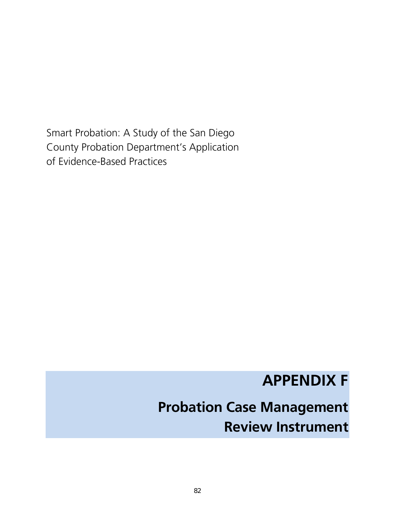Smart Probation: A Study of the San Diego County Probation Department's Application of Evidence-Based Practices

# **APPENDIX F**

# **Probation Case Management Review Instrument**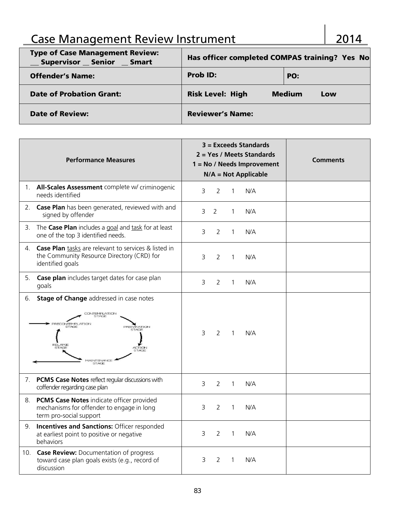## Case Management Review Instrument 2014

| <b>Type of Case Management Review:</b><br><b>Supervisor Senior</b><br><b>Smart</b> | Has officer completed COMPAS training? Yes No |                      |  |  |  |
|------------------------------------------------------------------------------------|-----------------------------------------------|----------------------|--|--|--|
| <b>Offender's Name:</b>                                                            | <b>Prob ID:</b>                               | PO:                  |  |  |  |
| <b>Date of Probation Grant:</b>                                                    | <b>Risk Level: High</b>                       | <b>Medium</b><br>Low |  |  |  |
| <b>Date of Review:</b>                                                             | <b>Reviewer's Name:</b>                       |                      |  |  |  |

|    | <b>Performance Measures</b>                                                                                                                                                                        | $3 = Exceeds Standards$<br>2 = Yes / Meets Standards<br><b>Comments</b><br>$1 = No / Needs$ Improvement<br>$N/A = Not Applicable$ |
|----|----------------------------------------------------------------------------------------------------------------------------------------------------------------------------------------------------|-----------------------------------------------------------------------------------------------------------------------------------|
| 1. | All-Scales Assessment complete w/ criminogenic<br>needs identified                                                                                                                                 | 3<br>2<br>N/A<br>1                                                                                                                |
| 2. | Case Plan has been generated, reviewed with and<br>signed by offender                                                                                                                              | 3<br>2<br>N/A<br>1                                                                                                                |
|    | 3. The Case Plan includes a goal and task for at least<br>one of the top 3 identified needs.                                                                                                       | 3<br>2<br>N/A<br>1                                                                                                                |
| 4. | <b>Case Plan</b> tasks are relevant to services & listed in<br>the Community Resource Directory (CRD) for<br>identified goals                                                                      | $\overline{2}$<br>N/A<br>3<br>1                                                                                                   |
| 5. | Case plan includes target dates for case plan<br>goals                                                                                                                                             | 3<br>2<br>N/A<br>1                                                                                                                |
| 6. | Stage of Change addressed in case notes<br>CONTEMPLATION<br>STAGE<br><b>RECONTEMPLATION</b><br><b>REPARATION</b><br>STAGE<br><b>STAGE</b><br><b>STAGE</b><br>ACTION<br>MAINTENANCE<br><b>STAGE</b> | 3<br>2<br>$\mathbf{1}$<br>N/A                                                                                                     |
| 7. | <b>PCMS Case Notes reflect regular discussions with</b><br>coffender regarding case plan                                                                                                           | 3<br>2<br>N/A<br>$\mathbf{1}$                                                                                                     |
| 8. | <b>PCMS Case Notes indicate officer provided</b><br>mechanisms for offender to engage in long<br>term pro-social support                                                                           | 3<br>2<br>N/A<br>1                                                                                                                |
| 9. | <b>Incentives and Sanctions: Officer responded</b><br>at earliest point to positive or negative<br>behaviors                                                                                       | 3<br>2<br>N/A<br>1                                                                                                                |
|    | 10. Case Review: Documentation of progress<br>toward case plan goals exists (e.g., record of<br>discussion                                                                                         | 3<br>2<br>N/A<br>1                                                                                                                |